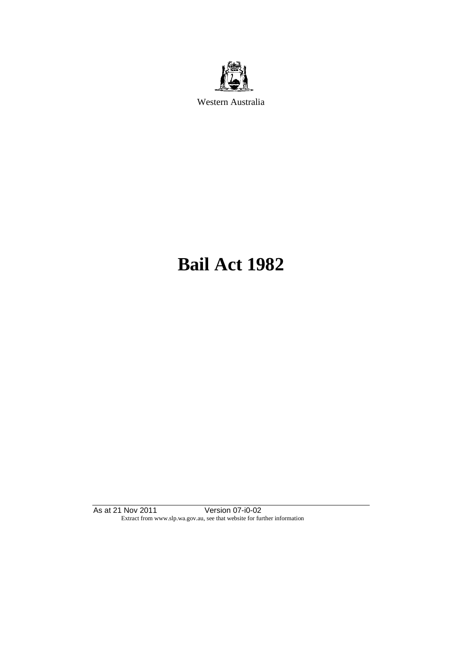

Western Australia

# **Bail Act 1982**

As at 21 Nov 2011 Version 07-i0-02 Extract from www.slp.wa.gov.au, see that website for further information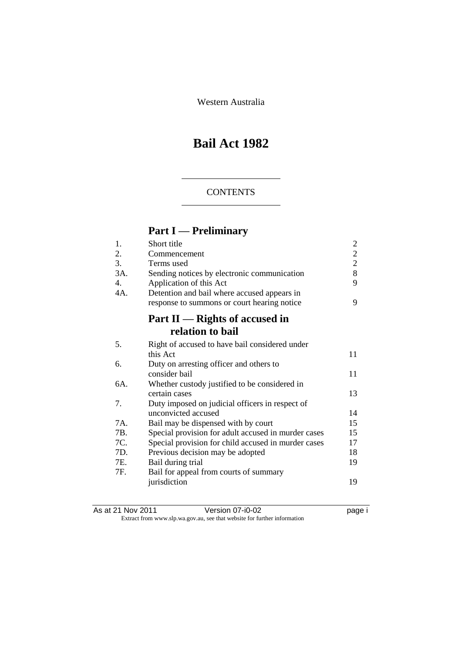Western Australia

# **Bail Act 1982**

#### **CONTENTS**

# **Part I — Preliminary**

| 1.  | Short title                                         | $\overline{2}$ |
|-----|-----------------------------------------------------|----------------|
| 2.  | Commencement                                        | $\overline{c}$ |
| 3.  | Terms used                                          | $\overline{2}$ |
| 3A. | Sending notices by electronic communication         | 8              |
| 4.  | Application of this Act                             | 9              |
| 4A. | Detention and bail where accused appears in         |                |
|     | response to summons or court hearing notice         | 9              |
|     | Part $II$ — Rights of accused in                    |                |
|     | relation to bail                                    |                |
| 5.  | Right of accused to have bail considered under      |                |
|     | this Act                                            | 11             |
| 6.  | Duty on arresting officer and others to             |                |
|     | consider bail                                       | 11             |
| 6A. | Whether custody justified to be considered in       |                |
|     | certain cases                                       | 13             |
| 7.  | Duty imposed on judicial officers in respect of     |                |
|     | unconvicted accused                                 | 14             |
| 7A. | Bail may be dispensed with by court                 | 15             |
| 7B. | Special provision for adult accused in murder cases | 15             |
| 7C. | Special provision for child accused in murder cases | 17             |
| 7D. | Previous decision may be adopted                    | 18             |
| 7E. | Bail during trial                                   | 19             |
| 7F. | Bail for appeal from courts of summary              |                |
|     | jurisdiction                                        | 19             |
|     |                                                     |                |

As at 21 Nov 2011 Version 07-i0-02 page i Extract from www.slp.wa.gov.au, see that website for further information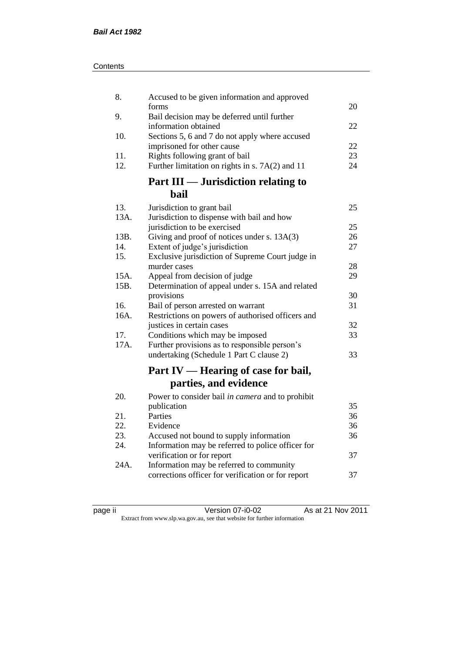| Contents |
|----------|
|----------|

| 8.           | Accused to be given information and approved                                      |    |
|--------------|-----------------------------------------------------------------------------------|----|
|              | forms                                                                             | 20 |
| 9.           | Bail decision may be deferred until further<br>information obtained               | 22 |
| 10.          | Sections 5, 6 and 7 do not apply where accused                                    |    |
|              | imprisoned for other cause                                                        | 22 |
| 11.          | Rights following grant of bail                                                    | 23 |
| 12.          | Further limitation on rights in s. 7A(2) and 11                                   | 24 |
|              | Part III — Jurisdiction relating to                                               |    |
|              | <b>bail</b>                                                                       |    |
| 13.          | Jurisdiction to grant bail                                                        | 25 |
| 13A.         | Jurisdiction to dispense with bail and how                                        |    |
|              | jurisdiction to be exercised                                                      | 25 |
| 13B.         | Giving and proof of notices under s. 13A(3)                                       | 26 |
| 14.          | Extent of judge's jurisdiction                                                    | 27 |
| 15.          | Exclusive jurisdiction of Supreme Court judge in                                  |    |
|              | murder cases                                                                      | 28 |
| 15A.<br>15B. | Appeal from decision of judge<br>Determination of appeal under s. 15A and related | 29 |
|              | provisions                                                                        | 30 |
| 16.          | Bail of person arrested on warrant                                                | 31 |
| 16A.         | Restrictions on powers of authorised officers and                                 |    |
|              | justices in certain cases                                                         | 32 |
| 17.          | Conditions which may be imposed                                                   | 33 |
| 17A.         | Further provisions as to responsible person's                                     |    |
|              | undertaking (Schedule 1 Part C clause 2)                                          | 33 |
|              | Part IV — Hearing of case for bail,                                               |    |
|              | parties, and evidence                                                             |    |
| 20.          | Power to consider bail in camera and to prohibit                                  |    |
|              | publication                                                                       | 35 |
| 21.          | Parties                                                                           | 36 |
| 22.          | Evidence                                                                          | 36 |
| 23.          | Accused not bound to supply information                                           | 36 |
| 24.          | Information may be referred to police officer for                                 |    |
|              | verification or for report                                                        | 37 |
| 24A.         | Information may be referred to community                                          |    |
|              | corrections officer for verification or for report                                | 37 |
|              |                                                                                   |    |

| C<br>я<br>c |  |
|-------------|--|
|             |  |
|             |  |

page ii Version 07-i0-02 As at 21 Nov 2011 Extract from www.slp.wa.gov.au, see that website for further information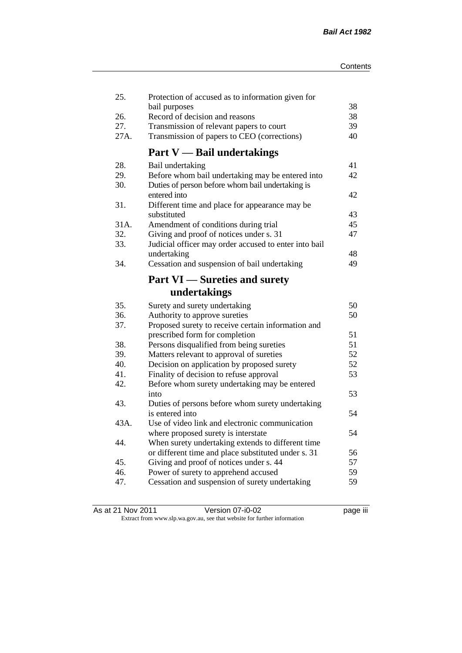| 25.  | Protection of accused as to information given for     |    |
|------|-------------------------------------------------------|----|
|      | bail purposes                                         | 38 |
| 26.  | Record of decision and reasons                        | 38 |
| 27.  | Transmission of relevant papers to court              | 39 |
| 27A. | Transmission of papers to CEO (corrections)           | 40 |
|      | <b>Part V</b> - Bail undertakings                     |    |
| 28.  | Bail undertaking                                      | 41 |
| 29.  | Before whom bail undertaking may be entered into      | 42 |
| 30.  | Duties of person before whom bail undertaking is      |    |
|      | entered into                                          | 42 |
| 31.  | Different time and place for appearance may be        |    |
|      | substituted                                           | 43 |
| 31A. | Amendment of conditions during trial                  | 45 |
| 32.  | Giving and proof of notices under s. 31               | 47 |
| 33.  | Judicial officer may order accused to enter into bail |    |
|      | undertaking                                           | 48 |
| 34.  | Cessation and suspension of bail undertaking          | 49 |
|      | <b>Part VI</b> — Sureties and surety                  |    |
|      | undertakings                                          |    |
| 35.  | Surety and surety undertaking                         | 50 |
| 36.  | Authority to approve sureties                         | 50 |
| 37.  | Proposed surety to receive certain information and    |    |
|      | prescribed form for completion                        | 51 |
| 38.  | Persons disqualified from being sureties              | 51 |
| 39.  | Matters relevant to approval of sureties              | 52 |
| 40.  | Decision on application by proposed surety            | 52 |
| 41.  | Finality of decision to refuse approval               | 53 |
| 42.  | Before whom surety undertaking may be entered         |    |
|      | into                                                  | 53 |
| 43.  | Duties of persons before whom surety undertaking      |    |
|      | is entered into                                       | 54 |
| 43A. | Use of video link and electronic communication        |    |
|      | where proposed surety is interstate                   | 54 |
| 44.  | When surety undertaking extends to different time     |    |
|      | or different time and place substituted under s. 31   | 56 |
| 45.  | Giving and proof of notices under s. 44               | 57 |
| 46.  | Power of surety to apprehend accused                  | 59 |
| 47.  | Cessation and suspension of surety undertaking        | 59 |
|      |                                                       |    |

| As at 21 Nov 2011 | Version 07-i0-02                                                         | <br>page III |
|-------------------|--------------------------------------------------------------------------|--------------|
|                   | Extract from www.slp.wa.gov.au, see that website for further information |              |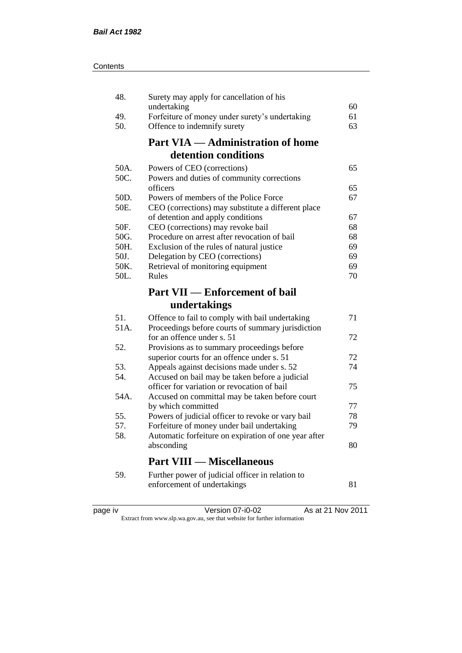| 48.         | Surety may apply for cancellation of his                                                  |    |
|-------------|-------------------------------------------------------------------------------------------|----|
|             | undertaking                                                                               | 60 |
| 49.         | Forfeiture of money under surety's undertaking                                            | 61 |
| 50.         | Offence to indemnify surety                                                               | 63 |
|             | <b>Part VIA — Administration of home</b>                                                  |    |
|             | detention conditions                                                                      |    |
| 50A.        | Powers of CEO (corrections)                                                               | 65 |
| 50C.        | Powers and duties of community corrections                                                |    |
|             | officers                                                                                  | 65 |
| 50D.        | Powers of members of the Police Force                                                     | 67 |
| 50E.        | CEO (corrections) may substitute a different place                                        |    |
|             | of detention and apply conditions                                                         | 67 |
| 50F.        | CEO (corrections) may revoke bail                                                         | 68 |
| 50G.        | Procedure on arrest after revocation of bail                                              | 68 |
| 50H.        | Exclusion of the rules of natural justice                                                 | 69 |
| 50J.        | Delegation by CEO (corrections)                                                           | 69 |
| 50K.        | Retrieval of monitoring equipment                                                         | 69 |
| 50L.        | Rules                                                                                     | 70 |
|             | <b>Part VII — Enforcement of bail</b>                                                     |    |
|             |                                                                                           |    |
|             | undertakings                                                                              |    |
|             |                                                                                           | 71 |
| 51.<br>51A. | Offence to fail to comply with bail undertaking                                           |    |
|             | Proceedings before courts of summary jurisdiction<br>for an offence under s. 51           | 72 |
| 52.         |                                                                                           |    |
|             | Provisions as to summary proceedings before<br>superior courts for an offence under s. 51 | 72 |
| 53.         | Appeals against decisions made under s. 52                                                | 74 |
| 54.         | Accused on bail may be taken before a judicial                                            |    |
|             | officer for variation or revocation of bail                                               | 75 |
| 54A.        | Accused on committal may be taken before court                                            |    |
|             | by which committed                                                                        | 77 |
| 55.         | Powers of judicial officer to revoke or vary bail                                         | 78 |
| 57.         | Forfeiture of money under bail undertaking                                                | 79 |
| 58.         | Automatic forfeiture on expiration of one year after                                      |    |
|             | absconding                                                                                | 80 |
|             | <b>Part VIII — Miscellaneous</b>                                                          |    |
| 59.         |                                                                                           |    |
|             | Further power of judicial officer in relation to<br>enforcement of undertakings           | 81 |

| ⋍<br>ĸ<br>н |
|-------------|
|-------------|

page iv Version 07-i0-02 As at 21 Nov 2011 Extract from www.slp.wa.gov.au, see that website for further information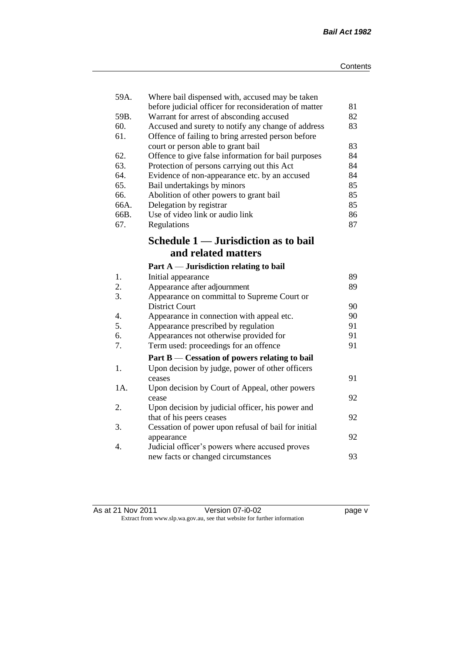| 59A. | Where bail dispensed with, accused may be taken       |    |
|------|-------------------------------------------------------|----|
|      | before judicial officer for reconsideration of matter | 81 |
| 59B. | Warrant for arrest of absconding accused              | 82 |
| 60.  | Accused and surety to notify any change of address    | 83 |
| 61.  | Offence of failing to bring arrested person before    |    |
|      | court or person able to grant bail                    | 83 |
| 62.  | Offence to give false information for bail purposes   | 84 |
| 63.  | Protection of persons carrying out this Act           | 84 |
| 64.  | Evidence of non-appearance etc. by an accused         | 84 |
| 65.  | Bail undertakings by minors                           | 85 |
| 66.  | Abolition of other powers to grant bail               | 85 |
| 66A. | Delegation by registrar                               | 85 |
| 66B. | Use of video link or audio link                       | 86 |
| 67.  | Regulations                                           | 87 |
|      | Schedule 1 — Jurisdiction as to bail                  |    |
|      | and related matters                                   |    |
|      | Part $A$ — Jurisdiction relating to bail              |    |
| 1.   | Initial appearance                                    | 89 |
| 2.   | Appearance after adjournment                          | 89 |
| 3.   | Appearance on committal to Supreme Court or           |    |
|      | <b>District Court</b>                                 | 90 |
| 4.   | Appearance in connection with appeal etc.             | 90 |
| 5.   | Appearance prescribed by regulation                   | 91 |
| 6.   | Appearances not otherwise provided for                | 91 |
| 7.   | Term used: proceedings for an offence                 | 91 |
|      | Part B — Cessation of powers relating to bail         |    |
| 1.   | Upon decision by judge, power of other officers       |    |
|      | ceases                                                | 91 |
| 1A.  | Upon decision by Court of Appeal, other powers        |    |
|      | cease                                                 | 92 |
| 2.   | Upon decision by judicial officer, his power and      |    |
|      | that of his peers ceases                              | 92 |
| 3.   | Cessation of power upon refusal of bail for initial   |    |
|      | appearance                                            | 92 |
| 4.   | Judicial officer's powers where accused proves        |    |
|      | new facts or changed circumstances                    | 93 |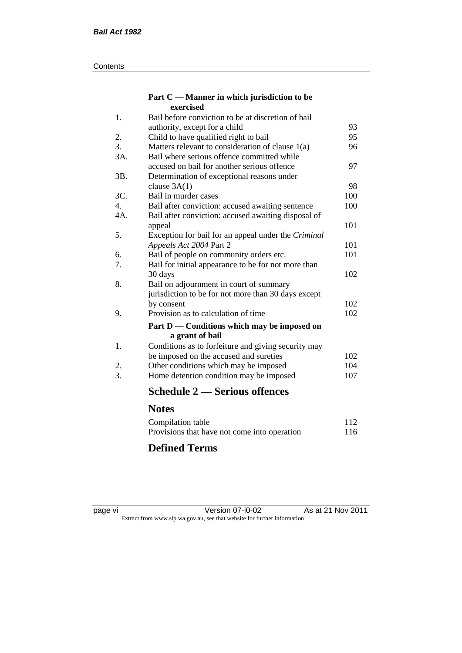#### **Contents**

#### **Part C — Manner in which jurisdiction to be exercised**

| 1.  | Bail before conviction to be at discretion of bail  |     |
|-----|-----------------------------------------------------|-----|
|     | authority, except for a child                       | 93  |
| 2.  | Child to have qualified right to bail               | 95  |
| 3.  | Matters relevant to consideration of clause 1(a)    | 96  |
| 3A. | Bail where serious offence committed while          |     |
|     | accused on bail for another serious offence         | 97  |
| 3B. | Determination of exceptional reasons under          |     |
|     | clause $3A(1)$                                      | 98  |
| 3C. | Bail in murder cases                                | 100 |
| 4.  | Bail after conviction: accused awaiting sentence    | 100 |
| 4A. | Bail after conviction: accused awaiting disposal of |     |
|     | appeal                                              | 101 |
| 5.  | Exception for bail for an appeal under the Criminal |     |
|     | Appeals Act 2004 Part 2                             | 101 |
| 6.  | Bail of people on community orders etc.             | 101 |
| 7.  | Bail for initial appearance to be for not more than |     |
|     | 30 days                                             | 102 |
| 8.  | Bail on adjournment in court of summary             |     |
|     | jurisdiction to be for not more than 30 days except |     |
|     | by consent                                          | 102 |
| 9.  | Provision as to calculation of time                 | 102 |
|     | Part D — Conditions which may be imposed on         |     |
|     | a grant of bail                                     |     |
| 1.  | Conditions as to forfeiture and giving security may |     |
|     | be imposed on the accused and sureties              | 102 |
| 2.  | Other conditions which may be imposed               | 104 |
| 3.  | Home detention condition may be imposed             | 107 |
|     | Schedule 2 — Serious offences                       |     |
|     | <b>Notes</b>                                        |     |
|     | Compilation table                                   | 112 |
|     |                                                     |     |

### **Defined Terms**

page vi Version 07-i0-02 As at 21 Nov 2011 Extract from www.slp.wa.gov.au, see that website for further information

Provisions that have not come into operation 116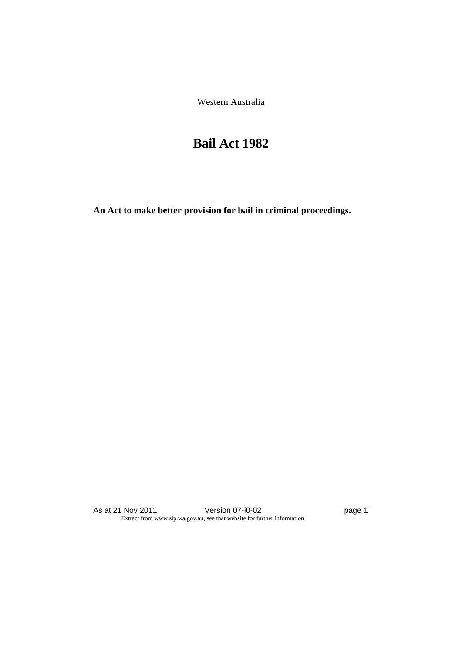Western Australia

# **Bail Act 1982**

**An Act to make better provision for bail in criminal proceedings.** 

As at 21 Nov 2011 **Version 07-i0-02 page 1** Extract from www.slp.wa.gov.au, see that website for further information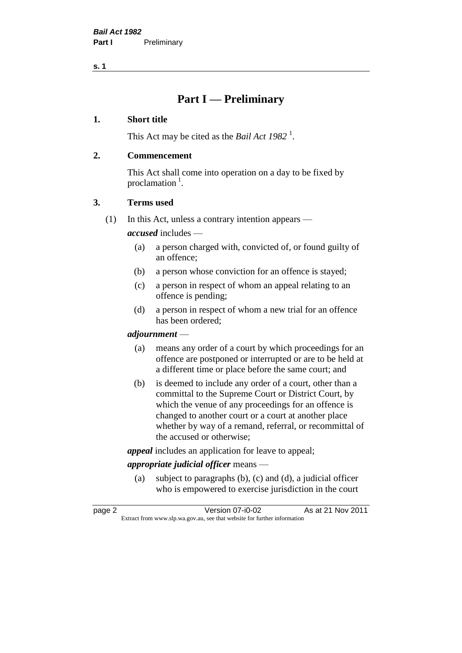**s. 1**

## **Part I — Preliminary**

#### **1. Short title**

This Act may be cited as the *Bail Act* 1982<sup>1</sup>.

#### **2. Commencement**

This Act shall come into operation on a day to be fixed by proclamation  $<sup>1</sup>$ .</sup>

#### **3. Terms used**

(1) In this Act, unless a contrary intention appears —

*accused* includes —

- (a) a person charged with, convicted of, or found guilty of an offence;
- (b) a person whose conviction for an offence is stayed;
- (c) a person in respect of whom an appeal relating to an offence is pending;
- (d) a person in respect of whom a new trial for an offence has been ordered;

#### *adjournment* —

- (a) means any order of a court by which proceedings for an offence are postponed or interrupted or are to be held at a different time or place before the same court; and
- (b) is deemed to include any order of a court, other than a committal to the Supreme Court or District Court, by which the venue of any proceedings for an offence is changed to another court or a court at another place whether by way of a remand, referral, or recommittal of the accused or otherwise;

*appeal* includes an application for leave to appeal;

#### *appropriate judicial officer* means —

(a) subject to paragraphs (b), (c) and (d), a judicial officer who is empowered to exercise jurisdiction in the court

| page 2 | Version 07-i0-02                                                         | As at 21 Nov 2011 |
|--------|--------------------------------------------------------------------------|-------------------|
|        | Extract from www.slp.wa.gov.au, see that website for further information |                   |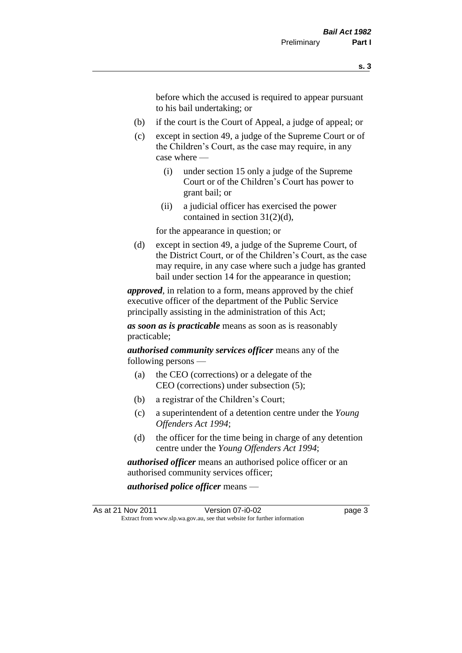before which the accused is required to appear pursuant to his bail undertaking; or

- (b) if the court is the Court of Appeal, a judge of appeal; or
- (c) except in section 49, a judge of the Supreme Court or of the Children's Court, as the case may require, in any case where —
	- (i) under section 15 only a judge of the Supreme Court or of the Children's Court has power to grant bail; or
	- (ii) a judicial officer has exercised the power contained in section 31(2)(d),

for the appearance in question; or

(d) except in section 49, a judge of the Supreme Court, of the District Court, or of the Children's Court, as the case may require, in any case where such a judge has granted bail under section 14 for the appearance in question;

*approved*, in relation to a form, means approved by the chief executive officer of the department of the Public Service principally assisting in the administration of this Act;

*as soon as is practicable* means as soon as is reasonably practicable;

*authorised community services officer* means any of the following persons —

- (a) the CEO (corrections) or a delegate of the CEO (corrections) under subsection (5);
- (b) a registrar of the Children's Court;
- (c) a superintendent of a detention centre under the *Young Offenders Act 1994*;
- (d) the officer for the time being in charge of any detention centre under the *Young Offenders Act 1994*;

*authorised officer* means an authorised police officer or an authorised community services officer;

*authorised police officer* means —

As at 21 Nov 2011 Version 07-i0-02 page 3 Extract from www.slp.wa.gov.au, see that website for further information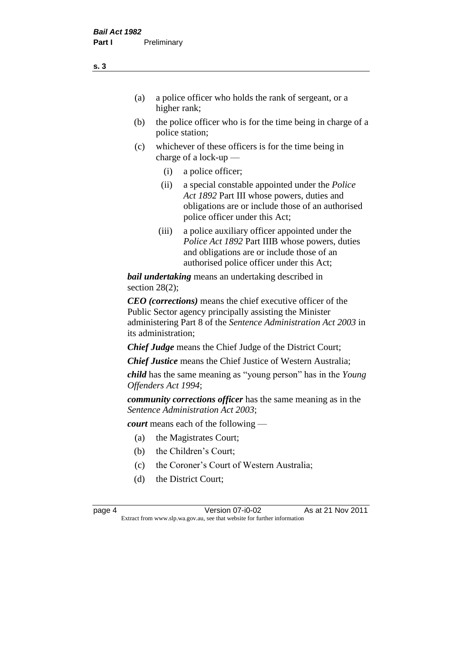- (a) a police officer who holds the rank of sergeant, or a higher rank;
- (b) the police officer who is for the time being in charge of a police station;
- (c) whichever of these officers is for the time being in charge of a lock-up —
	- (i) a police officer;
	- (ii) a special constable appointed under the *Police Act 1892* Part III whose powers, duties and obligations are or include those of an authorised police officer under this Act;
	- (iii) a police auxiliary officer appointed under the *Police Act 1892* Part IIIB whose powers, duties and obligations are or include those of an authorised police officer under this Act;

*bail undertaking* means an undertaking described in section 28(2):

*CEO (corrections)* means the chief executive officer of the Public Sector agency principally assisting the Minister administering Part 8 of the *Sentence Administration Act 2003* in its administration;

*Chief Judge* means the Chief Judge of the District Court;

*Chief Justice* means the Chief Justice of Western Australia;

*child* has the same meaning as "young person" has in the *Young Offenders Act 1994*;

*community corrections officer* has the same meaning as in the *Sentence Administration Act 2003*;

*court* means each of the following —

- (a) the Magistrates Court;
- (b) the Children's Court;
- (c) the Coroner's Court of Western Australia;
- (d) the District Court;

page 4 Version 07-i0-02 As at 21 Nov 2011 Extract from www.slp.wa.gov.au, see that website for further information

**s. 3**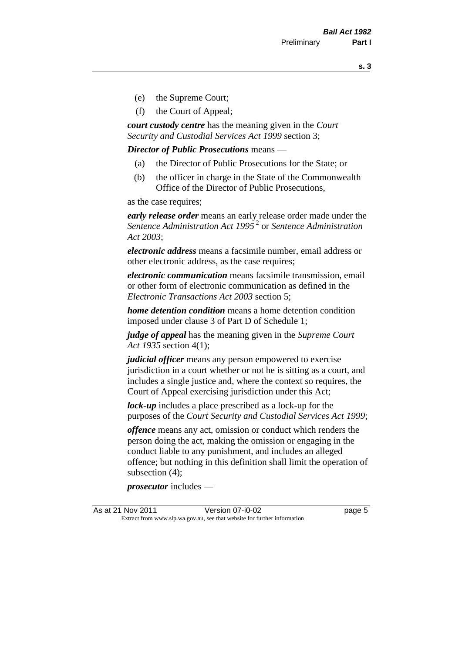**s. 3**

- (e) the Supreme Court;
- (f) the Court of Appeal;

*court custody centre* has the meaning given in the *Court Security and Custodial Services Act 1999* section 3;

*Director of Public Prosecutions* means —

- (a) the Director of Public Prosecutions for the State; or
- (b) the officer in charge in the State of the Commonwealth Office of the Director of Public Prosecutions,

as the case requires;

*early release order* means an early release order made under the *Sentence Administration Act 1995* <sup>2</sup> or *Sentence Administration Act 2003*;

*electronic address* means a facsimile number, email address or other electronic address, as the case requires;

*electronic communication* means facsimile transmission, email or other form of electronic communication as defined in the *Electronic Transactions Act 2003* section 5;

*home detention condition* means a home detention condition imposed under clause 3 of Part D of Schedule 1;

*judge of appeal* has the meaning given in the *Supreme Court Act 1935* section 4(1);

*judicial officer* means any person empowered to exercise jurisdiction in a court whether or not he is sitting as a court, and includes a single justice and, where the context so requires, the Court of Appeal exercising jurisdiction under this Act;

*lock-up* includes a place prescribed as a lock-up for the purposes of the *Court Security and Custodial Services Act 1999*;

*offence* means any act, omission or conduct which renders the person doing the act, making the omission or engaging in the conduct liable to any punishment, and includes an alleged offence; but nothing in this definition shall limit the operation of subsection (4);

*prosecutor* includes —

As at 21 Nov 2011 Version 07-i0-02 Page 5 Extract from www.slp.wa.gov.au, see that website for further information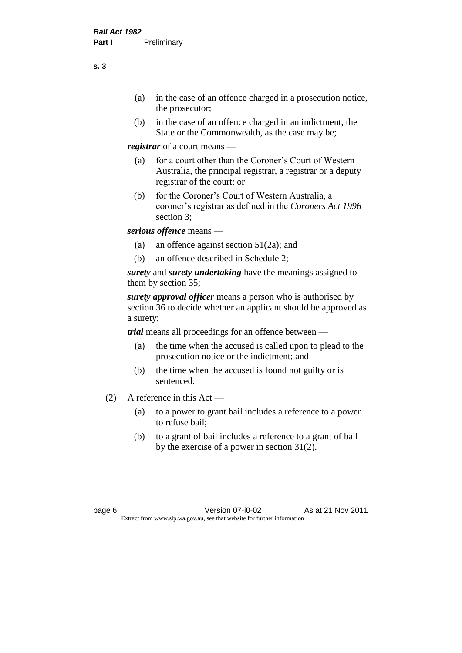- (a) in the case of an offence charged in a prosecution notice, the prosecutor;
- (b) in the case of an offence charged in an indictment, the State or the Commonwealth, as the case may be;

*registrar* of a court means —

- (a) for a court other than the Coroner's Court of Western Australia, the principal registrar, a registrar or a deputy registrar of the court; or
- (b) for the Coroner's Court of Western Australia, a coroner's registrar as defined in the *Coroners Act 1996* section 3;

*serious offence* means —

- (a) an offence against section 51(2a); and
- (b) an offence described in Schedule 2;

*surety* and *surety undertaking* have the meanings assigned to them by section 35;

*surety approval officer* means a person who is authorised by section 36 to decide whether an applicant should be approved as a surety;

*trial* means all proceedings for an offence between —

- (a) the time when the accused is called upon to plead to the prosecution notice or the indictment; and
- (b) the time when the accused is found not guilty or is sentenced.
- (2) A reference in this Act
	- (a) to a power to grant bail includes a reference to a power to refuse bail;
	- (b) to a grant of bail includes a reference to a grant of bail by the exercise of a power in section 31(2).

page 6 Version 07-i0-02 As at 21 Nov 2011 Extract from www.slp.wa.gov.au, see that website for further information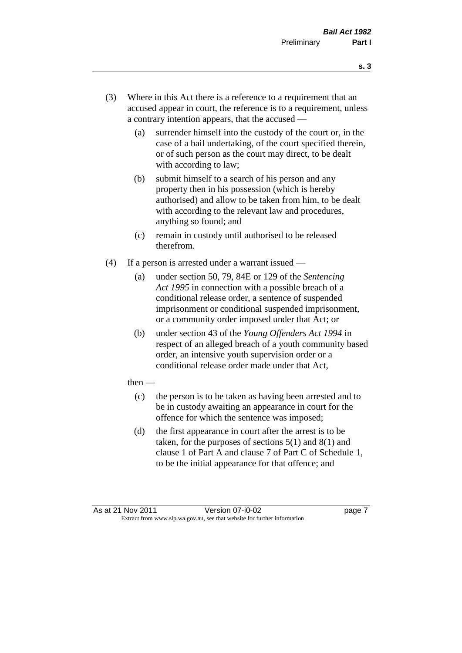- **s. 3**
- (3) Where in this Act there is a reference to a requirement that an accused appear in court, the reference is to a requirement, unless a contrary intention appears, that the accused —
	- (a) surrender himself into the custody of the court or, in the case of a bail undertaking, of the court specified therein, or of such person as the court may direct, to be dealt with according to law;
	- (b) submit himself to a search of his person and any property then in his possession (which is hereby authorised) and allow to be taken from him, to be dealt with according to the relevant law and procedures, anything so found; and
	- (c) remain in custody until authorised to be released therefrom.
- (4) If a person is arrested under a warrant issued
	- (a) under section 50, 79, 84E or 129 of the *Sentencing Act 1995* in connection with a possible breach of a conditional release order, a sentence of suspended imprisonment or conditional suspended imprisonment, or a community order imposed under that Act; or
	- (b) under section 43 of the *Young Offenders Act 1994* in respect of an alleged breach of a youth community based order, an intensive youth supervision order or a conditional release order made under that Act,
	- then
		- (c) the person is to be taken as having been arrested and to be in custody awaiting an appearance in court for the offence for which the sentence was imposed;
		- (d) the first appearance in court after the arrest is to be taken, for the purposes of sections  $5(1)$  and  $8(1)$  and clause 1 of Part A and clause 7 of Part C of Schedule 1, to be the initial appearance for that offence; and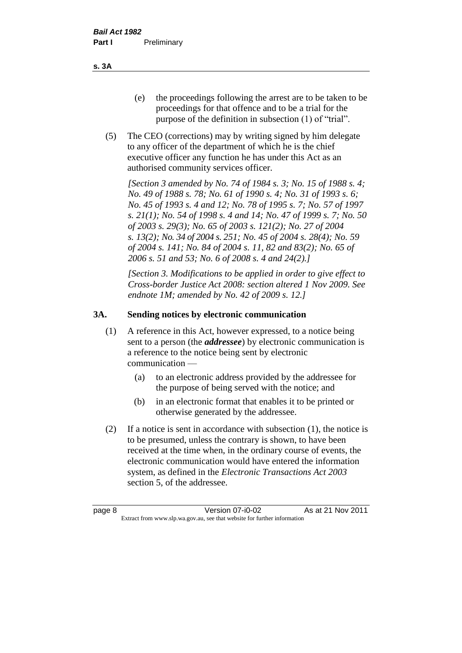- (e) the proceedings following the arrest are to be taken to be proceedings for that offence and to be a trial for the purpose of the definition in subsection (1) of "trial".
- (5) The CEO (corrections) may by writing signed by him delegate to any officer of the department of which he is the chief executive officer any function he has under this Act as an authorised community services officer.

*[Section 3 amended by No. 74 of 1984 s. 3; No. 15 of 1988 s. 4; No. 49 of 1988 s. 78; No. 61 of 1990 s. 4; No. 31 of 1993 s. 6; No. 45 of 1993 s. 4 and 12; No. 78 of 1995 s. 7; No. 57 of 1997 s. 21(1); No. 54 of 1998 s. 4 and 14; No. 47 of 1999 s. 7; No. 50 of 2003 s. 29(3); No. 65 of 2003 s. 121(2); No. 27 of 2004 s. 13(2); No. 34 of 2004 s. 251; No. 45 of 2004 s. 28(4); No. 59 of 2004 s. 141; No. 84 of 2004 s. 11, 82 and 83(2); No. 65 of 2006 s. 51 and 53; No. 6 of 2008 s. 4 and 24(2).]* 

*[Section 3. Modifications to be applied in order to give effect to Cross-border Justice Act 2008: section altered 1 Nov 2009. See endnote 1M; amended by No. 42 of 2009 s. 12.]*

#### **3A. Sending notices by electronic communication**

- (1) A reference in this Act, however expressed, to a notice being sent to a person (the *addressee*) by electronic communication is a reference to the notice being sent by electronic communication —
	- (a) to an electronic address provided by the addressee for the purpose of being served with the notice; and
	- (b) in an electronic format that enables it to be printed or otherwise generated by the addressee.
- (2) If a notice is sent in accordance with subsection (1), the notice is to be presumed, unless the contrary is shown, to have been received at the time when, in the ordinary course of events, the electronic communication would have entered the information system, as defined in the *Electronic Transactions Act 2003* section 5, of the addressee.

**s. 3A**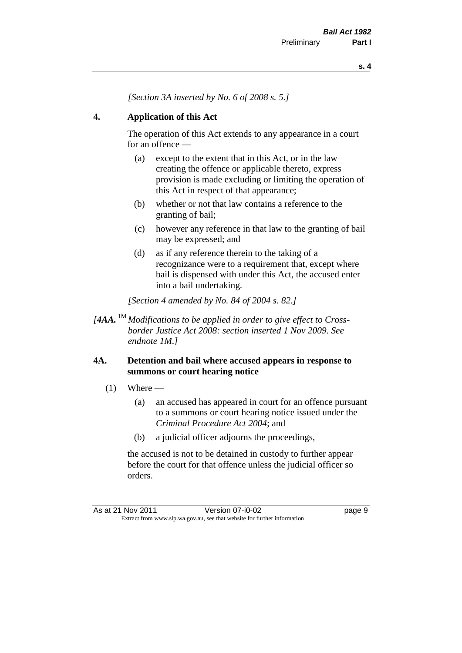*[Section 3A inserted by No. 6 of 2008 s. 5.]*

#### **4. Application of this Act**

The operation of this Act extends to any appearance in a court for an offence —

- (a) except to the extent that in this Act, or in the law creating the offence or applicable thereto, express provision is made excluding or limiting the operation of this Act in respect of that appearance;
- (b) whether or not that law contains a reference to the granting of bail;
- (c) however any reference in that law to the granting of bail may be expressed; and
- (d) as if any reference therein to the taking of a recognizance were to a requirement that, except where bail is dispensed with under this Act, the accused enter into a bail undertaking.

*[Section 4 amended by No. 84 of 2004 s. 82.]*

*[4AA.* 1M *Modifications to be applied in order to give effect to Crossborder Justice Act 2008: section inserted 1 Nov 2009. See endnote 1M.]*

#### **4A. Detention and bail where accused appears in response to summons or court hearing notice**

- $(1)$  Where
	- (a) an accused has appeared in court for an offence pursuant to a summons or court hearing notice issued under the *Criminal Procedure Act 2004*; and
	- (b) a judicial officer adjourns the proceedings,

the accused is not to be detained in custody to further appear before the court for that offence unless the judicial officer so orders.

As at 21 Nov 2011 Version 07-i0-02 Page 9 Extract from www.slp.wa.gov.au, see that website for further information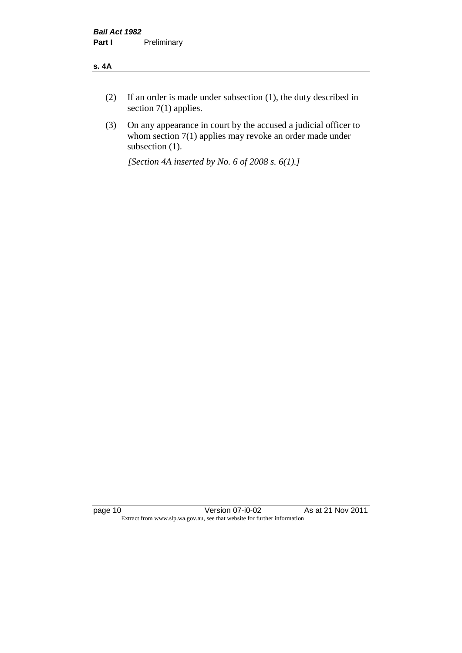#### **s. 4A**

- (2) If an order is made under subsection (1), the duty described in section 7(1) applies.
- (3) On any appearance in court by the accused a judicial officer to whom section 7(1) applies may revoke an order made under subsection (1).

*[Section 4A inserted by No. 6 of 2008 s. 6(1).]*

page 10 Version 07-i0-02 As at 21 Nov 2011 Extract from www.slp.wa.gov.au, see that website for further information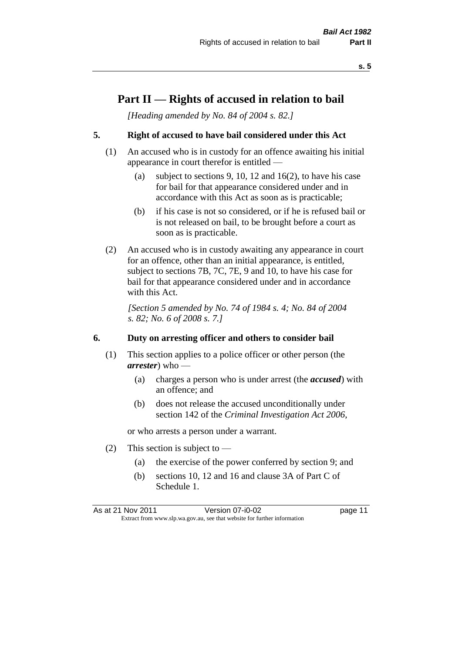### **Part II — Rights of accused in relation to bail**

*[Heading amended by No. 84 of 2004 s. 82.]* 

#### **5. Right of accused to have bail considered under this Act**

- (1) An accused who is in custody for an offence awaiting his initial appearance in court therefor is entitled —
	- (a) subject to sections 9, 10, 12 and 16(2), to have his case for bail for that appearance considered under and in accordance with this Act as soon as is practicable;
	- (b) if his case is not so considered, or if he is refused bail or is not released on bail, to be brought before a court as soon as is practicable.
- (2) An accused who is in custody awaiting any appearance in court for an offence, other than an initial appearance, is entitled, subject to sections 7B, 7C, 7E, 9 and 10, to have his case for bail for that appearance considered under and in accordance with this Act.

*[Section 5 amended by No. 74 of 1984 s. 4; No. 84 of 2004 s. 82; No. 6 of 2008 s. 7.]* 

#### **6. Duty on arresting officer and others to consider bail**

- (1) This section applies to a police officer or other person (the *arrester*) who —
	- (a) charges a person who is under arrest (the *accused*) with an offence; and
	- (b) does not release the accused unconditionally under section 142 of the *Criminal Investigation Act 2006*,

or who arrests a person under a warrant.

- (2) This section is subject to  $-$ 
	- (a) the exercise of the power conferred by section 9; and
	- (b) sections 10, 12 and 16 and clause 3A of Part C of Schedule 1.

As at 21 Nov 2011 Version 07-i0-02 page 11 Extract from www.slp.wa.gov.au, see that website for further information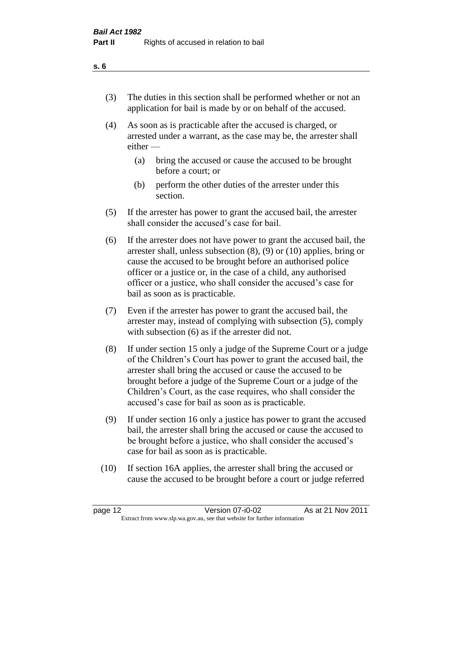- (3) The duties in this section shall be performed whether or not an application for bail is made by or on behalf of the accused.
- (4) As soon as is practicable after the accused is charged, or arrested under a warrant, as the case may be, the arrester shall either —
	- (a) bring the accused or cause the accused to be brought before a court; or
	- (b) perform the other duties of the arrester under this section.
- (5) If the arrester has power to grant the accused bail, the arrester shall consider the accused's case for bail.
- (6) If the arrester does not have power to grant the accused bail, the arrester shall, unless subsection (8), (9) or (10) applies, bring or cause the accused to be brought before an authorised police officer or a justice or, in the case of a child, any authorised officer or a justice, who shall consider the accused's case for bail as soon as is practicable.
- (7) Even if the arrester has power to grant the accused bail, the arrester may, instead of complying with subsection (5), comply with subsection (6) as if the arrester did not.
- (8) If under section 15 only a judge of the Supreme Court or a judge of the Children's Court has power to grant the accused bail, the arrester shall bring the accused or cause the accused to be brought before a judge of the Supreme Court or a judge of the Children's Court, as the case requires, who shall consider the accused's case for bail as soon as is practicable.
- (9) If under section 16 only a justice has power to grant the accused bail, the arrester shall bring the accused or cause the accused to be brought before a justice, who shall consider the accused's case for bail as soon as is practicable.
- (10) If section 16A applies, the arrester shall bring the accused or cause the accused to be brought before a court or judge referred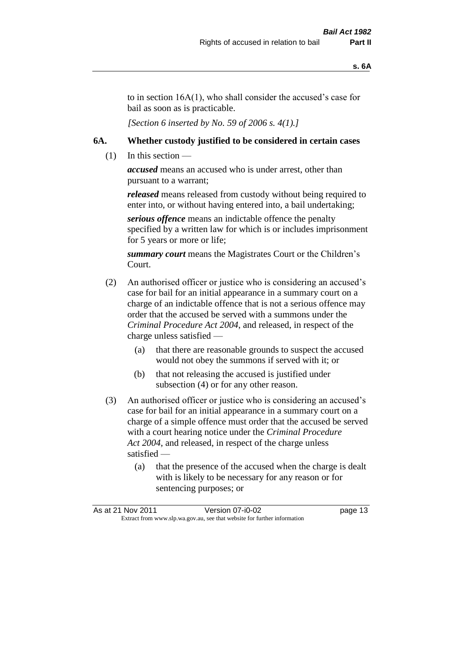to in section 16A(1), who shall consider the accused's case for bail as soon as is practicable.

*[Section 6 inserted by No. 59 of 2006 s. 4(1).]* 

#### **6A. Whether custody justified to be considered in certain cases**

 $(1)$  In this section —

*accused* means an accused who is under arrest, other than pursuant to a warrant;

*released* means released from custody without being required to enter into, or without having entered into, a bail undertaking;

*serious offence* means an indictable offence the penalty specified by a written law for which is or includes imprisonment for 5 years or more or life;

*summary court* means the Magistrates Court or the Children's Court.

- (2) An authorised officer or justice who is considering an accused's case for bail for an initial appearance in a summary court on a charge of an indictable offence that is not a serious offence may order that the accused be served with a summons under the *Criminal Procedure Act 2004*, and released, in respect of the charge unless satisfied —
	- (a) that there are reasonable grounds to suspect the accused would not obey the summons if served with it; or
	- (b) that not releasing the accused is justified under subsection (4) or for any other reason.
- (3) An authorised officer or justice who is considering an accused's case for bail for an initial appearance in a summary court on a charge of a simple offence must order that the accused be served with a court hearing notice under the *Criminal Procedure Act 2004*, and released, in respect of the charge unless satisfied —
	- (a) that the presence of the accused when the charge is dealt with is likely to be necessary for any reason or for sentencing purposes; or

| As at 21 Nov 2011 | Version 07-i0-02                                                         | page 13 |
|-------------------|--------------------------------------------------------------------------|---------|
|                   | Extract from www.slp.wa.gov.au, see that website for further information |         |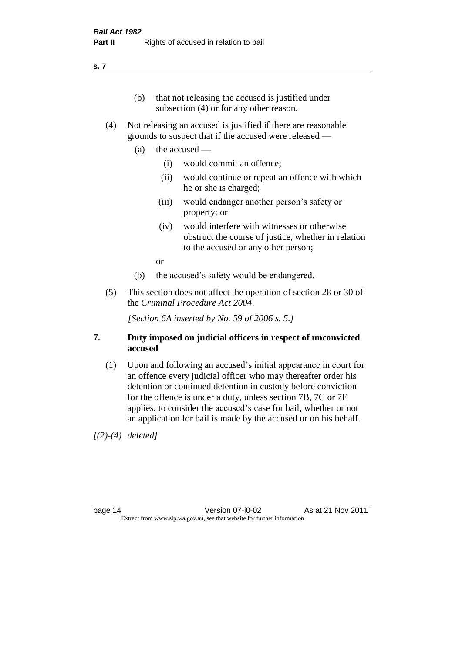#### **s. 7**

- (b) that not releasing the accused is justified under subsection (4) or for any other reason.
- (4) Not releasing an accused is justified if there are reasonable grounds to suspect that if the accused were released —
	- (a) the accused
		- (i) would commit an offence;
		- (ii) would continue or repeat an offence with which he or she is charged;
		- (iii) would endanger another person's safety or property; or
		- (iv) would interfere with witnesses or otherwise obstruct the course of justice, whether in relation to the accused or any other person;

or

- (b) the accused's safety would be endangered.
- (5) This section does not affect the operation of section 28 or 30 of the *Criminal Procedure Act 2004*.

*[Section 6A inserted by No. 59 of 2006 s. 5.]* 

#### **7. Duty imposed on judicial officers in respect of unconvicted accused**

(1) Upon and following an accused's initial appearance in court for an offence every judicial officer who may thereafter order his detention or continued detention in custody before conviction for the offence is under a duty, unless section 7B, 7C or 7E applies, to consider the accused's case for bail, whether or not an application for bail is made by the accused or on his behalf.

*[(2)-(4) deleted]*

page 14 Version 07-i0-02 As at 21 Nov 2011 Extract from www.slp.wa.gov.au, see that website for further information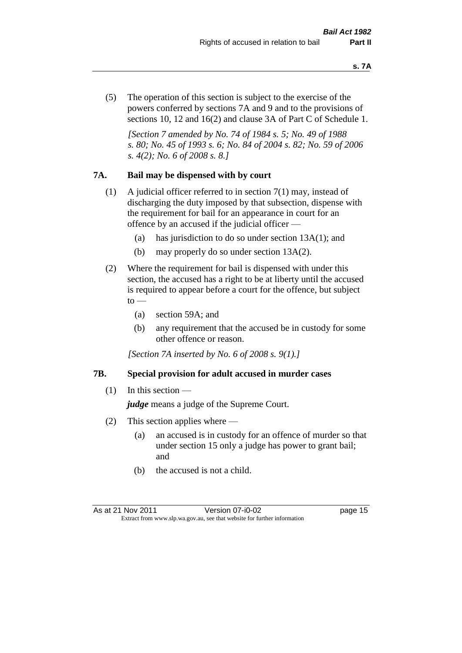(5) The operation of this section is subject to the exercise of the powers conferred by sections 7A and 9 and to the provisions of sections 10, 12 and 16(2) and clause 3A of Part C of Schedule 1.

*[Section 7 amended by No. 74 of 1984 s. 5; No. 49 of 1988 s. 80; No. 45 of 1993 s. 6; No. 84 of 2004 s. 82; No. 59 of 2006 s. 4(2); No. 6 of 2008 s. 8.]* 

#### **7A. Bail may be dispensed with by court**

- (1) A judicial officer referred to in section 7(1) may, instead of discharging the duty imposed by that subsection, dispense with the requirement for bail for an appearance in court for an offence by an accused if the judicial officer —
	- (a) has jurisdiction to do so under section 13A(1); and
	- (b) may properly do so under section 13A(2).
- (2) Where the requirement for bail is dispensed with under this section, the accused has a right to be at liberty until the accused is required to appear before a court for the offence, but subject  $\mathrm{to}$  —
	- (a) section 59A; and
	- (b) any requirement that the accused be in custody for some other offence or reason.

*[Section 7A inserted by No. 6 of 2008 s. 9(1).]*

#### **7B. Special provision for adult accused in murder cases**

 $(1)$  In this section —

*judge* means a judge of the Supreme Court.

- (2) This section applies where
	- (a) an accused is in custody for an offence of murder so that under section 15 only a judge has power to grant bail; and
	- (b) the accused is not a child.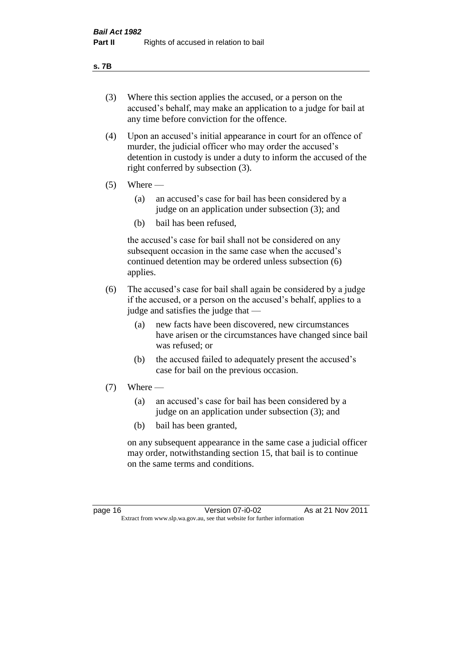#### **s. 7B**

- (3) Where this section applies the accused, or a person on the accused's behalf, may make an application to a judge for bail at any time before conviction for the offence.
- (4) Upon an accused's initial appearance in court for an offence of murder, the judicial officer who may order the accused's detention in custody is under a duty to inform the accused of the right conferred by subsection (3).
- $(5)$  Where
	- (a) an accused's case for bail has been considered by a judge on an application under subsection (3); and
	- (b) bail has been refused,

the accused's case for bail shall not be considered on any subsequent occasion in the same case when the accused's continued detention may be ordered unless subsection (6) applies.

- (6) The accused's case for bail shall again be considered by a judge if the accused, or a person on the accused's behalf, applies to a judge and satisfies the judge that —
	- (a) new facts have been discovered, new circumstances have arisen or the circumstances have changed since bail was refused; or
	- (b) the accused failed to adequately present the accused's case for bail on the previous occasion.
- $(7)$  Where
	- (a) an accused's case for bail has been considered by a judge on an application under subsection (3); and
	- (b) bail has been granted,

on any subsequent appearance in the same case a judicial officer may order, notwithstanding section 15, that bail is to continue on the same terms and conditions.

page 16 Version 07-i0-02 As at 21 Nov 2011 Extract from www.slp.wa.gov.au, see that website for further information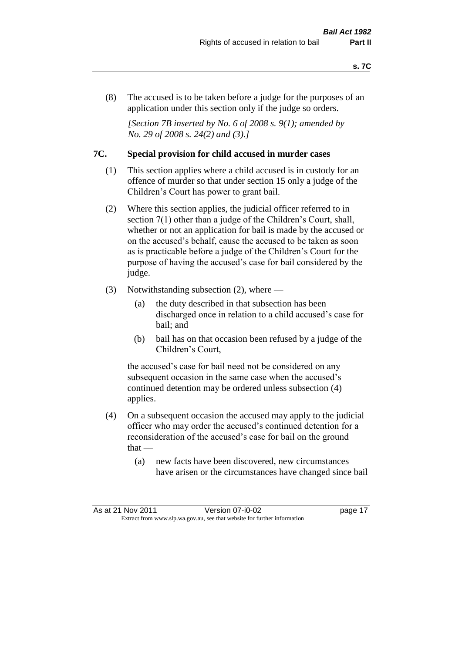(8) The accused is to be taken before a judge for the purposes of an application under this section only if the judge so orders.

*[Section 7B inserted by No. 6 of 2008 s. 9(1); amended by No. 29 of 2008 s. 24(2) and (3).]*

#### **7C. Special provision for child accused in murder cases**

- (1) This section applies where a child accused is in custody for an offence of murder so that under section 15 only a judge of the Children's Court has power to grant bail.
- (2) Where this section applies, the judicial officer referred to in section 7(1) other than a judge of the Children's Court, shall, whether or not an application for bail is made by the accused or on the accused's behalf, cause the accused to be taken as soon as is practicable before a judge of the Children's Court for the purpose of having the accused's case for bail considered by the judge.
- (3) Notwithstanding subsection (2), where
	- (a) the duty described in that subsection has been discharged once in relation to a child accused's case for bail; and
	- (b) bail has on that occasion been refused by a judge of the Children's Court,

the accused's case for bail need not be considered on any subsequent occasion in the same case when the accused's continued detention may be ordered unless subsection (4) applies.

- (4) On a subsequent occasion the accused may apply to the judicial officer who may order the accused's continued detention for a reconsideration of the accused's case for bail on the ground  $that -$ 
	- (a) new facts have been discovered, new circumstances have arisen or the circumstances have changed since bail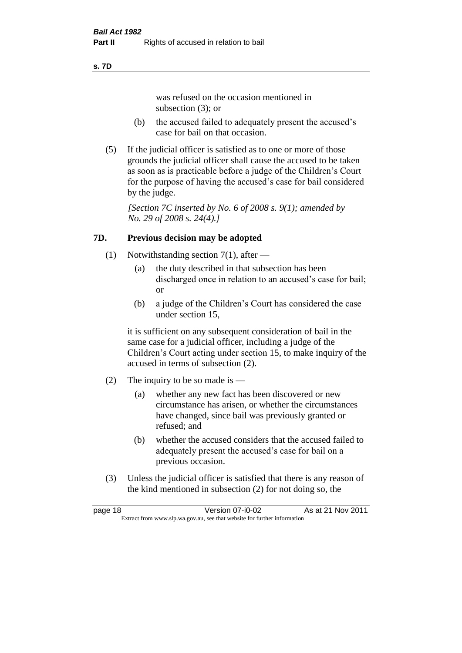#### **s. 7D**

was refused on the occasion mentioned in subsection (3); or

- (b) the accused failed to adequately present the accused's case for bail on that occasion.
- (5) If the judicial officer is satisfied as to one or more of those grounds the judicial officer shall cause the accused to be taken as soon as is practicable before a judge of the Children's Court for the purpose of having the accused's case for bail considered by the judge.

*[Section 7C inserted by No. 6 of 2008 s. 9(1); amended by No. 29 of 2008 s. 24(4).]*

#### **7D. Previous decision may be adopted**

- (1) Notwithstanding section 7(1), after
	- (a) the duty described in that subsection has been discharged once in relation to an accused's case for bail; or
	- (b) a judge of the Children's Court has considered the case under section 15,

it is sufficient on any subsequent consideration of bail in the same case for a judicial officer, including a judge of the Children's Court acting under section 15, to make inquiry of the accused in terms of subsection (2).

- (2) The inquiry to be so made is  $-$ 
	- (a) whether any new fact has been discovered or new circumstance has arisen, or whether the circumstances have changed, since bail was previously granted or refused; and
	- (b) whether the accused considers that the accused failed to adequately present the accused's case for bail on a previous occasion.
- (3) Unless the judicial officer is satisfied that there is any reason of the kind mentioned in subsection (2) for not doing so, the

page 18 Version 07-i0-02 As at 21 Nov 2011 Extract from www.slp.wa.gov.au, see that website for further information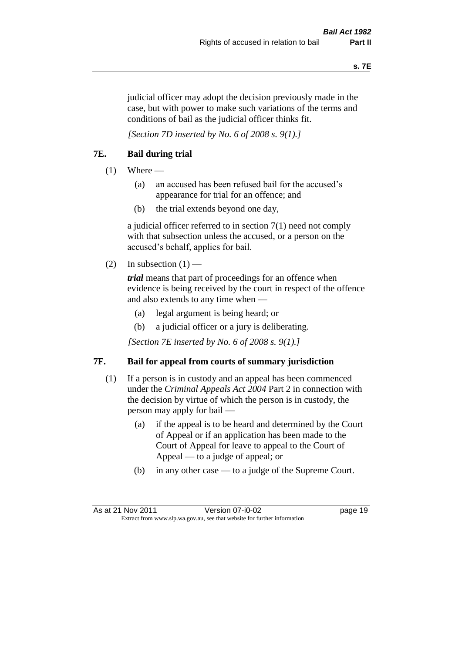judicial officer may adopt the decision previously made in the case, but with power to make such variations of the terms and conditions of bail as the judicial officer thinks fit.

*[Section 7D inserted by No. 6 of 2008 s. 9(1).]*

#### **7E. Bail during trial**

- $(1)$  Where
	- (a) an accused has been refused bail for the accused's appearance for trial for an offence; and
	- (b) the trial extends beyond one day,

a judicial officer referred to in section 7(1) need not comply with that subsection unless the accused, or a person on the accused's behalf, applies for bail.

(2) In subsection  $(1)$  —

*trial* means that part of proceedings for an offence when evidence is being received by the court in respect of the offence and also extends to any time when —

- (a) legal argument is being heard; or
- (b) a judicial officer or a jury is deliberating.

*[Section 7E inserted by No. 6 of 2008 s. 9(1).]*

#### **7F. Bail for appeal from courts of summary jurisdiction**

- (1) If a person is in custody and an appeal has been commenced under the *Criminal Appeals Act 2004* Part 2 in connection with the decision by virtue of which the person is in custody, the person may apply for bail —
	- (a) if the appeal is to be heard and determined by the Court of Appeal or if an application has been made to the Court of Appeal for leave to appeal to the Court of Appeal — to a judge of appeal; or
	- (b) in any other case to a judge of the Supreme Court.

As at 21 Nov 2011 Version 07-i0-02 page 19 Extract from www.slp.wa.gov.au, see that website for further information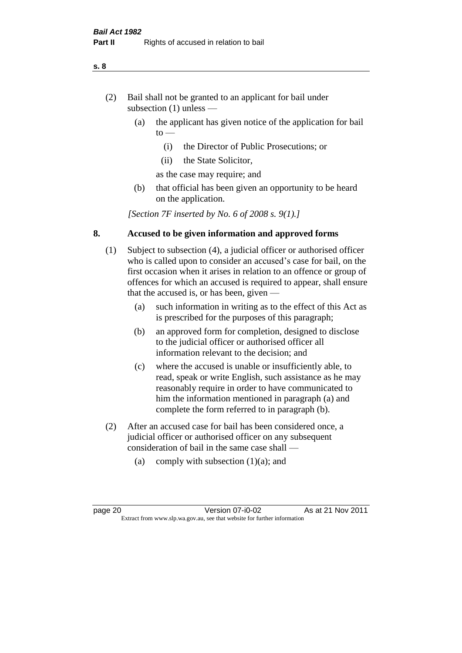- (2) Bail shall not be granted to an applicant for bail under subsection (1) unless —
	- (a) the applicant has given notice of the application for bail  $to -$ 
		- (i) the Director of Public Prosecutions; or
		- (ii) the State Solicitor,
		- as the case may require; and
	- (b) that official has been given an opportunity to be heard on the application.

*[Section 7F inserted by No. 6 of 2008 s. 9(1).]*

#### **8. Accused to be given information and approved forms**

- (1) Subject to subsection (4), a judicial officer or authorised officer who is called upon to consider an accused's case for bail, on the first occasion when it arises in relation to an offence or group of offences for which an accused is required to appear, shall ensure that the accused is, or has been, given —
	- (a) such information in writing as to the effect of this Act as is prescribed for the purposes of this paragraph;
	- (b) an approved form for completion, designed to disclose to the judicial officer or authorised officer all information relevant to the decision; and
	- (c) where the accused is unable or insufficiently able, to read, speak or write English, such assistance as he may reasonably require in order to have communicated to him the information mentioned in paragraph (a) and complete the form referred to in paragraph (b).
- (2) After an accused case for bail has been considered once, a judicial officer or authorised officer on any subsequent consideration of bail in the same case shall —
	- (a) comply with subsection  $(1)(a)$ ; and

#### **s. 8**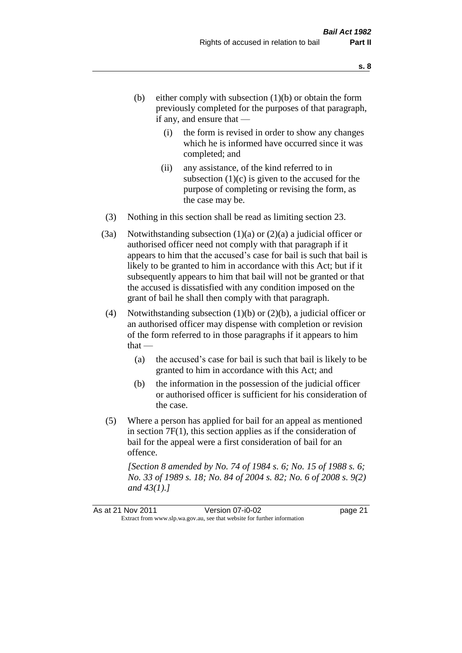- (b) either comply with subsection  $(1)(b)$  or obtain the form previously completed for the purposes of that paragraph, if any, and ensure that —
	- (i) the form is revised in order to show any changes which he is informed have occurred since it was completed; and
	- (ii) any assistance, of the kind referred to in subsection  $(1)(c)$  is given to the accused for the purpose of completing or revising the form, as the case may be.
- (3) Nothing in this section shall be read as limiting section 23.
- (3a) Notwithstanding subsection  $(1)(a)$  or  $(2)(a)$  a judicial officer or authorised officer need not comply with that paragraph if it appears to him that the accused's case for bail is such that bail is likely to be granted to him in accordance with this Act; but if it subsequently appears to him that bail will not be granted or that the accused is dissatisfied with any condition imposed on the grant of bail he shall then comply with that paragraph.
- (4) Notwithstanding subsection (1)(b) or (2)(b), a judicial officer or an authorised officer may dispense with completion or revision of the form referred to in those paragraphs if it appears to him  $that -$ 
	- (a) the accused's case for bail is such that bail is likely to be granted to him in accordance with this Act; and
	- (b) the information in the possession of the judicial officer or authorised officer is sufficient for his consideration of the case.
- (5) Where a person has applied for bail for an appeal as mentioned in section 7F(1), this section applies as if the consideration of bail for the appeal were a first consideration of bail for an offence.

*[Section 8 amended by No. 74 of 1984 s. 6; No. 15 of 1988 s. 6; No. 33 of 1989 s. 18; No. 84 of 2004 s. 82; No. 6 of 2008 s. 9(2) and 43(1).]*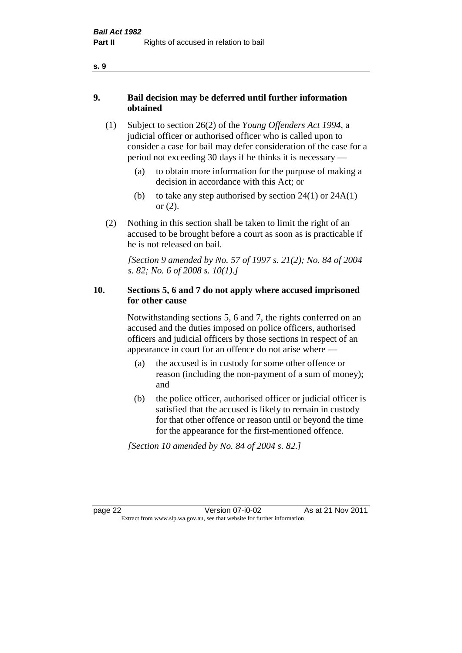- **9. Bail decision may be deferred until further information obtained** 
	- (1) Subject to section 26(2) of the *Young Offenders Act 1994*, a judicial officer or authorised officer who is called upon to consider a case for bail may defer consideration of the case for a period not exceeding 30 days if he thinks it is necessary —
		- (a) to obtain more information for the purpose of making a decision in accordance with this Act; or
		- (b) to take any step authorised by section  $24(1)$  or  $24A(1)$ or (2).
	- (2) Nothing in this section shall be taken to limit the right of an accused to be brought before a court as soon as is practicable if he is not released on bail.

*[Section 9 amended by No. 57 of 1997 s. 21(2); No. 84 of 2004 s. 82; No. 6 of 2008 s. 10(1).]*

#### **10. Sections 5, 6 and 7 do not apply where accused imprisoned for other cause**

Notwithstanding sections 5, 6 and 7, the rights conferred on an accused and the duties imposed on police officers, authorised officers and judicial officers by those sections in respect of an appearance in court for an offence do not arise where —

- (a) the accused is in custody for some other offence or reason (including the non-payment of a sum of money); and
- (b) the police officer, authorised officer or judicial officer is satisfied that the accused is likely to remain in custody for that other offence or reason until or beyond the time for the appearance for the first-mentioned offence.

*[Section 10 amended by No. 84 of 2004 s. 82.]*

page 22 Version 07-i0-02 As at 21 Nov 2011 Extract from www.slp.wa.gov.au, see that website for further information

**s. 9**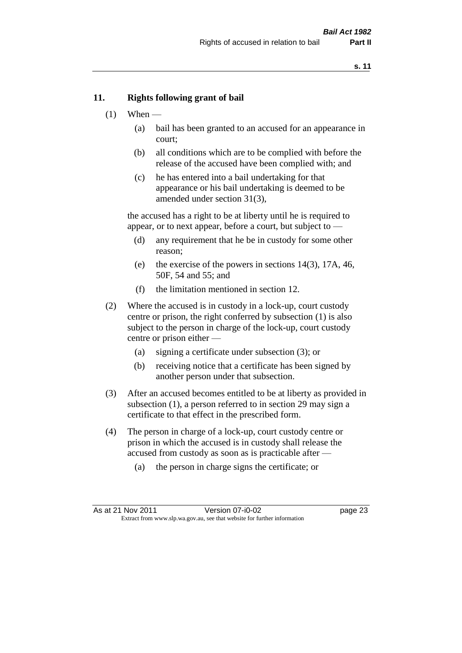#### **11. Rights following grant of bail**

- $(1)$  When
	- (a) bail has been granted to an accused for an appearance in court;
	- (b) all conditions which are to be complied with before the release of the accused have been complied with; and
	- (c) he has entered into a bail undertaking for that appearance or his bail undertaking is deemed to be amended under section 31(3),

the accused has a right to be at liberty until he is required to appear, or to next appear, before a court, but subject to —

- (d) any requirement that he be in custody for some other reason;
- (e) the exercise of the powers in sections 14(3), 17A, 46, 50F, 54 and 55; and
- (f) the limitation mentioned in section 12.
- (2) Where the accused is in custody in a lock-up, court custody centre or prison, the right conferred by subsection (1) is also subject to the person in charge of the lock-up, court custody centre or prison either —
	- (a) signing a certificate under subsection (3); or
	- (b) receiving notice that a certificate has been signed by another person under that subsection.
- (3) After an accused becomes entitled to be at liberty as provided in subsection (1), a person referred to in section 29 may sign a certificate to that effect in the prescribed form.
- (4) The person in charge of a lock-up, court custody centre or prison in which the accused is in custody shall release the accused from custody as soon as is practicable after —
	- (a) the person in charge signs the certificate; or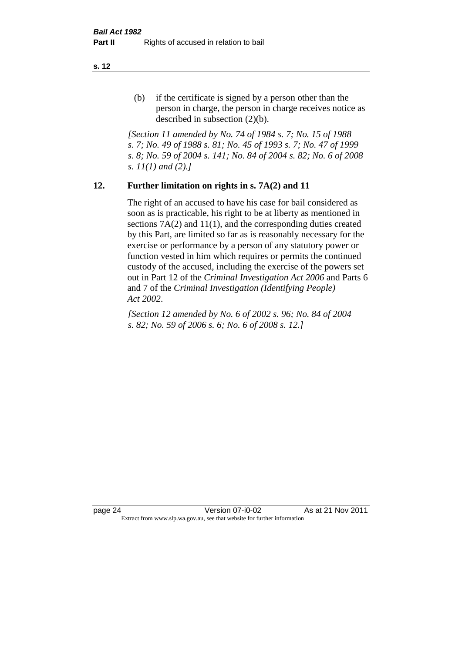(b) if the certificate is signed by a person other than the person in charge, the person in charge receives notice as described in subsection (2)(b).

*[Section 11 amended by No. 74 of 1984 s. 7; No. 15 of 1988 s. 7; No. 49 of 1988 s. 81; No. 45 of 1993 s. 7; No. 47 of 1999 s. 8; No. 59 of 2004 s. 141; No. 84 of 2004 s. 82; No. 6 of 2008 s. 11(1) and (2).]* 

#### **12. Further limitation on rights in s. 7A(2) and 11**

The right of an accused to have his case for bail considered as soon as is practicable, his right to be at liberty as mentioned in sections 7A(2) and 11(1), and the corresponding duties created by this Part, are limited so far as is reasonably necessary for the exercise or performance by a person of any statutory power or function vested in him which requires or permits the continued custody of the accused, including the exercise of the powers set out in Part 12 of the *Criminal Investigation Act 2006* and Parts 6 and 7 of the *Criminal Investigation (Identifying People) Act 2002*.

*[Section 12 amended by No. 6 of 2002 s. 96; No. 84 of 2004 s. 82; No. 59 of 2006 s. 6; No. 6 of 2008 s. 12.]*

page 24 Version 07-i0-02 As at 21 Nov 2011 Extract from www.slp.wa.gov.au, see that website for further information

**s. 12**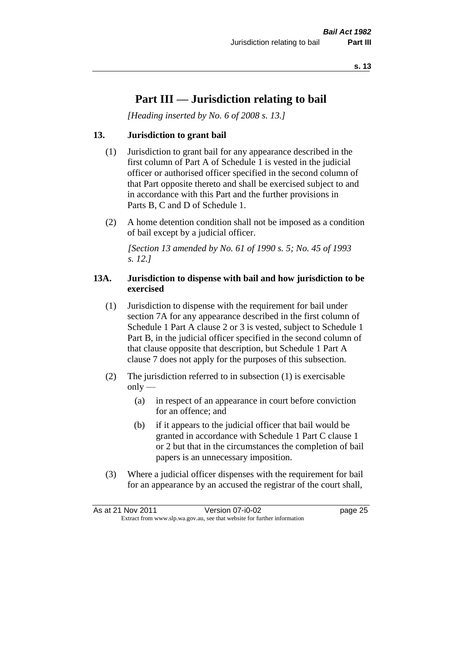### **Part III — Jurisdiction relating to bail**

*[Heading inserted by No. 6 of 2008 s. 13.]*

#### **13. Jurisdiction to grant bail**

- (1) Jurisdiction to grant bail for any appearance described in the first column of Part A of Schedule 1 is vested in the judicial officer or authorised officer specified in the second column of that Part opposite thereto and shall be exercised subject to and in accordance with this Part and the further provisions in Parts B, C and D of Schedule 1.
- (2) A home detention condition shall not be imposed as a condition of bail except by a judicial officer.

*[Section 13 amended by No. 61 of 1990 s. 5; No. 45 of 1993 s. 12.]* 

#### **13A. Jurisdiction to dispense with bail and how jurisdiction to be exercised**

- (1) Jurisdiction to dispense with the requirement for bail under section 7A for any appearance described in the first column of Schedule 1 Part A clause 2 or 3 is vested, subject to Schedule 1 Part B, in the judicial officer specified in the second column of that clause opposite that description, but Schedule 1 Part A clause 7 does not apply for the purposes of this subsection.
- (2) The jurisdiction referred to in subsection (1) is exercisable  $only$ —
	- (a) in respect of an appearance in court before conviction for an offence; and
	- (b) if it appears to the judicial officer that bail would be granted in accordance with Schedule 1 Part C clause 1 or 2 but that in the circumstances the completion of bail papers is an unnecessary imposition.
- (3) Where a judicial officer dispenses with the requirement for bail for an appearance by an accused the registrar of the court shall,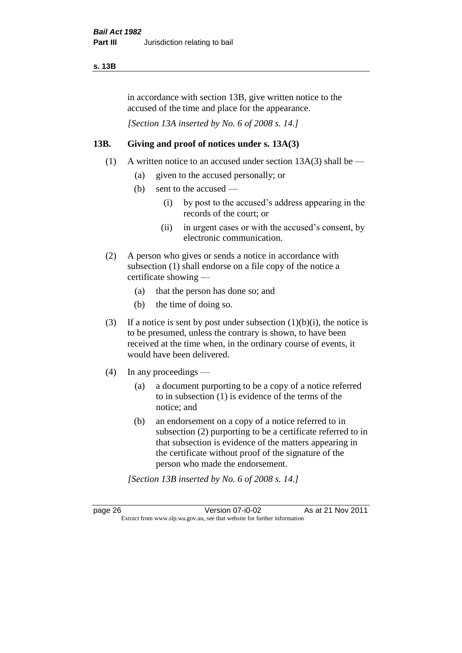#### **s. 13B**

in accordance with section 13B, give written notice to the accused of the time and place for the appearance.

*[Section 13A inserted by No. 6 of 2008 s. 14.]*

#### **13B. Giving and proof of notices under s. 13A(3)**

- (1) A written notice to an accused under section  $13A(3)$  shall be
	- (a) given to the accused personally; or
	- (b) sent to the accused
		- (i) by post to the accused's address appearing in the records of the court; or
		- (ii) in urgent cases or with the accused's consent, by electronic communication.
- (2) A person who gives or sends a notice in accordance with subsection (1) shall endorse on a file copy of the notice a certificate showing —
	- (a) that the person has done so; and
	- (b) the time of doing so.
- (3) If a notice is sent by post under subsection  $(1)(b)(i)$ , the notice is to be presumed, unless the contrary is shown, to have been received at the time when, in the ordinary course of events, it would have been delivered.
- (4) In any proceedings
	- (a) a document purporting to be a copy of a notice referred to in subsection (1) is evidence of the terms of the notice; and
	- (b) an endorsement on a copy of a notice referred to in subsection (2) purporting to be a certificate referred to in that subsection is evidence of the matters appearing in the certificate without proof of the signature of the person who made the endorsement.

*[Section 13B inserted by No. 6 of 2008 s. 14.]*

page 26 Version 07-i0-02 As at 21 Nov 2011 Extract from www.slp.wa.gov.au, see that website for further information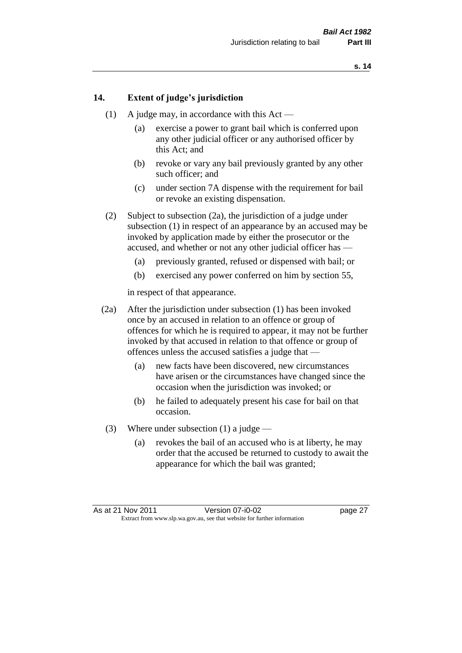#### **14. Extent of judge's jurisdiction**

- (1) A judge may, in accordance with this Act
	- (a) exercise a power to grant bail which is conferred upon any other judicial officer or any authorised officer by this Act; and
	- (b) revoke or vary any bail previously granted by any other such officer; and
	- (c) under section 7A dispense with the requirement for bail or revoke an existing dispensation.
- (2) Subject to subsection (2a), the jurisdiction of a judge under subsection (1) in respect of an appearance by an accused may be invoked by application made by either the prosecutor or the accused, and whether or not any other judicial officer has —
	- (a) previously granted, refused or dispensed with bail; or
	- (b) exercised any power conferred on him by section 55,

in respect of that appearance.

- (2a) After the jurisdiction under subsection (1) has been invoked once by an accused in relation to an offence or group of offences for which he is required to appear, it may not be further invoked by that accused in relation to that offence or group of offences unless the accused satisfies a judge that —
	- (a) new facts have been discovered, new circumstances have arisen or the circumstances have changed since the occasion when the jurisdiction was invoked; or
	- (b) he failed to adequately present his case for bail on that occasion.
- (3) Where under subsection (1) a judge
	- (a) revokes the bail of an accused who is at liberty, he may order that the accused be returned to custody to await the appearance for which the bail was granted;

As at 21 Nov 2011 Version 07-i0-02 page 27 Extract from www.slp.wa.gov.au, see that website for further information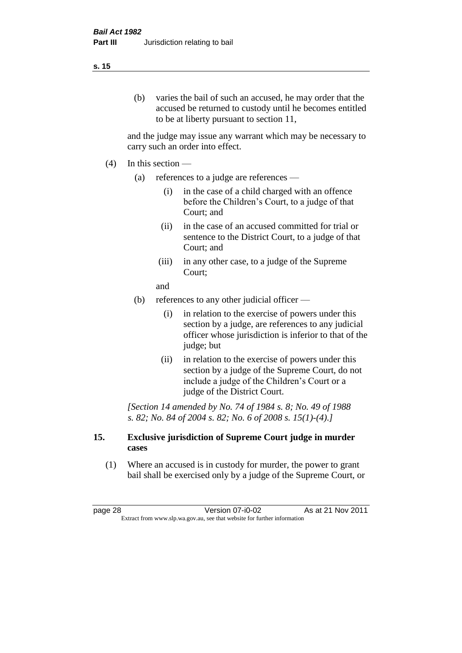#### **s. 15**

(b) varies the bail of such an accused, he may order that the accused be returned to custody until he becomes entitled to be at liberty pursuant to section 11,

and the judge may issue any warrant which may be necessary to carry such an order into effect.

- $(4)$  In this section
	- (a) references to a judge are references
		- (i) in the case of a child charged with an offence before the Children's Court, to a judge of that Court; and
		- (ii) in the case of an accused committed for trial or sentence to the District Court, to a judge of that Court; and
		- (iii) in any other case, to a judge of the Supreme Court;

and

- (b) references to any other judicial officer
	- (i) in relation to the exercise of powers under this section by a judge, are references to any judicial officer whose jurisdiction is inferior to that of the judge; but
	- (ii) in relation to the exercise of powers under this section by a judge of the Supreme Court, do not include a judge of the Children's Court or a judge of the District Court.

*[Section 14 amended by No. 74 of 1984 s. 8; No. 49 of 1988 s. 82; No. 84 of 2004 s. 82; No. 6 of 2008 s. 15(1)-(4).]* 

#### **15. Exclusive jurisdiction of Supreme Court judge in murder cases**

(1) Where an accused is in custody for murder, the power to grant bail shall be exercised only by a judge of the Supreme Court, or

page 28 Version 07-i0-02 As at 21 Nov 2011 Extract from www.slp.wa.gov.au, see that website for further information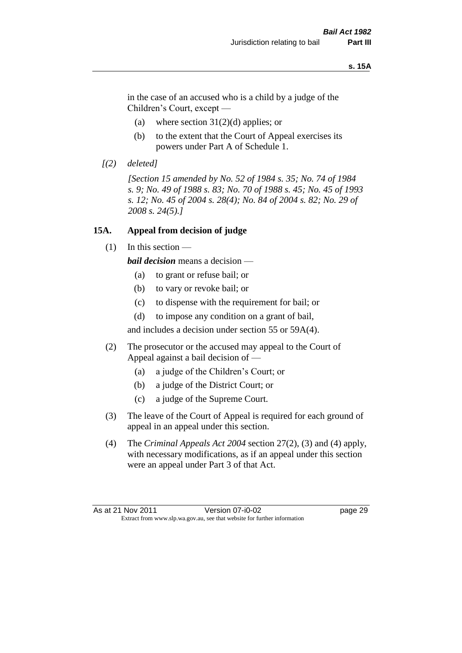#### **s. 15A**

in the case of an accused who is a child by a judge of the Children's Court, except —

- (a) where section  $31(2)(d)$  applies; or
- (b) to the extent that the Court of Appeal exercises its powers under Part A of Schedule 1.
- *[(2) deleted]*

*[Section 15 amended by No. 52 of 1984 s. 35; No. 74 of 1984 s. 9; No. 49 of 1988 s. 83; No. 70 of 1988 s. 45; No. 45 of 1993 s. 12; No. 45 of 2004 s. 28(4); No. 84 of 2004 s. 82; No. 29 of 2008 s. 24(5).]* 

#### **15A. Appeal from decision of judge**

(1) In this section —

*bail decision* means a decision —

- (a) to grant or refuse bail; or
- (b) to vary or revoke bail; or
- (c) to dispense with the requirement for bail; or
- (d) to impose any condition on a grant of bail,

and includes a decision under section 55 or 59A(4).

- (2) The prosecutor or the accused may appeal to the Court of Appeal against a bail decision of —
	- (a) a judge of the Children's Court; or
	- (b) a judge of the District Court; or
	- (c) a judge of the Supreme Court.
- (3) The leave of the Court of Appeal is required for each ground of appeal in an appeal under this section.
- (4) The *Criminal Appeals Act 2004* section 27(2), (3) and (4) apply, with necessary modifications, as if an appeal under this section were an appeal under Part 3 of that Act.

As at 21 Nov 2011 Version 07-i0-02 page 29 Extract from www.slp.wa.gov.au, see that website for further information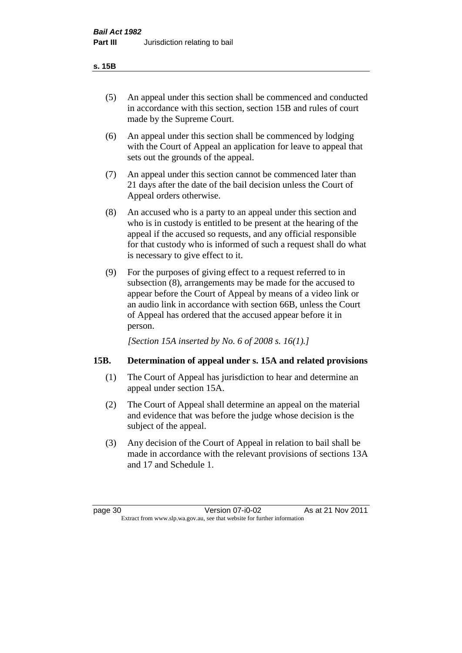#### **s. 15B**

- (5) An appeal under this section shall be commenced and conducted in accordance with this section, section 15B and rules of court made by the Supreme Court.
- (6) An appeal under this section shall be commenced by lodging with the Court of Appeal an application for leave to appeal that sets out the grounds of the appeal.
- (7) An appeal under this section cannot be commenced later than 21 days after the date of the bail decision unless the Court of Appeal orders otherwise.
- (8) An accused who is a party to an appeal under this section and who is in custody is entitled to be present at the hearing of the appeal if the accused so requests, and any official responsible for that custody who is informed of such a request shall do what is necessary to give effect to it.
- (9) For the purposes of giving effect to a request referred to in subsection (8), arrangements may be made for the accused to appear before the Court of Appeal by means of a video link or an audio link in accordance with section 66B, unless the Court of Appeal has ordered that the accused appear before it in person.

*[Section 15A inserted by No. 6 of 2008 s. 16(1).]*

# **15B. Determination of appeal under s. 15A and related provisions**

- (1) The Court of Appeal has jurisdiction to hear and determine an appeal under section 15A.
- (2) The Court of Appeal shall determine an appeal on the material and evidence that was before the judge whose decision is the subject of the appeal.
- (3) Any decision of the Court of Appeal in relation to bail shall be made in accordance with the relevant provisions of sections 13A and 17 and Schedule 1.

| page 30 |  |
|---------|--|
|         |  |

page 30 Version 07-i0-02 As at 21 Nov 2011 Extract from www.slp.wa.gov.au, see that website for further information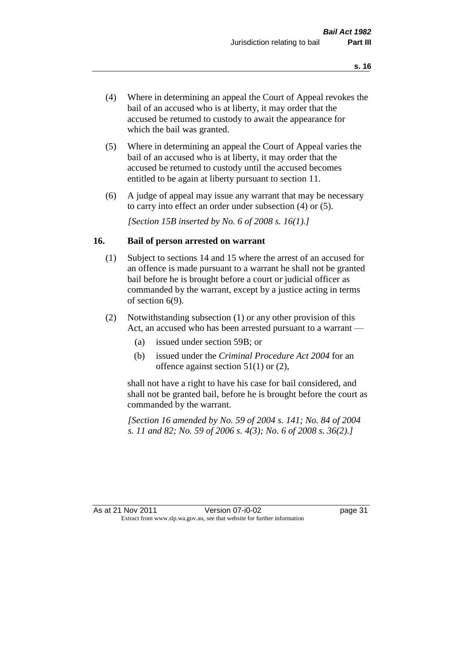- (4) Where in determining an appeal the Court of Appeal revokes the bail of an accused who is at liberty, it may order that the accused be returned to custody to await the appearance for which the bail was granted.
- (5) Where in determining an appeal the Court of Appeal varies the bail of an accused who is at liberty, it may order that the accused be returned to custody until the accused becomes entitled to be again at liberty pursuant to section 11.
- (6) A judge of appeal may issue any warrant that may be necessary to carry into effect an order under subsection (4) or (5).

*[Section 15B inserted by No. 6 of 2008 s. 16(1).]*

#### **16. Bail of person arrested on warrant**

- (1) Subject to sections 14 and 15 where the arrest of an accused for an offence is made pursuant to a warrant he shall not be granted bail before he is brought before a court or judicial officer as commanded by the warrant, except by a justice acting in terms of section 6(9).
- (2) Notwithstanding subsection (1) or any other provision of this Act, an accused who has been arrested pursuant to a warrant —
	- (a) issued under section 59B; or
	- (b) issued under the *Criminal Procedure Act 2004* for an offence against section 51(1) or (2),

shall not have a right to have his case for bail considered, and shall not be granted bail, before he is brought before the court as commanded by the warrant.

*[Section 16 amended by No. 59 of 2004 s. 141; No. 84 of 2004 s. 11 and 82; No. 59 of 2006 s. 4(3); No. 6 of 2008 s. 36(2).]*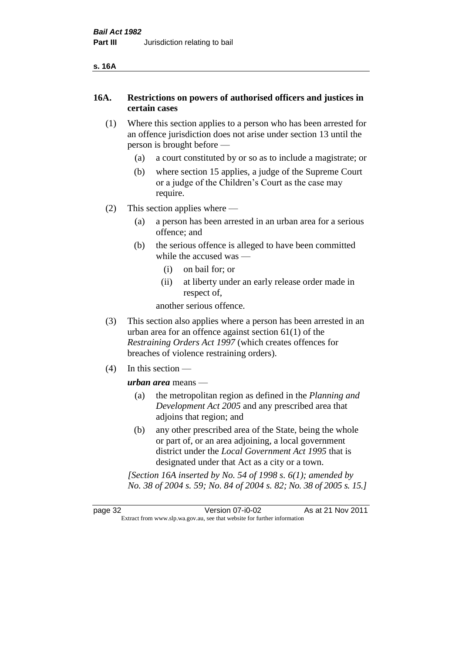| ۰, | ۰. |
|----|----|
|----|----|

# **16A. Restrictions on powers of authorised officers and justices in certain cases**

- (1) Where this section applies to a person who has been arrested for an offence jurisdiction does not arise under section 13 until the person is brought before —
	- (a) a court constituted by or so as to include a magistrate; or
	- (b) where section 15 applies, a judge of the Supreme Court or a judge of the Children's Court as the case may require.
- (2) This section applies where
	- (a) a person has been arrested in an urban area for a serious offence; and
	- (b) the serious offence is alleged to have been committed while the accused was —
		- (i) on bail for; or
		- (ii) at liberty under an early release order made in respect of,

another serious offence.

- (3) This section also applies where a person has been arrested in an urban area for an offence against section 61(1) of the *Restraining Orders Act 1997* (which creates offences for breaches of violence restraining orders).
- (4) In this section —

*urban area* means —

- (a) the metropolitan region as defined in the *Planning and Development Act 2005* and any prescribed area that adjoins that region; and
- (b) any other prescribed area of the State, being the whole or part of, or an area adjoining, a local government district under the *Local Government Act 1995* that is designated under that Act as a city or a town.

*[Section 16A inserted by No. 54 of 1998 s. 6(1); amended by No. 38 of 2004 s. 59; No. 84 of 2004 s. 82; No. 38 of 2005 s. 15.]*

page 32 Version 07-i0-02 As at 21 Nov 2011 Extract from www.slp.wa.gov.au, see that website for further information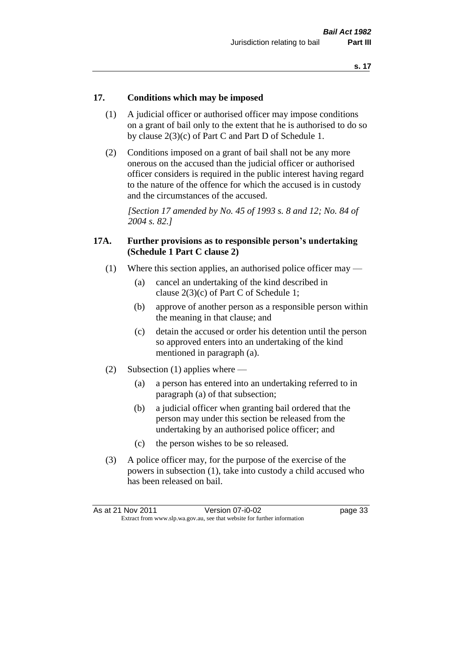#### **17. Conditions which may be imposed**

- (1) A judicial officer or authorised officer may impose conditions on a grant of bail only to the extent that he is authorised to do so by clause 2(3)(c) of Part C and Part D of Schedule 1.
- (2) Conditions imposed on a grant of bail shall not be any more onerous on the accused than the judicial officer or authorised officer considers is required in the public interest having regard to the nature of the offence for which the accused is in custody and the circumstances of the accused.

*[Section 17 amended by No. 45 of 1993 s. 8 and 12; No. 84 of 2004 s. 82.]* 

#### **17A. Further provisions as to responsible person's undertaking (Schedule 1 Part C clause 2)**

- (1) Where this section applies, an authorised police officer may
	- (a) cancel an undertaking of the kind described in clause 2(3)(c) of Part C of Schedule 1;
	- (b) approve of another person as a responsible person within the meaning in that clause; and
	- (c) detain the accused or order his detention until the person so approved enters into an undertaking of the kind mentioned in paragraph (a).
- (2) Subsection (1) applies where
	- (a) a person has entered into an undertaking referred to in paragraph (a) of that subsection;
	- (b) a judicial officer when granting bail ordered that the person may under this section be released from the undertaking by an authorised police officer; and
	- (c) the person wishes to be so released.
- (3) A police officer may, for the purpose of the exercise of the powers in subsection (1), take into custody a child accused who has been released on bail.

| As at 21 Nov 2011 | Version 07-i0-02                                                         | page 33 |
|-------------------|--------------------------------------------------------------------------|---------|
|                   | Extract from www.slp.wa.gov.au, see that website for further information |         |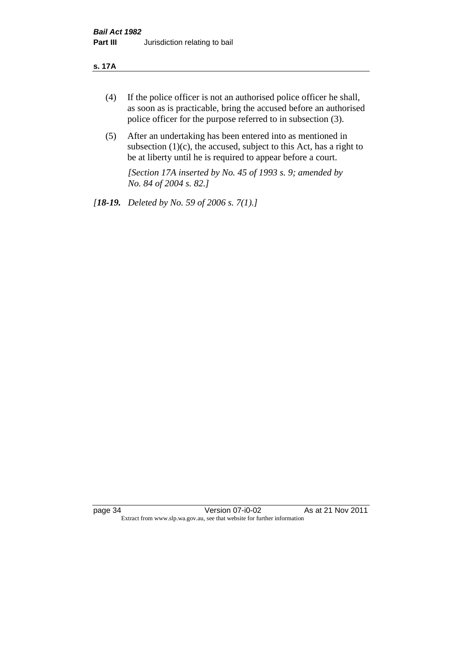#### **s. 17A**

- (4) If the police officer is not an authorised police officer he shall, as soon as is practicable, bring the accused before an authorised police officer for the purpose referred to in subsection (3).
- (5) After an undertaking has been entered into as mentioned in subsection  $(1)(c)$ , the accused, subject to this Act, has a right to be at liberty until he is required to appear before a court.

*[Section 17A inserted by No. 45 of 1993 s. 9; amended by No. 84 of 2004 s. 82.]* 

*[18-19. Deleted by No. 59 of 2006 s. 7(1).]*

page 34 Version 07-i0-02 As at 21 Nov 2011 Extract from www.slp.wa.gov.au, see that website for further information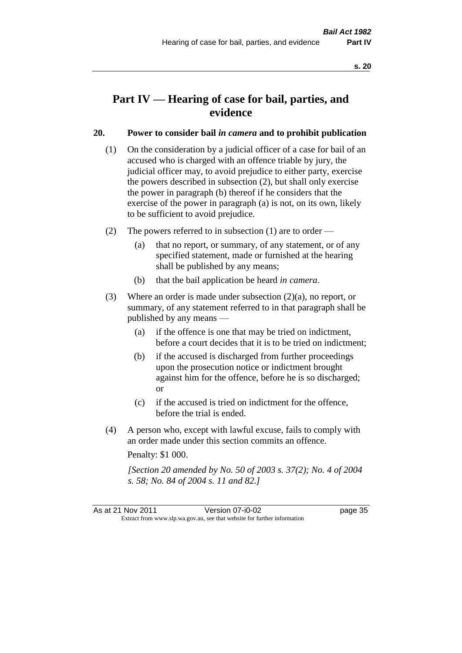# **Part IV — Hearing of case for bail, parties, and evidence**

# **20. Power to consider bail** *in camera* **and to prohibit publication**

- (1) On the consideration by a judicial officer of a case for bail of an accused who is charged with an offence triable by jury, the judicial officer may, to avoid prejudice to either party, exercise the powers described in subsection (2), but shall only exercise the power in paragraph (b) thereof if he considers that the exercise of the power in paragraph (a) is not, on its own, likely to be sufficient to avoid prejudice.
- (2) The powers referred to in subsection (1) are to order
	- (a) that no report, or summary, of any statement, or of any specified statement, made or furnished at the hearing shall be published by any means;
	- (b) that the bail application be heard *in camera*.
- (3) Where an order is made under subsection (2)(a), no report, or summary, of any statement referred to in that paragraph shall be published by any means —
	- (a) if the offence is one that may be tried on indictment, before a court decides that it is to be tried on indictment;
	- (b) if the accused is discharged from further proceedings upon the prosecution notice or indictment brought against him for the offence, before he is so discharged; or
	- (c) if the accused is tried on indictment for the offence, before the trial is ended.
- (4) A person who, except with lawful excuse, fails to comply with an order made under this section commits an offence.

Penalty: \$1 000.

*[Section 20 amended by No. 50 of 2003 s. 37(2); No. 4 of 2004 s. 58; No. 84 of 2004 s. 11 and 82.]*

As at 21 Nov 2011 Version 07-i0-02 page 35 Extract from www.slp.wa.gov.au, see that website for further information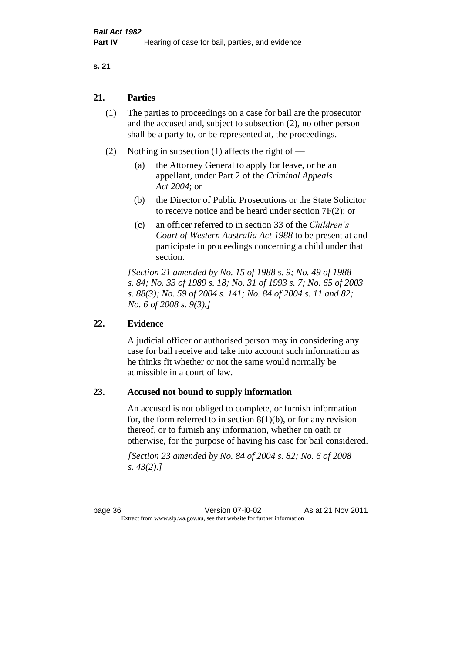#### **s. 21**

# **21. Parties**

- (1) The parties to proceedings on a case for bail are the prosecutor and the accused and, subject to subsection (2), no other person shall be a party to, or be represented at, the proceedings.
- (2) Nothing in subsection (1) affects the right of
	- (a) the Attorney General to apply for leave, or be an appellant, under Part 2 of the *Criminal Appeals Act 2004*; or
	- (b) the Director of Public Prosecutions or the State Solicitor to receive notice and be heard under section 7F(2); or
	- (c) an officer referred to in section 33 of the *Children's Court of Western Australia Act 1988* to be present at and participate in proceedings concerning a child under that section.

*[Section 21 amended by No. 15 of 1988 s. 9; No. 49 of 1988 s. 84; No. 33 of 1989 s. 18; No. 31 of 1993 s. 7; No. 65 of 2003 s. 88(3); No. 59 of 2004 s. 141; No. 84 of 2004 s. 11 and 82; No. 6 of 2008 s. 9(3).]* 

#### **22. Evidence**

A judicial officer or authorised person may in considering any case for bail receive and take into account such information as he thinks fit whether or not the same would normally be admissible in a court of law.

#### **23. Accused not bound to supply information**

An accused is not obliged to complete, or furnish information for, the form referred to in section  $8(1)(b)$ , or for any revision thereof, or to furnish any information, whether on oath or otherwise, for the purpose of having his case for bail considered.

*[Section 23 amended by No. 84 of 2004 s. 82; No. 6 of 2008 s. 43(2).]* 

page 36 Version 07-i0-02 As at 21 Nov 2011 Extract from www.slp.wa.gov.au, see that website for further information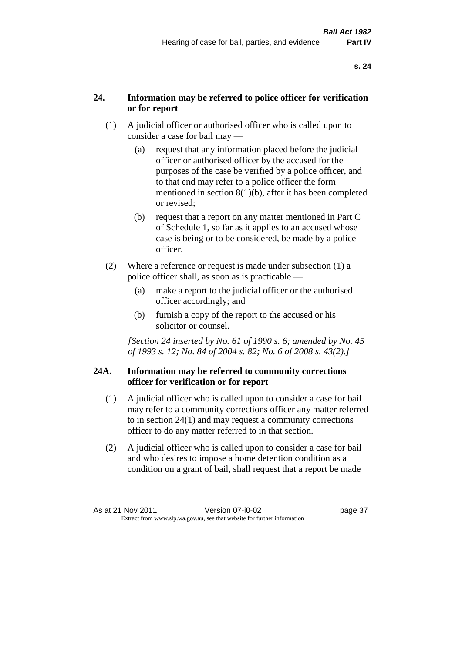# **24. Information may be referred to police officer for verification or for report**

- (1) A judicial officer or authorised officer who is called upon to consider a case for bail may —
	- (a) request that any information placed before the judicial officer or authorised officer by the accused for the purposes of the case be verified by a police officer, and to that end may refer to a police officer the form mentioned in section 8(1)(b), after it has been completed or revised;
	- (b) request that a report on any matter mentioned in Part C of Schedule 1, so far as it applies to an accused whose case is being or to be considered, be made by a police officer.
- (2) Where a reference or request is made under subsection (1) a police officer shall, as soon as is practicable —
	- (a) make a report to the judicial officer or the authorised officer accordingly; and
	- (b) furnish a copy of the report to the accused or his solicitor or counsel.

*[Section 24 inserted by No. 61 of 1990 s. 6; amended by No. 45 of 1993 s. 12; No. 84 of 2004 s. 82; No. 6 of 2008 s. 43(2).]* 

# **24A. Information may be referred to community corrections officer for verification or for report**

- (1) A judicial officer who is called upon to consider a case for bail may refer to a community corrections officer any matter referred to in section 24(1) and may request a community corrections officer to do any matter referred to in that section.
- (2) A judicial officer who is called upon to consider a case for bail and who desires to impose a home detention condition as a condition on a grant of bail, shall request that a report be made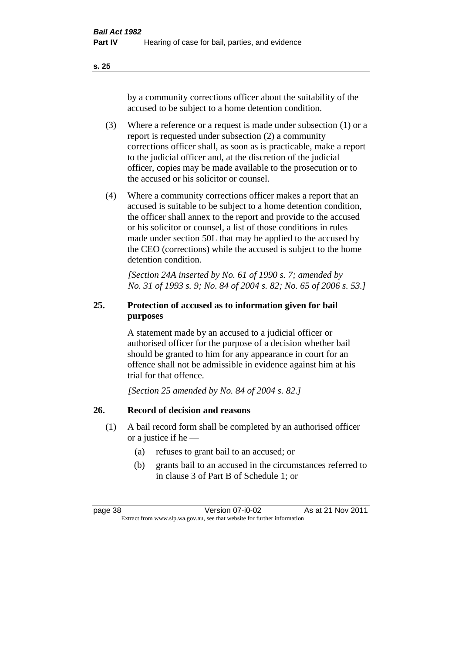**s. 25**

by a community corrections officer about the suitability of the accused to be subject to a home detention condition.

- (3) Where a reference or a request is made under subsection (1) or a report is requested under subsection (2) a community corrections officer shall, as soon as is practicable, make a report to the judicial officer and, at the discretion of the judicial officer, copies may be made available to the prosecution or to the accused or his solicitor or counsel.
- (4) Where a community corrections officer makes a report that an accused is suitable to be subject to a home detention condition, the officer shall annex to the report and provide to the accused or his solicitor or counsel, a list of those conditions in rules made under section 50L that may be applied to the accused by the CEO (corrections) while the accused is subject to the home detention condition.

*[Section 24A inserted by No. 61 of 1990 s. 7; amended by No. 31 of 1993 s. 9; No. 84 of 2004 s. 82; No. 65 of 2006 s. 53.]* 

# **25. Protection of accused as to information given for bail purposes**

A statement made by an accused to a judicial officer or authorised officer for the purpose of a decision whether bail should be granted to him for any appearance in court for an offence shall not be admissible in evidence against him at his trial for that offence.

*[Section 25 amended by No. 84 of 2004 s. 82.]* 

# **26. Record of decision and reasons**

- (1) A bail record form shall be completed by an authorised officer or a justice if he —
	- (a) refuses to grant bail to an accused; or
	- (b) grants bail to an accused in the circumstances referred to in clause 3 of Part B of Schedule 1; or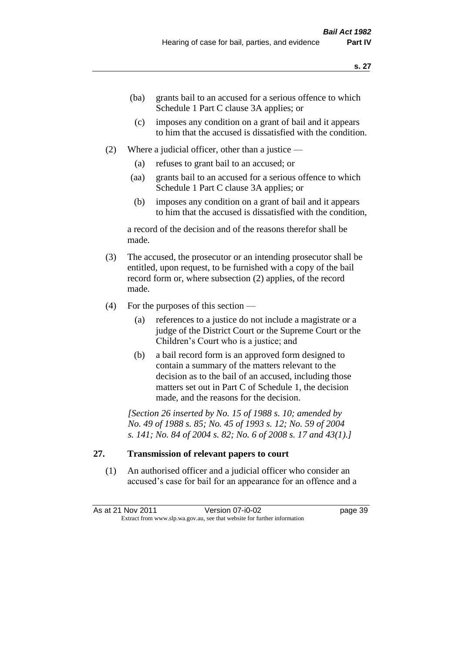- (ba) grants bail to an accused for a serious offence to which Schedule 1 Part C clause 3A applies; or
- (c) imposes any condition on a grant of bail and it appears to him that the accused is dissatisfied with the condition.
- (2) Where a judicial officer, other than a justice
	- (a) refuses to grant bail to an accused; or
	- (aa) grants bail to an accused for a serious offence to which Schedule 1 Part C clause 3A applies; or
	- (b) imposes any condition on a grant of bail and it appears to him that the accused is dissatisfied with the condition,

a record of the decision and of the reasons therefor shall be made.

- (3) The accused, the prosecutor or an intending prosecutor shall be entitled, upon request, to be furnished with a copy of the bail record form or, where subsection (2) applies, of the record made.
- (4) For the purposes of this section
	- (a) references to a justice do not include a magistrate or a judge of the District Court or the Supreme Court or the Children's Court who is a justice; and
	- (b) a bail record form is an approved form designed to contain a summary of the matters relevant to the decision as to the bail of an accused, including those matters set out in Part C of Schedule 1, the decision made, and the reasons for the decision.

*[Section 26 inserted by No. 15 of 1988 s. 10; amended by No. 49 of 1988 s. 85; No. 45 of 1993 s. 12; No. 59 of 2004 s. 141; No. 84 of 2004 s. 82; No. 6 of 2008 s. 17 and 43(1).]* 

# **27. Transmission of relevant papers to court**

(1) An authorised officer and a judicial officer who consider an accused's case for bail for an appearance for an offence and a

As at 21 Nov 2011 Version 07-i0-02 page 39 Extract from www.slp.wa.gov.au, see that website for further information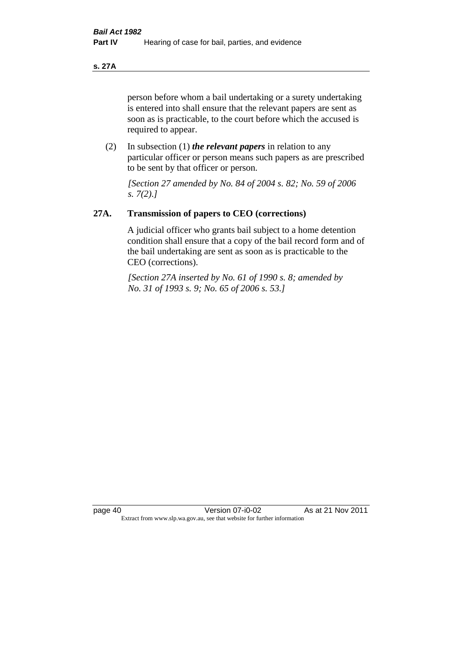**s. 27A**

person before whom a bail undertaking or a surety undertaking is entered into shall ensure that the relevant papers are sent as soon as is practicable, to the court before which the accused is required to appear.

(2) In subsection (1) *the relevant papers* in relation to any particular officer or person means such papers as are prescribed to be sent by that officer or person.

*[Section 27 amended by No. 84 of 2004 s. 82; No. 59 of 2006 s. 7(2).]* 

# **27A. Transmission of papers to CEO (corrections)**

A judicial officer who grants bail subject to a home detention condition shall ensure that a copy of the bail record form and of the bail undertaking are sent as soon as is practicable to the CEO (corrections).

*[Section 27A inserted by No. 61 of 1990 s. 8; amended by No. 31 of 1993 s. 9; No. 65 of 2006 s. 53.]*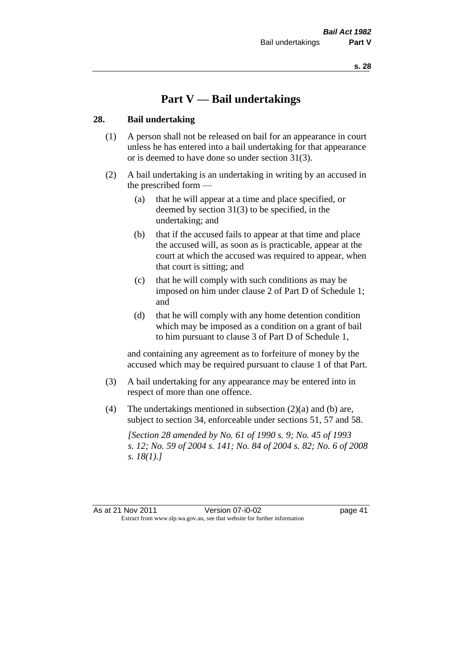# **Part V — Bail undertakings**

#### **28. Bail undertaking**

- (1) A person shall not be released on bail for an appearance in court unless he has entered into a bail undertaking for that appearance or is deemed to have done so under section 31(3).
- (2) A bail undertaking is an undertaking in writing by an accused in the prescribed form —
	- (a) that he will appear at a time and place specified, or deemed by section 31(3) to be specified, in the undertaking; and
	- (b) that if the accused fails to appear at that time and place the accused will, as soon as is practicable, appear at the court at which the accused was required to appear, when that court is sitting; and
	- (c) that he will comply with such conditions as may be imposed on him under clause 2 of Part D of Schedule 1; and
	- (d) that he will comply with any home detention condition which may be imposed as a condition on a grant of bail to him pursuant to clause 3 of Part D of Schedule 1,

and containing any agreement as to forfeiture of money by the accused which may be required pursuant to clause 1 of that Part.

- (3) A bail undertaking for any appearance may be entered into in respect of more than one offence.
- (4) The undertakings mentioned in subsection (2)(a) and (b) are, subject to section 34, enforceable under sections 51, 57 and 58.

*[Section 28 amended by No. 61 of 1990 s. 9; No. 45 of 1993 s. 12; No. 59 of 2004 s. 141; No. 84 of 2004 s. 82; No. 6 of 2008 s. 18(1).]*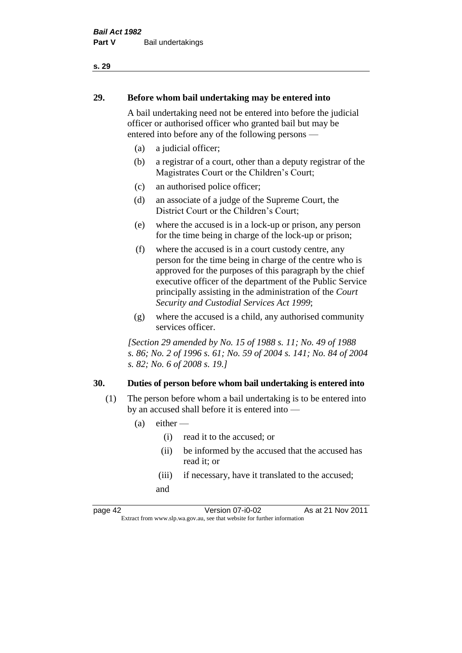# **29. Before whom bail undertaking may be entered into**

A bail undertaking need not be entered into before the judicial officer or authorised officer who granted bail but may be entered into before any of the following persons —

- (a) a judicial officer;
- (b) a registrar of a court, other than a deputy registrar of the Magistrates Court or the Children's Court;
- (c) an authorised police officer;
- (d) an associate of a judge of the Supreme Court, the District Court or the Children's Court;
- (e) where the accused is in a lock-up or prison, any person for the time being in charge of the lock-up or prison;
- (f) where the accused is in a court custody centre, any person for the time being in charge of the centre who is approved for the purposes of this paragraph by the chief executive officer of the department of the Public Service principally assisting in the administration of the *Court Security and Custodial Services Act 1999*;
- (g) where the accused is a child, any authorised community services officer.

*[Section 29 amended by No. 15 of 1988 s. 11; No. 49 of 1988 s. 86; No. 2 of 1996 s. 61; No. 59 of 2004 s. 141; No. 84 of 2004 s. 82; No. 6 of 2008 s. 19.]* 

#### **30. Duties of person before whom bail undertaking is entered into**

- (1) The person before whom a bail undertaking is to be entered into by an accused shall before it is entered into —
	- $(a)$  either
		- (i) read it to the accused; or
		- (ii) be informed by the accused that the accused has read it; or
		- (iii) if necessary, have it translated to the accused; and

page 42 Version 07-i0-02 As at 21 Nov 2011 Extract from www.slp.wa.gov.au, see that website for further information

#### **s. 29**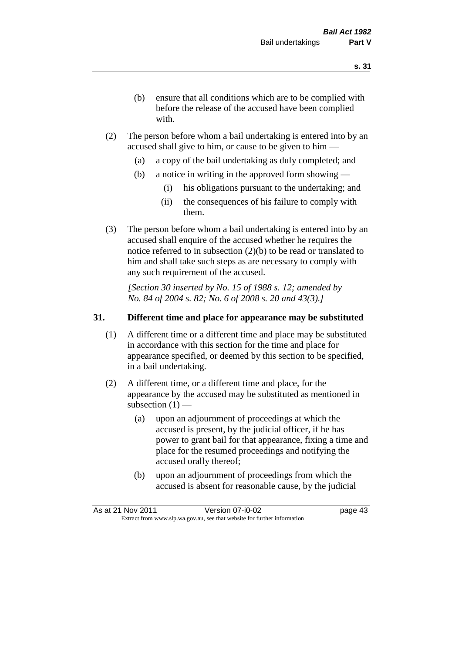- (b) ensure that all conditions which are to be complied with before the release of the accused have been complied with.
- (2) The person before whom a bail undertaking is entered into by an accused shall give to him, or cause to be given to him —
	- (a) a copy of the bail undertaking as duly completed; and
	- (b) a notice in writing in the approved form showing
		- (i) his obligations pursuant to the undertaking; and
		- (ii) the consequences of his failure to comply with them.
- (3) The person before whom a bail undertaking is entered into by an accused shall enquire of the accused whether he requires the notice referred to in subsection (2)(b) to be read or translated to him and shall take such steps as are necessary to comply with any such requirement of the accused.

*[Section 30 inserted by No. 15 of 1988 s. 12; amended by No. 84 of 2004 s. 82; No. 6 of 2008 s. 20 and 43(3).]* 

#### **31. Different time and place for appearance may be substituted**

- (1) A different time or a different time and place may be substituted in accordance with this section for the time and place for appearance specified, or deemed by this section to be specified, in a bail undertaking.
- (2) A different time, or a different time and place, for the appearance by the accused may be substituted as mentioned in subsection  $(1)$  —
	- (a) upon an adjournment of proceedings at which the accused is present, by the judicial officer, if he has power to grant bail for that appearance, fixing a time and place for the resumed proceedings and notifying the accused orally thereof;
	- (b) upon an adjournment of proceedings from which the accused is absent for reasonable cause, by the judicial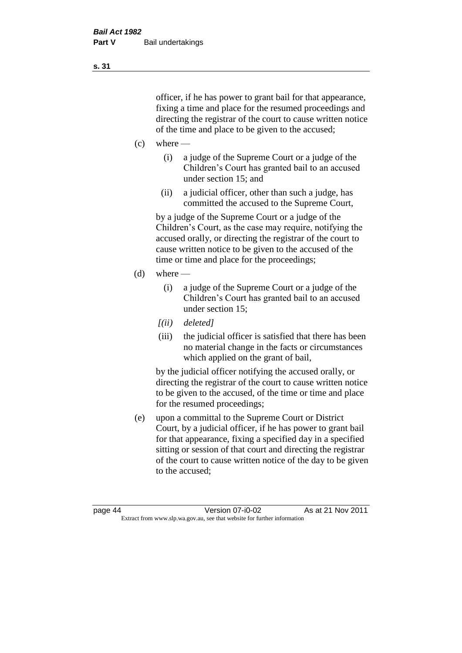officer, if he has power to grant bail for that appearance, fixing a time and place for the resumed proceedings and directing the registrar of the court to cause written notice of the time and place to be given to the accused;

- $(c)$  where
	- (i) a judge of the Supreme Court or a judge of the Children's Court has granted bail to an accused under section 15; and
	- (ii) a judicial officer, other than such a judge, has committed the accused to the Supreme Court,

by a judge of the Supreme Court or a judge of the Children's Court, as the case may require, notifying the accused orally, or directing the registrar of the court to cause written notice to be given to the accused of the time or time and place for the proceedings;

- $(d)$  where
	- (i) a judge of the Supreme Court or a judge of the Children's Court has granted bail to an accused under section 15;
	- *[(ii) deleted]*
	- (iii) the judicial officer is satisfied that there has been no material change in the facts or circumstances which applied on the grant of bail,

by the judicial officer notifying the accused orally, or directing the registrar of the court to cause written notice to be given to the accused, of the time or time and place for the resumed proceedings;

(e) upon a committal to the Supreme Court or District Court, by a judicial officer, if he has power to grant bail for that appearance, fixing a specified day in a specified sitting or session of that court and directing the registrar of the court to cause written notice of the day to be given to the accused;

**s. 31**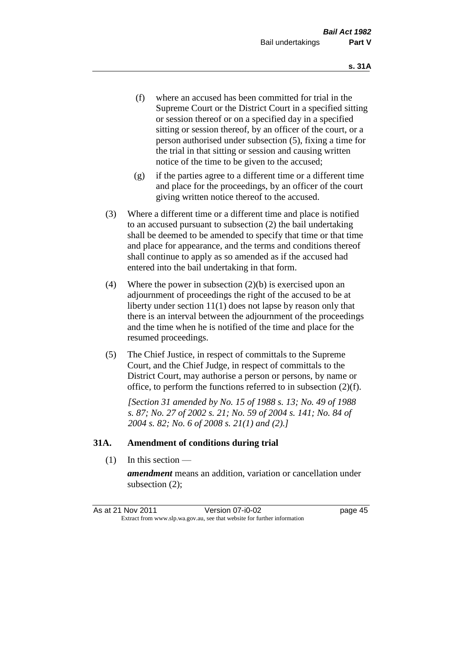- (f) where an accused has been committed for trial in the Supreme Court or the District Court in a specified sitting or session thereof or on a specified day in a specified sitting or session thereof, by an officer of the court, or a person authorised under subsection (5), fixing a time for the trial in that sitting or session and causing written notice of the time to be given to the accused;
- (g) if the parties agree to a different time or a different time and place for the proceedings, by an officer of the court giving written notice thereof to the accused.
- (3) Where a different time or a different time and place is notified to an accused pursuant to subsection (2) the bail undertaking shall be deemed to be amended to specify that time or that time and place for appearance, and the terms and conditions thereof shall continue to apply as so amended as if the accused had entered into the bail undertaking in that form.
- (4) Where the power in subsection (2)(b) is exercised upon an adjournment of proceedings the right of the accused to be at liberty under section 11(1) does not lapse by reason only that there is an interval between the adjournment of the proceedings and the time when he is notified of the time and place for the resumed proceedings.
- (5) The Chief Justice, in respect of committals to the Supreme Court, and the Chief Judge, in respect of committals to the District Court, may authorise a person or persons, by name or office, to perform the functions referred to in subsection (2)(f).

*[Section 31 amended by No. 15 of 1988 s. 13; No. 49 of 1988 s. 87; No. 27 of 2002 s. 21; No. 59 of 2004 s. 141; No. 84 of 2004 s. 82; No. 6 of 2008 s. 21(1) and (2).]*

#### **31A. Amendment of conditions during trial**

(1) In this section —

*amendment* means an addition, variation or cancellation under subsection (2);

As at 21 Nov 2011 Version 07-i0-02 page 45 Extract from www.slp.wa.gov.au, see that website for further information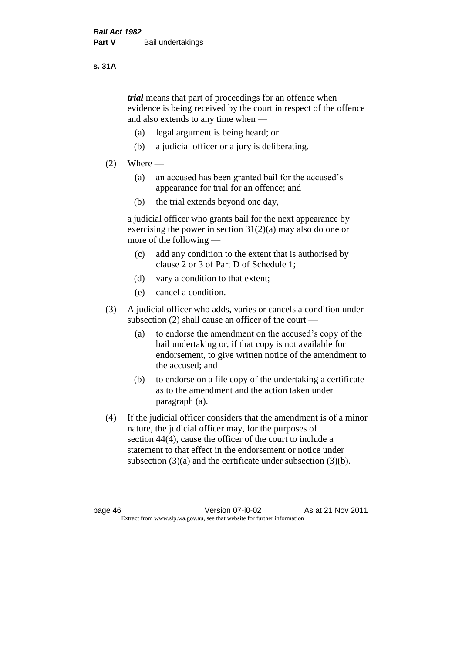#### **s. 31A**

*trial* means that part of proceedings for an offence when evidence is being received by the court in respect of the offence and also extends to any time when —

- (a) legal argument is being heard; or
- (b) a judicial officer or a jury is deliberating.

#### $(2)$  Where —

- (a) an accused has been granted bail for the accused's appearance for trial for an offence; and
- (b) the trial extends beyond one day,

a judicial officer who grants bail for the next appearance by exercising the power in section  $31(2)(a)$  may also do one or more of the following —

- (c) add any condition to the extent that is authorised by clause 2 or 3 of Part D of Schedule 1;
- (d) vary a condition to that extent;
- (e) cancel a condition.
- (3) A judicial officer who adds, varies or cancels a condition under subsection (2) shall cause an officer of the court —
	- (a) to endorse the amendment on the accused's copy of the bail undertaking or, if that copy is not available for endorsement, to give written notice of the amendment to the accused; and
	- (b) to endorse on a file copy of the undertaking a certificate as to the amendment and the action taken under paragraph (a).
- (4) If the judicial officer considers that the amendment is of a minor nature, the judicial officer may, for the purposes of section 44(4), cause the officer of the court to include a statement to that effect in the endorsement or notice under subsection (3)(a) and the certificate under subsection (3)(b).

page 46 Version 07-i0-02 As at 21 Nov 2011 Extract from www.slp.wa.gov.au, see that website for further information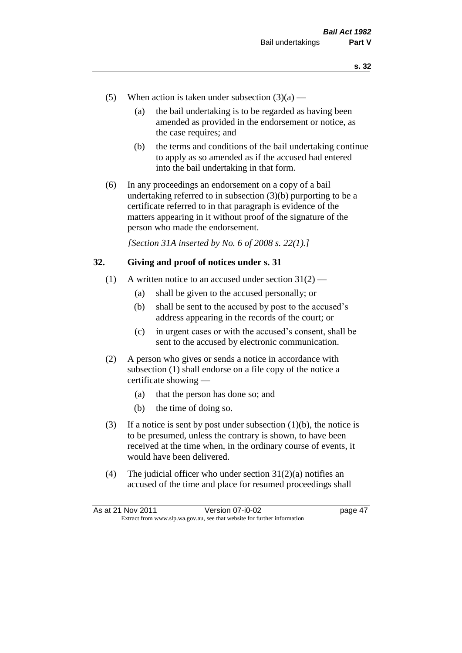- (5) When action is taken under subsection  $(3)(a)$ 
	- (a) the bail undertaking is to be regarded as having been amended as provided in the endorsement or notice, as the case requires; and
	- (b) the terms and conditions of the bail undertaking continue to apply as so amended as if the accused had entered into the bail undertaking in that form.
- (6) In any proceedings an endorsement on a copy of a bail undertaking referred to in subsection (3)(b) purporting to be a certificate referred to in that paragraph is evidence of the matters appearing in it without proof of the signature of the person who made the endorsement.

*[Section 31A inserted by No. 6 of 2008 s. 22(1).]*

#### **32. Giving and proof of notices under s. 31**

- (1) A written notice to an accused under section  $31(2)$ 
	- (a) shall be given to the accused personally; or
	- (b) shall be sent to the accused by post to the accused's address appearing in the records of the court; or
	- (c) in urgent cases or with the accused's consent, shall be sent to the accused by electronic communication.
- (2) A person who gives or sends a notice in accordance with subsection (1) shall endorse on a file copy of the notice a certificate showing —
	- (a) that the person has done so; and
	- (b) the time of doing so.
- (3) If a notice is sent by post under subsection  $(1)(b)$ , the notice is to be presumed, unless the contrary is shown, to have been received at the time when, in the ordinary course of events, it would have been delivered.
- (4) The judicial officer who under section  $31(2)(a)$  notifies an accused of the time and place for resumed proceedings shall

As at 21 Nov 2011 Version 07-i0-02 page 47 Extract from www.slp.wa.gov.au, see that website for further information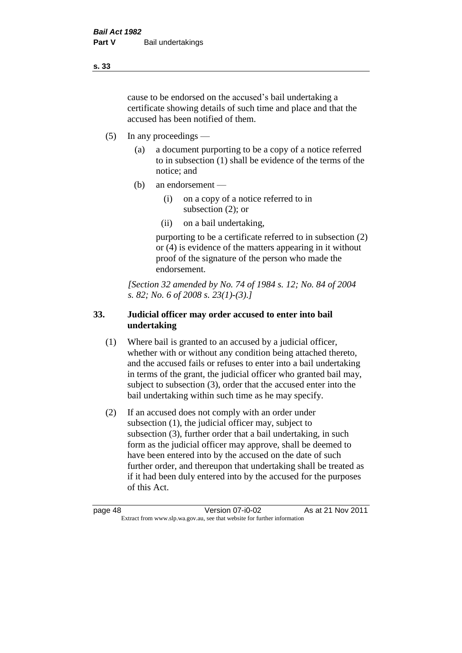cause to be endorsed on the accused's bail undertaking a certificate showing details of such time and place and that the accused has been notified of them.

- (5) In any proceedings
	- (a) a document purporting to be a copy of a notice referred to in subsection (1) shall be evidence of the terms of the notice; and
	- (b) an endorsement
		- (i) on a copy of a notice referred to in subsection (2); or
		- (ii) on a bail undertaking,

purporting to be a certificate referred to in subsection (2) or (4) is evidence of the matters appearing in it without proof of the signature of the person who made the endorsement.

*[Section 32 amended by No. 74 of 1984 s. 12; No. 84 of 2004 s. 82; No. 6 of 2008 s. 23(1)-(3).]* 

# **33. Judicial officer may order accused to enter into bail undertaking**

- (1) Where bail is granted to an accused by a judicial officer, whether with or without any condition being attached thereto, and the accused fails or refuses to enter into a bail undertaking in terms of the grant, the judicial officer who granted bail may, subject to subsection (3), order that the accused enter into the bail undertaking within such time as he may specify.
- (2) If an accused does not comply with an order under subsection (1), the judicial officer may, subject to subsection (3), further order that a bail undertaking, in such form as the judicial officer may approve, shall be deemed to have been entered into by the accused on the date of such further order, and thereupon that undertaking shall be treated as if it had been duly entered into by the accused for the purposes of this Act.

page 48 Version 07-i0-02 As at 21 Nov 2011 Extract from www.slp.wa.gov.au, see that website for further information

**s. 33**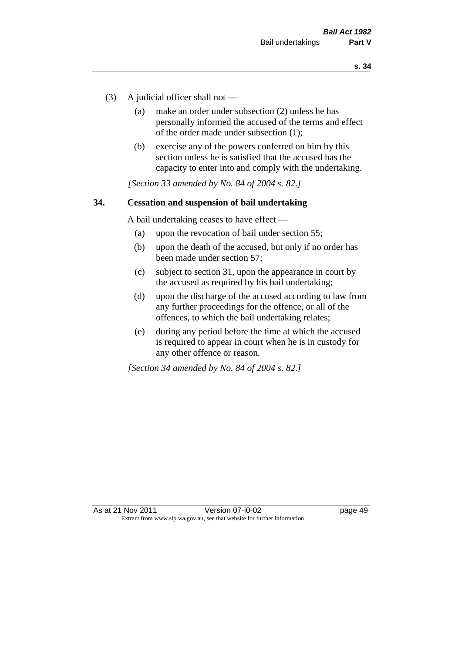- (3) A judicial officer shall not
	- (a) make an order under subsection (2) unless he has personally informed the accused of the terms and effect of the order made under subsection (1);
	- (b) exercise any of the powers conferred on him by this section unless he is satisfied that the accused has the capacity to enter into and comply with the undertaking.

*[Section 33 amended by No. 84 of 2004 s. 82.]* 

#### **34. Cessation and suspension of bail undertaking**

A bail undertaking ceases to have effect —

- (a) upon the revocation of bail under section 55;
- (b) upon the death of the accused, but only if no order has been made under section 57;
- (c) subject to section 31, upon the appearance in court by the accused as required by his bail undertaking;
- (d) upon the discharge of the accused according to law from any further proceedings for the offence, or all of the offences, to which the bail undertaking relates;
- (e) during any period before the time at which the accused is required to appear in court when he is in custody for any other offence or reason.

*[Section 34 amended by No. 84 of 2004 s. 82.]*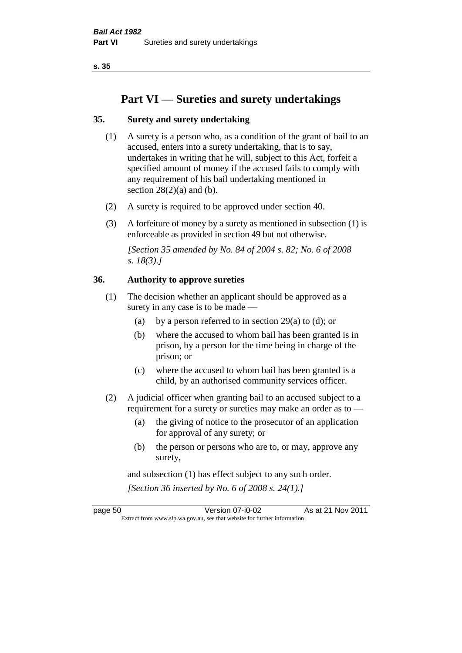**s. 35**

# **Part VI — Sureties and surety undertakings**

# **35. Surety and surety undertaking**

- (1) A surety is a person who, as a condition of the grant of bail to an accused, enters into a surety undertaking, that is to say, undertakes in writing that he will, subject to this Act, forfeit a specified amount of money if the accused fails to comply with any requirement of his bail undertaking mentioned in section  $28(2)(a)$  and (b).
- (2) A surety is required to be approved under section 40.
- (3) A forfeiture of money by a surety as mentioned in subsection (1) is enforceable as provided in section 49 but not otherwise.

*[Section 35 amended by No. 84 of 2004 s. 82; No. 6 of 2008 s. 18(3).]* 

#### **36. Authority to approve sureties**

- (1) The decision whether an applicant should be approved as a surety in any case is to be made —
	- (a) by a person referred to in section 29(a) to (d); or
	- (b) where the accused to whom bail has been granted is in prison, by a person for the time being in charge of the prison; or
	- (c) where the accused to whom bail has been granted is a child, by an authorised community services officer.
- (2) A judicial officer when granting bail to an accused subject to a requirement for a surety or sureties may make an order as to —
	- (a) the giving of notice to the prosecutor of an application for approval of any surety; or
	- (b) the person or persons who are to, or may, approve any surety,

and subsection (1) has effect subject to any such order. *[Section 36 inserted by No. 6 of 2008 s. 24(1).]*

page 50 Version 07-i0-02 As at 21 Nov 2011 Extract from www.slp.wa.gov.au, see that website for further information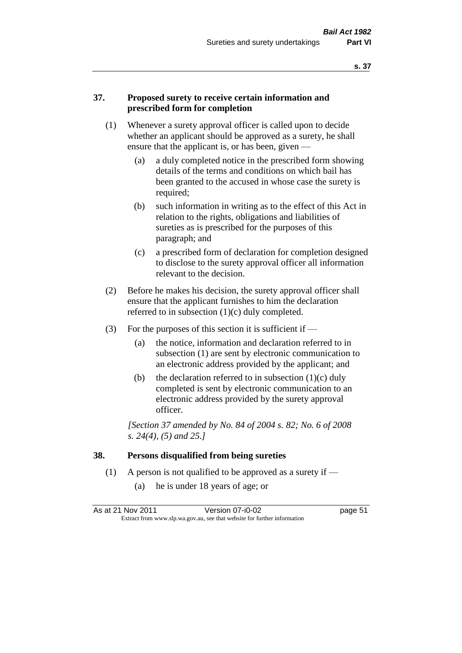#### **37. Proposed surety to receive certain information and prescribed form for completion**

- (1) Whenever a surety approval officer is called upon to decide whether an applicant should be approved as a surety, he shall ensure that the applicant is, or has been, given -
	- (a) a duly completed notice in the prescribed form showing details of the terms and conditions on which bail has been granted to the accused in whose case the surety is required;
	- (b) such information in writing as to the effect of this Act in relation to the rights, obligations and liabilities of sureties as is prescribed for the purposes of this paragraph; and
	- (c) a prescribed form of declaration for completion designed to disclose to the surety approval officer all information relevant to the decision.
- (2) Before he makes his decision, the surety approval officer shall ensure that the applicant furnishes to him the declaration referred to in subsection (1)(c) duly completed.
- (3) For the purposes of this section it is sufficient if  $-$ 
	- (a) the notice, information and declaration referred to in subsection (1) are sent by electronic communication to an electronic address provided by the applicant; and
	- (b) the declaration referred to in subsection  $(1)(c)$  duly completed is sent by electronic communication to an electronic address provided by the surety approval officer.

*[Section 37 amended by No. 84 of 2004 s. 82; No. 6 of 2008 s. 24(4), (5) and 25.]* 

#### **38. Persons disqualified from being sureties**

- (1) A person is not qualified to be approved as a surety if  $-$ 
	- (a) he is under 18 years of age; or

As at 21 Nov 2011 Version 07-i0-02 page 51 Extract from www.slp.wa.gov.au, see that website for further information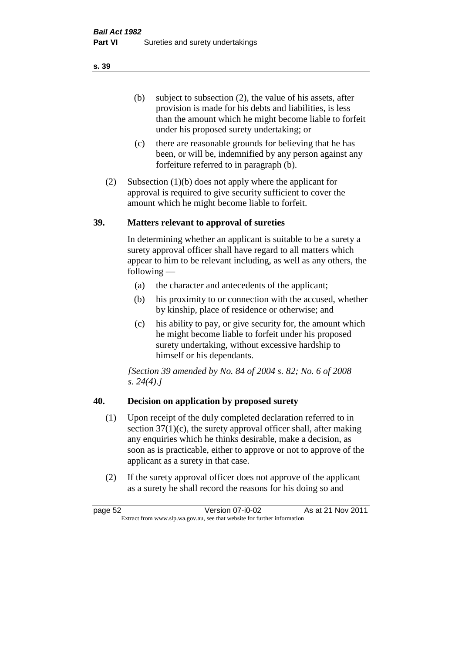(b) subject to subsection (2), the value of his assets, after provision is made for his debts and liabilities, is less than the amount which he might become liable to forfeit under his proposed surety undertaking; or

- (c) there are reasonable grounds for believing that he has been, or will be, indemnified by any person against any forfeiture referred to in paragraph (b).
- (2) Subsection (1)(b) does not apply where the applicant for approval is required to give security sufficient to cover the amount which he might become liable to forfeit.

#### **39. Matters relevant to approval of sureties**

In determining whether an applicant is suitable to be a surety a surety approval officer shall have regard to all matters which appear to him to be relevant including, as well as any others, the following —

- (a) the character and antecedents of the applicant;
- (b) his proximity to or connection with the accused, whether by kinship, place of residence or otherwise; and
- (c) his ability to pay, or give security for, the amount which he might become liable to forfeit under his proposed surety undertaking, without excessive hardship to himself or his dependants.

*[Section 39 amended by No. 84 of 2004 s. 82; No. 6 of 2008 s. 24(4).]* 

# **40. Decision on application by proposed surety**

- (1) Upon receipt of the duly completed declaration referred to in section  $37(1)(c)$ , the surety approval officer shall, after making any enquiries which he thinks desirable, make a decision, as soon as is practicable, either to approve or not to approve of the applicant as a surety in that case.
- (2) If the surety approval officer does not approve of the applicant as a surety he shall record the reasons for his doing so and

page 52 Version 07-i0-02 As at 21 Nov 2011 Extract from www.slp.wa.gov.au, see that website for further information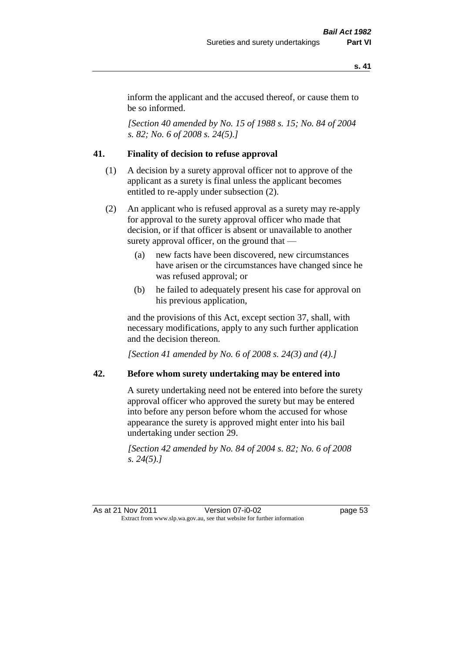inform the applicant and the accused thereof, or cause them to be so informed.

*[Section 40 amended by No. 15 of 1988 s. 15; No. 84 of 2004 s. 82; No. 6 of 2008 s. 24(5).]* 

# **41. Finality of decision to refuse approval**

- (1) A decision by a surety approval officer not to approve of the applicant as a surety is final unless the applicant becomes entitled to re-apply under subsection (2).
- (2) An applicant who is refused approval as a surety may re-apply for approval to the surety approval officer who made that decision, or if that officer is absent or unavailable to another surety approval officer, on the ground that —
	- (a) new facts have been discovered, new circumstances have arisen or the circumstances have changed since he was refused approval; or
	- (b) he failed to adequately present his case for approval on his previous application,

and the provisions of this Act, except section 37, shall, with necessary modifications, apply to any such further application and the decision thereon.

*[Section 41 amended by No. 6 of 2008 s. 24(3) and (4).]*

#### **42. Before whom surety undertaking may be entered into**

A surety undertaking need not be entered into before the surety approval officer who approved the surety but may be entered into before any person before whom the accused for whose appearance the surety is approved might enter into his bail undertaking under section 29.

*[Section 42 amended by No. 84 of 2004 s. 82; No. 6 of 2008 s. 24(5).]* 

As at 21 Nov 2011 Version 07-i0-02 page 53 Extract from www.slp.wa.gov.au, see that website for further information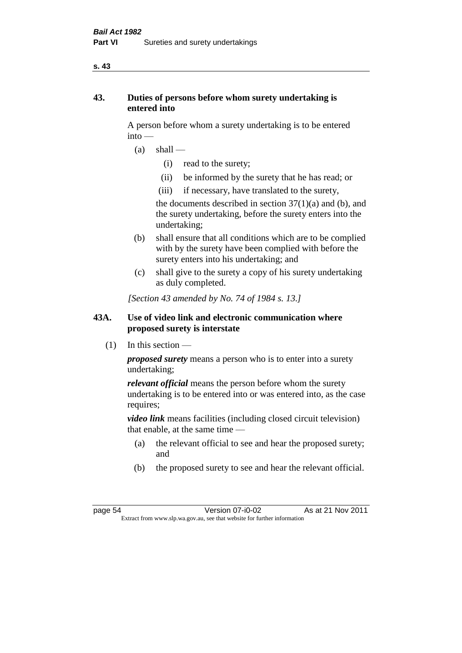#### **s. 43**

# **43. Duties of persons before whom surety undertaking is entered into**

A person before whom a surety undertaking is to be entered into —

- $(a)$  shall
	- (i) read to the surety;
	- (ii) be informed by the surety that he has read; or
	- (iii) if necessary, have translated to the surety,

the documents described in section  $37(1)(a)$  and (b), and the surety undertaking, before the surety enters into the undertaking;

- (b) shall ensure that all conditions which are to be complied with by the surety have been complied with before the surety enters into his undertaking; and
- (c) shall give to the surety a copy of his surety undertaking as duly completed.

*[Section 43 amended by No. 74 of 1984 s. 13.]* 

# **43A. Use of video link and electronic communication where proposed surety is interstate**

 $(1)$  In this section —

*proposed surety* means a person who is to enter into a surety undertaking;

*relevant official* means the person before whom the surety undertaking is to be entered into or was entered into, as the case requires;

*video link* means facilities (including closed circuit television) that enable, at the same time —

- (a) the relevant official to see and hear the proposed surety; and
- (b) the proposed surety to see and hear the relevant official.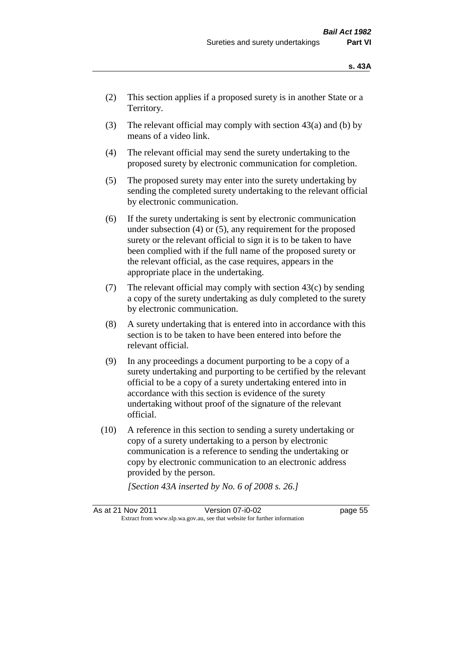- (2) This section applies if a proposed surety is in another State or a Territory.
- (3) The relevant official may comply with section  $43(a)$  and (b) by means of a video link.
- (4) The relevant official may send the surety undertaking to the proposed surety by electronic communication for completion.
- (5) The proposed surety may enter into the surety undertaking by sending the completed surety undertaking to the relevant official by electronic communication.
- (6) If the surety undertaking is sent by electronic communication under subsection (4) or (5), any requirement for the proposed surety or the relevant official to sign it is to be taken to have been complied with if the full name of the proposed surety or the relevant official, as the case requires, appears in the appropriate place in the undertaking.
- (7) The relevant official may comply with section  $43(c)$  by sending a copy of the surety undertaking as duly completed to the surety by electronic communication.
- (8) A surety undertaking that is entered into in accordance with this section is to be taken to have been entered into before the relevant official.
- (9) In any proceedings a document purporting to be a copy of a surety undertaking and purporting to be certified by the relevant official to be a copy of a surety undertaking entered into in accordance with this section is evidence of the surety undertaking without proof of the signature of the relevant official.
- (10) A reference in this section to sending a surety undertaking or copy of a surety undertaking to a person by electronic communication is a reference to sending the undertaking or copy by electronic communication to an electronic address provided by the person.

*[Section 43A inserted by No. 6 of 2008 s. 26.]*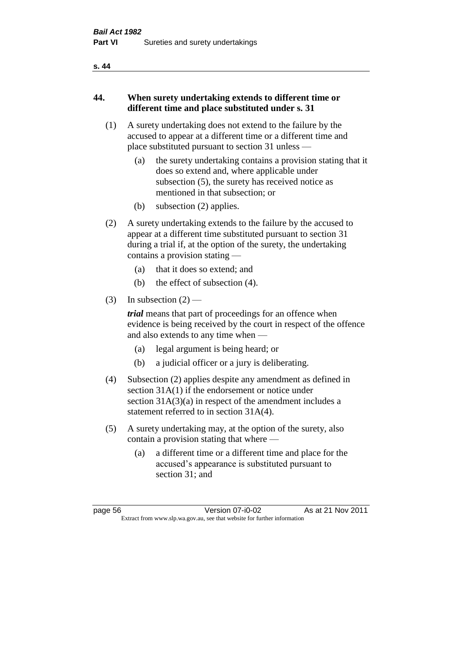#### **s. 44**

# **44. When surety undertaking extends to different time or different time and place substituted under s. 31**

- (1) A surety undertaking does not extend to the failure by the accused to appear at a different time or a different time and place substituted pursuant to section 31 unless —
	- (a) the surety undertaking contains a provision stating that it does so extend and, where applicable under subsection (5), the surety has received notice as mentioned in that subsection; or
	- (b) subsection (2) applies.
- (2) A surety undertaking extends to the failure by the accused to appear at a different time substituted pursuant to section 31 during a trial if, at the option of the surety, the undertaking contains a provision stating —
	- (a) that it does so extend; and
	- (b) the effect of subsection (4).
- (3) In subsection  $(2)$  —

*trial* means that part of proceedings for an offence when evidence is being received by the court in respect of the offence and also extends to any time when —

- (a) legal argument is being heard; or
- (b) a judicial officer or a jury is deliberating.
- (4) Subsection (2) applies despite any amendment as defined in section 31A(1) if the endorsement or notice under section 31A(3)(a) in respect of the amendment includes a statement referred to in section 31A(4).
- (5) A surety undertaking may, at the option of the surety, also contain a provision stating that where —
	- (a) a different time or a different time and place for the accused's appearance is substituted pursuant to section 31; and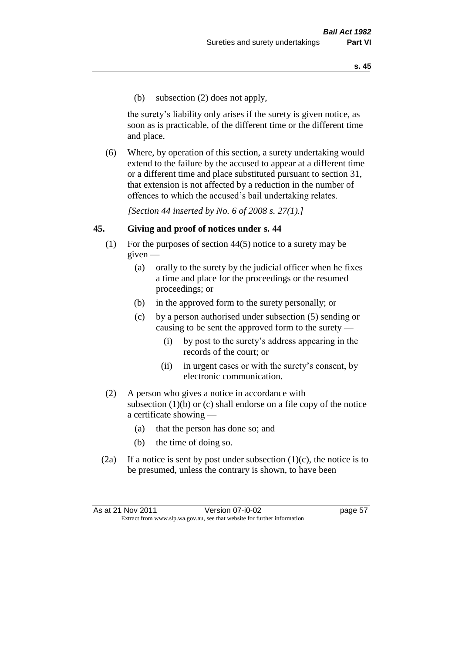(b) subsection (2) does not apply,

the surety's liability only arises if the surety is given notice, as soon as is practicable, of the different time or the different time and place.

(6) Where, by operation of this section, a surety undertaking would extend to the failure by the accused to appear at a different time or a different time and place substituted pursuant to section 31, that extension is not affected by a reduction in the number of offences to which the accused's bail undertaking relates.

*[Section 44 inserted by No. 6 of 2008 s. 27(1).]*

#### **45. Giving and proof of notices under s. 44**

- (1) For the purposes of section 44(5) notice to a surety may be  $given -$ 
	- (a) orally to the surety by the judicial officer when he fixes a time and place for the proceedings or the resumed proceedings; or
	- (b) in the approved form to the surety personally; or
	- (c) by a person authorised under subsection (5) sending or causing to be sent the approved form to the surety —
		- (i) by post to the surety's address appearing in the records of the court; or
		- (ii) in urgent cases or with the surety's consent, by electronic communication.
- (2) A person who gives a notice in accordance with subsection (1)(b) or (c) shall endorse on a file copy of the notice a certificate showing —
	- (a) that the person has done so; and
	- (b) the time of doing so.
- (2a) If a notice is sent by post under subsection  $(1)(c)$ , the notice is to be presumed, unless the contrary is shown, to have been

As at 21 Nov 2011 Version 07-i0-02 page 57 Extract from www.slp.wa.gov.au, see that website for further information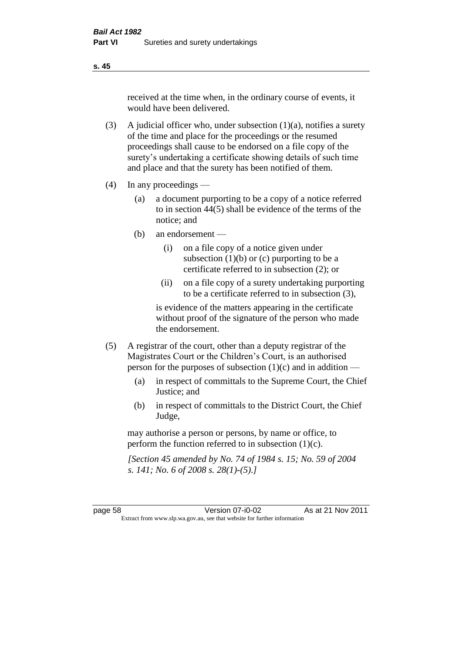received at the time when, in the ordinary course of events, it would have been delivered.

- (3) A judicial officer who, under subsection  $(1)(a)$ , notifies a surety of the time and place for the proceedings or the resumed proceedings shall cause to be endorsed on a file copy of the surety's undertaking a certificate showing details of such time and place and that the surety has been notified of them.
- (4) In any proceedings
	- (a) a document purporting to be a copy of a notice referred to in section 44(5) shall be evidence of the terms of the notice; and
	- (b) an endorsement
		- (i) on a file copy of a notice given under subsection  $(1)(b)$  or  $(c)$  purporting to be a certificate referred to in subsection (2); or
		- (ii) on a file copy of a surety undertaking purporting to be a certificate referred to in subsection (3),

is evidence of the matters appearing in the certificate without proof of the signature of the person who made the endorsement.

- (5) A registrar of the court, other than a deputy registrar of the Magistrates Court or the Children's Court, is an authorised person for the purposes of subsection (1)(c) and in addition —
	- (a) in respect of committals to the Supreme Court, the Chief Justice; and
	- (b) in respect of committals to the District Court, the Chief Judge,

may authorise a person or persons, by name or office, to perform the function referred to in subsection (1)(c).

*[Section 45 amended by No. 74 of 1984 s. 15; No. 59 of 2004 s. 141; No. 6 of 2008 s. 28(1)-(5).]* 

page 58 Version 07-i0-02 As at 21 Nov 2011 Extract from www.slp.wa.gov.au, see that website for further information

**s. 45**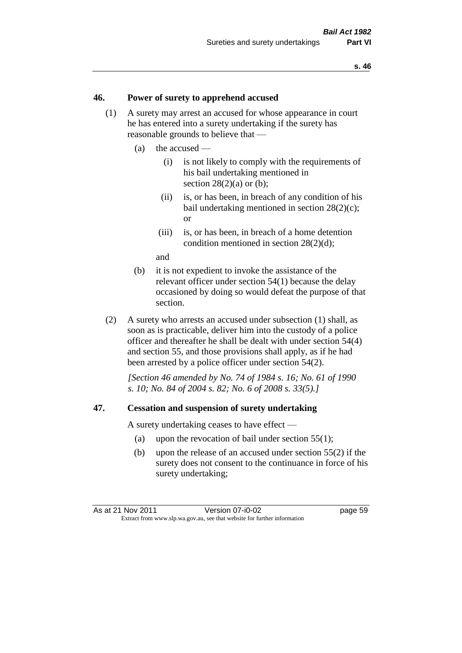#### **46. Power of surety to apprehend accused**

- (1) A surety may arrest an accused for whose appearance in court he has entered into a surety undertaking if the surety has reasonable grounds to believe that —
	- (a) the accused
		- (i) is not likely to comply with the requirements of his bail undertaking mentioned in section  $28(2)(a)$  or (b):
		- (ii) is, or has been, in breach of any condition of his bail undertaking mentioned in section 28(2)(c); or
		- (iii) is, or has been, in breach of a home detention condition mentioned in section 28(2)(d);

and

- (b) it is not expedient to invoke the assistance of the relevant officer under section 54(1) because the delay occasioned by doing so would defeat the purpose of that section.
- (2) A surety who arrests an accused under subsection (1) shall, as soon as is practicable, deliver him into the custody of a police officer and thereafter he shall be dealt with under section 54(4) and section 55, and those provisions shall apply, as if he had been arrested by a police officer under section 54(2).

*[Section 46 amended by No. 74 of 1984 s. 16; No. 61 of 1990 s. 10; No. 84 of 2004 s. 82; No. 6 of 2008 s. 33(5).]* 

#### **47. Cessation and suspension of surety undertaking**

A surety undertaking ceases to have effect —

- (a) upon the revocation of bail under section 55(1);
- (b) upon the release of an accused under section 55(2) if the surety does not consent to the continuance in force of his surety undertaking;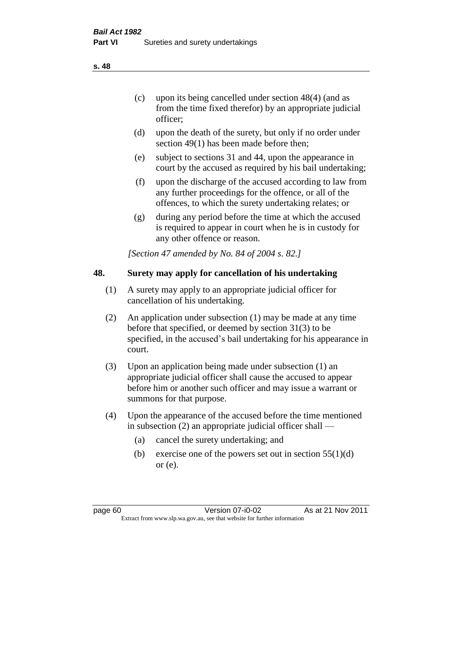- (c) upon its being cancelled under section 48(4) (and as from the time fixed therefor) by an appropriate judicial officer;
- (d) upon the death of the surety, but only if no order under section 49(1) has been made before then;
- (e) subject to sections 31 and 44, upon the appearance in court by the accused as required by his bail undertaking;
- (f) upon the discharge of the accused according to law from any further proceedings for the offence, or all of the offences, to which the surety undertaking relates; or
- (g) during any period before the time at which the accused is required to appear in court when he is in custody for any other offence or reason.

*[Section 47 amended by No. 84 of 2004 s. 82.]* 

# **48. Surety may apply for cancellation of his undertaking**

- (1) A surety may apply to an appropriate judicial officer for cancellation of his undertaking.
- (2) An application under subsection (1) may be made at any time before that specified, or deemed by section 31(3) to be specified, in the accused's bail undertaking for his appearance in court.
- (3) Upon an application being made under subsection (1) an appropriate judicial officer shall cause the accused to appear before him or another such officer and may issue a warrant or summons for that purpose.
- (4) Upon the appearance of the accused before the time mentioned in subsection (2) an appropriate judicial officer shall —
	- (a) cancel the surety undertaking; and
	- (b) exercise one of the powers set out in section  $55(1)(d)$ or (e).

page 60 Version 07-i0-02 As at 21 Nov 2011 Extract from www.slp.wa.gov.au, see that website for further information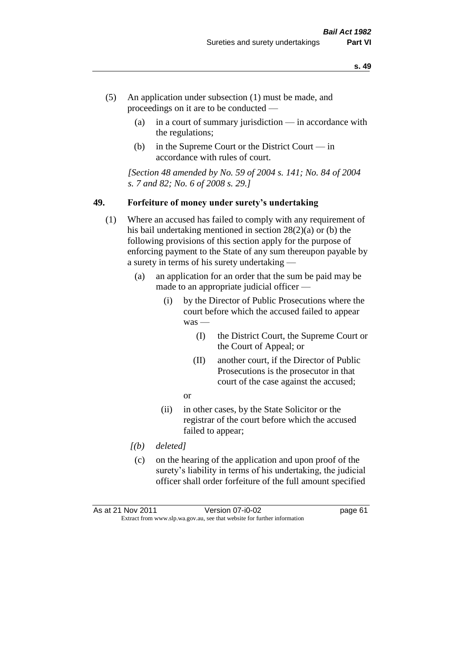- (5) An application under subsection (1) must be made, and proceedings on it are to be conducted —
	- (a) in a court of summary jurisdiction in accordance with the regulations;
	- (b) in the Supreme Court or the District Court  $-\text{in}$ accordance with rules of court.

*[Section 48 amended by No. 59 of 2004 s. 141; No. 84 of 2004 s. 7 and 82; No. 6 of 2008 s. 29.]* 

#### **49. Forfeiture of money under surety's undertaking**

- (1) Where an accused has failed to comply with any requirement of his bail undertaking mentioned in section 28(2)(a) or (b) the following provisions of this section apply for the purpose of enforcing payment to the State of any sum thereupon payable by a surety in terms of his surety undertaking —
	- (a) an application for an order that the sum be paid may be made to an appropriate judicial officer —
		- (i) by the Director of Public Prosecutions where the court before which the accused failed to appear was -
			- (I) the District Court, the Supreme Court or the Court of Appeal; or
			- (II) another court, if the Director of Public Prosecutions is the prosecutor in that court of the case against the accused;
			- or
		- (ii) in other cases, by the State Solicitor or the registrar of the court before which the accused failed to appear;
	- *[(b) deleted]*
	- (c) on the hearing of the application and upon proof of the surety's liability in terms of his undertaking, the judicial officer shall order forfeiture of the full amount specified

As at 21 Nov 2011 Version 07-i0-02 page 61 Extract from www.slp.wa.gov.au, see that website for further information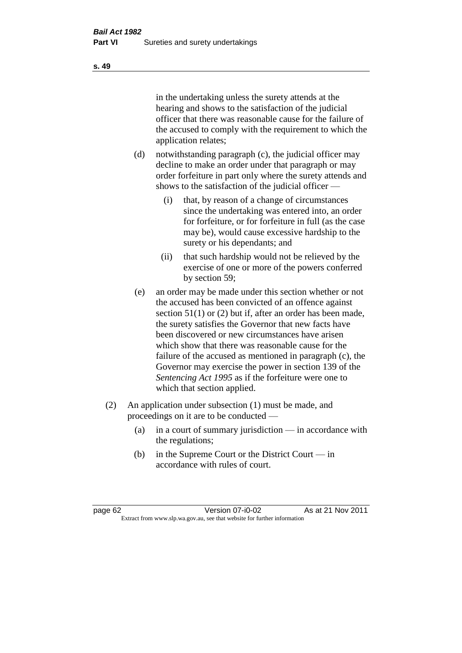in the undertaking unless the surety attends at the hearing and shows to the satisfaction of the judicial officer that there was reasonable cause for the failure of the accused to comply with the requirement to which the application relates;

- (d) notwithstanding paragraph (c), the judicial officer may decline to make an order under that paragraph or may order forfeiture in part only where the surety attends and shows to the satisfaction of the judicial officer —
	- (i) that, by reason of a change of circumstances since the undertaking was entered into, an order for forfeiture, or for forfeiture in full (as the case may be), would cause excessive hardship to the surety or his dependants; and
	- (ii) that such hardship would not be relieved by the exercise of one or more of the powers conferred by section 59;
- (e) an order may be made under this section whether or not the accused has been convicted of an offence against section 51(1) or (2) but if, after an order has been made, the surety satisfies the Governor that new facts have been discovered or new circumstances have arisen which show that there was reasonable cause for the failure of the accused as mentioned in paragraph (c), the Governor may exercise the power in section 139 of the *Sentencing Act 1995* as if the forfeiture were one to which that section applied.
- (2) An application under subsection (1) must be made, and proceedings on it are to be conducted —
	- (a) in a court of summary jurisdiction in accordance with the regulations;
	- (b) in the Supreme Court or the District Court in accordance with rules of court.

page 62 Version 07-i0-02 As at 21 Nov 2011 Extract from www.slp.wa.gov.au, see that website for further information

**s. 49**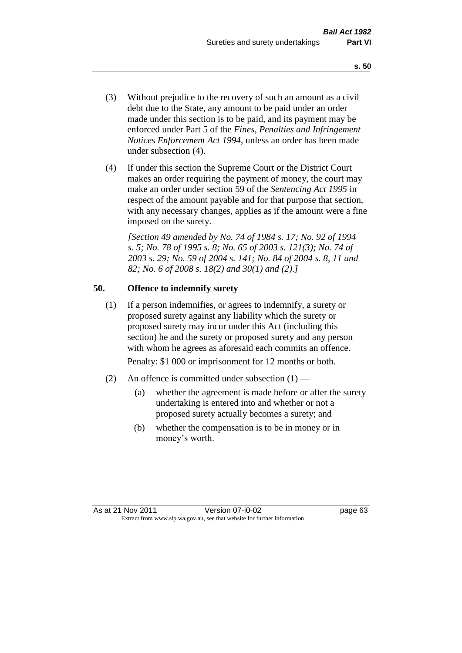- (3) Without prejudice to the recovery of such an amount as a civil debt due to the State, any amount to be paid under an order made under this section is to be paid, and its payment may be enforced under Part 5 of the *Fines, Penalties and Infringement Notices Enforcement Act 1994*, unless an order has been made under subsection (4).
- (4) If under this section the Supreme Court or the District Court makes an order requiring the payment of money, the court may make an order under section 59 of the *Sentencing Act 1995* in respect of the amount payable and for that purpose that section, with any necessary changes, applies as if the amount were a fine imposed on the surety.

*[Section 49 amended by No. 74 of 1984 s. 17; No. 92 of 1994 s. 5; No. 78 of 1995 s. 8; No. 65 of 2003 s. 121(3); No. 74 of 2003 s. 29; No. 59 of 2004 s. 141; No. 84 of 2004 s. 8, 11 and 82; No. 6 of 2008 s. 18(2) and 30(1) and (2).]* 

# **50. Offence to indemnify surety**

(1) If a person indemnifies, or agrees to indemnify, a surety or proposed surety against any liability which the surety or proposed surety may incur under this Act (including this section) he and the surety or proposed surety and any person with whom he agrees as aforesaid each commits an offence.

Penalty: \$1 000 or imprisonment for 12 months or both.

- (2) An offence is committed under subsection  $(1)$ 
	- (a) whether the agreement is made before or after the surety undertaking is entered into and whether or not a proposed surety actually becomes a surety; and
	- (b) whether the compensation is to be in money or in money's worth.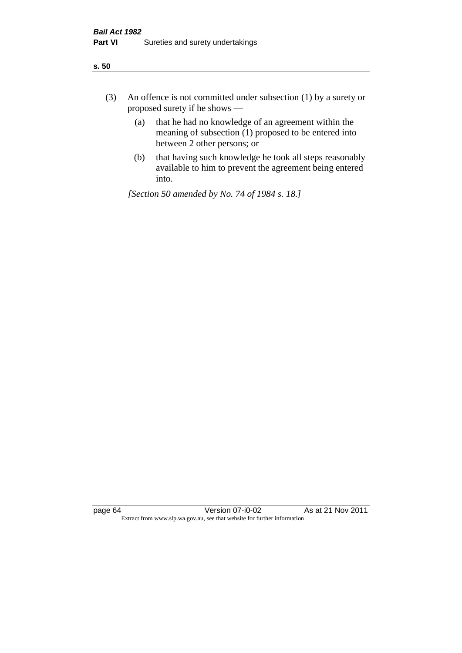| ÷<br>×<br>I<br>. .<br>×<br>۰.<br>×<br>۰.<br>v |
|-----------------------------------------------|
|-----------------------------------------------|

- (3) An offence is not committed under subsection (1) by a surety or proposed surety if he shows —
	- (a) that he had no knowledge of an agreement within the meaning of subsection  $(1)$  proposed to be entered into between 2 other persons; or
	- (b) that having such knowledge he took all steps reasonably available to him to prevent the agreement being entered into.

*[Section 50 amended by No. 74 of 1984 s. 18.]*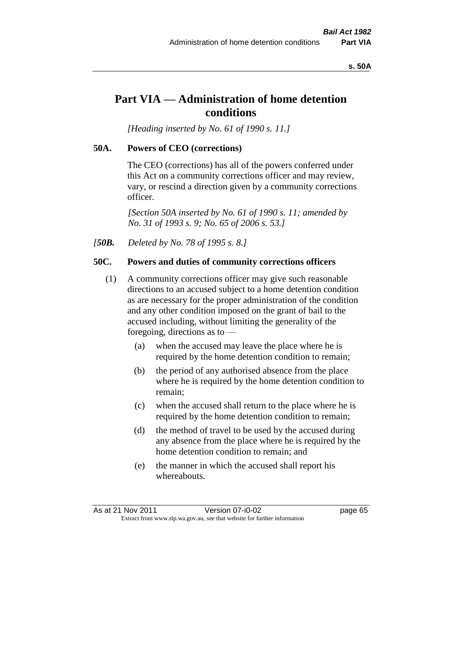#### **s. 50A**

# **Part VIA — Administration of home detention conditions**

*[Heading inserted by No. 61 of 1990 s. 11.]* 

#### **50A. Powers of CEO (corrections)**

The CEO (corrections) has all of the powers conferred under this Act on a community corrections officer and may review, vary, or rescind a direction given by a community corrections officer.

*[Section 50A inserted by No. 61 of 1990 s. 11; amended by No. 31 of 1993 s. 9; No. 65 of 2006 s. 53.]* 

*[50B. Deleted by No. 78 of 1995 s. 8.]* 

# **50C. Powers and duties of community corrections officers**

- (1) A community corrections officer may give such reasonable directions to an accused subject to a home detention condition as are necessary for the proper administration of the condition and any other condition imposed on the grant of bail to the accused including, without limiting the generality of the foregoing, directions as to —
	- (a) when the accused may leave the place where he is required by the home detention condition to remain;
	- (b) the period of any authorised absence from the place where he is required by the home detention condition to remain;
	- (c) when the accused shall return to the place where he is required by the home detention condition to remain;
	- (d) the method of travel to be used by the accused during any absence from the place where he is required by the home detention condition to remain; and
	- (e) the manner in which the accused shall report his whereabouts.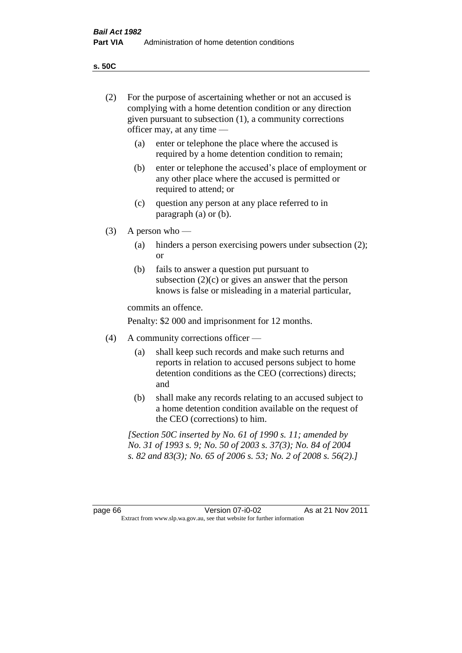**s. 50C**

| (2)     | For the purpose of ascertaining whether or not an accused is<br>complying with a home detention condition or any direction<br>given pursuant to subsection (1), a community corrections<br>officer may, at any time — |                                                                                                                                                                                              |  |
|---------|-----------------------------------------------------------------------------------------------------------------------------------------------------------------------------------------------------------------------|----------------------------------------------------------------------------------------------------------------------------------------------------------------------------------------------|--|
|         | (a)                                                                                                                                                                                                                   | enter or telephone the place where the accused is<br>required by a home detention condition to remain;                                                                                       |  |
|         | (b)                                                                                                                                                                                                                   | enter or telephone the accused's place of employment or<br>any other place where the accused is permitted or<br>required to attend; or                                                       |  |
|         | (c)                                                                                                                                                                                                                   | question any person at any place referred to in<br>paragraph $(a)$ or $(b)$ .                                                                                                                |  |
| (3)     |                                                                                                                                                                                                                       | A person who $-$                                                                                                                                                                             |  |
|         | (a)                                                                                                                                                                                                                   | hinders a person exercising powers under subsection (2);<br><sub>or</sub>                                                                                                                    |  |
|         | (b)                                                                                                                                                                                                                   | fails to answer a question put pursuant to<br>subsection $(2)(c)$ or gives an answer that the person<br>knows is false or misleading in a material particular,                               |  |
|         |                                                                                                                                                                                                                       | commits an offence.                                                                                                                                                                          |  |
|         |                                                                                                                                                                                                                       | Penalty: \$2 000 and imprisonment for 12 months.                                                                                                                                             |  |
| (4)     |                                                                                                                                                                                                                       | A community corrections officer -                                                                                                                                                            |  |
|         | (a)                                                                                                                                                                                                                   | shall keep such records and make such returns and<br>reports in relation to accused persons subject to home<br>detention conditions as the CEO (corrections) directs;<br>and                 |  |
|         | (b)                                                                                                                                                                                                                   | shall make any records relating to an accused subject to<br>a home detention condition available on the request of<br>the CEO (corrections) to him.                                          |  |
|         |                                                                                                                                                                                                                       | [Section 50C inserted by No. 61 of 1990 s. 11; amended by<br>No. 31 of 1993 s. 9; No. 50 of 2003 s. 37(3); No. 84 of 2004<br>s. 82 and 83(3); No. 65 of 2006 s. 53; No. 2 of 2008 s. 56(2).] |  |
|         |                                                                                                                                                                                                                       |                                                                                                                                                                                              |  |
| page 66 |                                                                                                                                                                                                                       | Version 07-i0-02<br>As at 21 Nov 2011<br>Extract from www.slp.wa.gov.au, see that website for further information                                                                            |  |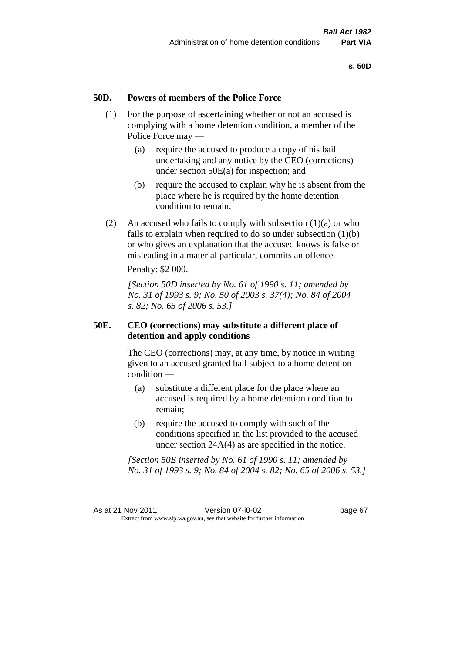# **50D. Powers of members of the Police Force**

- (1) For the purpose of ascertaining whether or not an accused is complying with a home detention condition, a member of the Police Force may —
	- (a) require the accused to produce a copy of his bail undertaking and any notice by the CEO (corrections) under section 50E(a) for inspection; and
	- (b) require the accused to explain why he is absent from the place where he is required by the home detention condition to remain.
- (2) An accused who fails to comply with subsection  $(1)(a)$  or who fails to explain when required to do so under subsection  $(1)(b)$ or who gives an explanation that the accused knows is false or misleading in a material particular, commits an offence.

Penalty: \$2 000.

*[Section 50D inserted by No. 61 of 1990 s. 11; amended by No. 31 of 1993 s. 9; No. 50 of 2003 s. 37(4); No. 84 of 2004 s. 82; No. 65 of 2006 s. 53.]* 

# **50E. CEO (corrections) may substitute a different place of detention and apply conditions**

The CEO (corrections) may, at any time, by notice in writing given to an accused granted bail subject to a home detention condition —

- (a) substitute a different place for the place where an accused is required by a home detention condition to remain;
- (b) require the accused to comply with such of the conditions specified in the list provided to the accused under section 24A(4) as are specified in the notice.

*[Section 50E inserted by No. 61 of 1990 s. 11; amended by No. 31 of 1993 s. 9; No. 84 of 2004 s. 82; No. 65 of 2006 s. 53.]*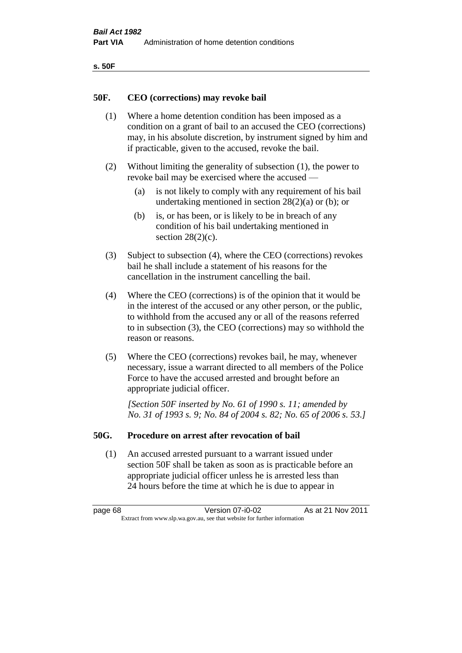| ۰.<br>×<br>-<br>۰.<br>× |  |
|-------------------------|--|
|-------------------------|--|

### **50F. CEO (corrections) may revoke bail**

- (1) Where a home detention condition has been imposed as a condition on a grant of bail to an accused the CEO (corrections) may, in his absolute discretion, by instrument signed by him and if practicable, given to the accused, revoke the bail.
- (2) Without limiting the generality of subsection (1), the power to revoke bail may be exercised where the accused —
	- (a) is not likely to comply with any requirement of his bail undertaking mentioned in section  $28(2)(a)$  or (b); or
	- (b) is, or has been, or is likely to be in breach of any condition of his bail undertaking mentioned in section  $28(2)(c)$ .
- (3) Subject to subsection (4), where the CEO (corrections) revokes bail he shall include a statement of his reasons for the cancellation in the instrument cancelling the bail.
- (4) Where the CEO (corrections) is of the opinion that it would be in the interest of the accused or any other person, or the public, to withhold from the accused any or all of the reasons referred to in subsection (3), the CEO (corrections) may so withhold the reason or reasons.
- (5) Where the CEO (corrections) revokes bail, he may, whenever necessary, issue a warrant directed to all members of the Police Force to have the accused arrested and brought before an appropriate judicial officer.

*[Section 50F inserted by No. 61 of 1990 s. 11; amended by No. 31 of 1993 s. 9; No. 84 of 2004 s. 82; No. 65 of 2006 s. 53.]* 

#### **50G. Procedure on arrest after revocation of bail**

(1) An accused arrested pursuant to a warrant issued under section 50F shall be taken as soon as is practicable before an appropriate judicial officer unless he is arrested less than 24 hours before the time at which he is due to appear in

page 68 Version 07-i0-02 As at 21 Nov 2011 Extract from www.slp.wa.gov.au, see that website for further information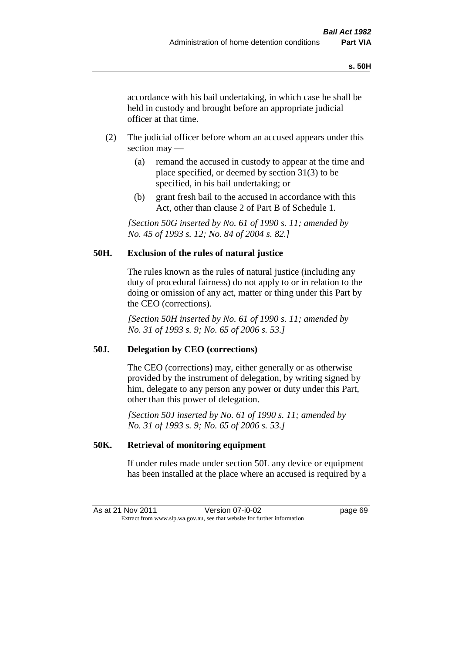accordance with his bail undertaking, in which case he shall be held in custody and brought before an appropriate judicial officer at that time.

- (2) The judicial officer before whom an accused appears under this section may —
	- (a) remand the accused in custody to appear at the time and place specified, or deemed by section 31(3) to be specified, in his bail undertaking; or
	- (b) grant fresh bail to the accused in accordance with this Act, other than clause 2 of Part B of Schedule 1.

*[Section 50G inserted by No. 61 of 1990 s. 11; amended by No. 45 of 1993 s. 12; No. 84 of 2004 s. 82.]* 

# **50H. Exclusion of the rules of natural justice**

The rules known as the rules of natural justice (including any duty of procedural fairness) do not apply to or in relation to the doing or omission of any act, matter or thing under this Part by the CEO (corrections).

*[Section 50H inserted by No. 61 of 1990 s. 11; amended by No. 31 of 1993 s. 9; No. 65 of 2006 s. 53.]* 

# **50J. Delegation by CEO (corrections)**

The CEO (corrections) may, either generally or as otherwise provided by the instrument of delegation, by writing signed by him, delegate to any person any power or duty under this Part, other than this power of delegation.

*[Section 50J inserted by No. 61 of 1990 s. 11; amended by No. 31 of 1993 s. 9; No. 65 of 2006 s. 53.]* 

# **50K. Retrieval of monitoring equipment**

If under rules made under section 50L any device or equipment has been installed at the place where an accused is required by a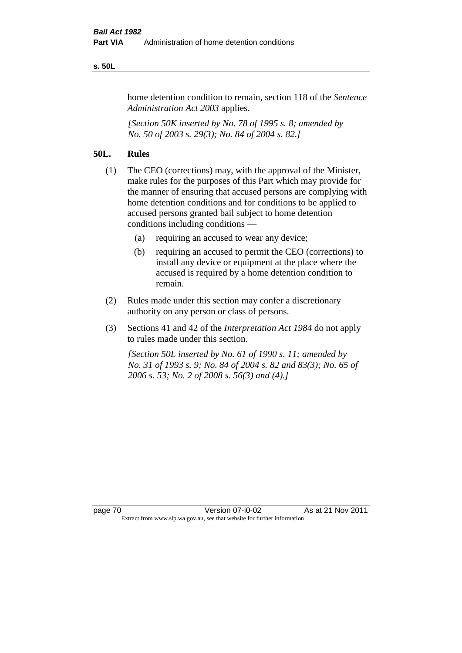#### **s. 50L**

home detention condition to remain, section 118 of the *Sentence Administration Act 2003* applies.

*[Section 50K inserted by No. 78 of 1995 s. 8; amended by No. 50 of 2003 s. 29(3); No. 84 of 2004 s. 82.]* 

# **50L. Rules**

- (1) The CEO (corrections) may, with the approval of the Minister, make rules for the purposes of this Part which may provide for the manner of ensuring that accused persons are complying with home detention conditions and for conditions to be applied to accused persons granted bail subject to home detention conditions including conditions —
	- (a) requiring an accused to wear any device;
	- (b) requiring an accused to permit the CEO (corrections) to install any device or equipment at the place where the accused is required by a home detention condition to remain.
- (2) Rules made under this section may confer a discretionary authority on any person or class of persons.
- (3) Sections 41 and 42 of the *Interpretation Act 1984* do not apply to rules made under this section.

*[Section 50L inserted by No. 61 of 1990 s. 11; amended by No. 31 of 1993 s. 9; No. 84 of 2004 s. 82 and 83(3); No. 65 of 2006 s. 53; No. 2 of 2008 s. 56(3) and (4).]*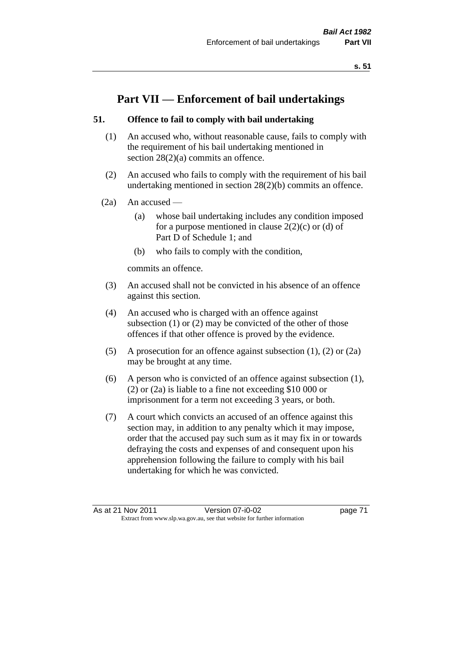# **Part VII — Enforcement of bail undertakings**

# **51. Offence to fail to comply with bail undertaking**

- (1) An accused who, without reasonable cause, fails to comply with the requirement of his bail undertaking mentioned in section 28(2)(a) commits an offence.
- (2) An accused who fails to comply with the requirement of his bail undertaking mentioned in section 28(2)(b) commits an offence.
- $(2a)$  An accused
	- (a) whose bail undertaking includes any condition imposed for a purpose mentioned in clause  $2(2)(c)$  or (d) of Part D of Schedule 1; and
	- (b) who fails to comply with the condition,

commits an offence.

- (3) An accused shall not be convicted in his absence of an offence against this section.
- (4) An accused who is charged with an offence against subsection (1) or (2) may be convicted of the other of those offences if that other offence is proved by the evidence.
- (5) A prosecution for an offence against subsection (1), (2) or (2a) may be brought at any time.
- (6) A person who is convicted of an offence against subsection (1), (2) or (2a) is liable to a fine not exceeding \$10 000 or imprisonment for a term not exceeding 3 years, or both.
- (7) A court which convicts an accused of an offence against this section may, in addition to any penalty which it may impose, order that the accused pay such sum as it may fix in or towards defraying the costs and expenses of and consequent upon his apprehension following the failure to comply with his bail undertaking for which he was convicted.

As at 21 Nov 2011 Version 07-i0-02 page 71 Extract from www.slp.wa.gov.au, see that website for further information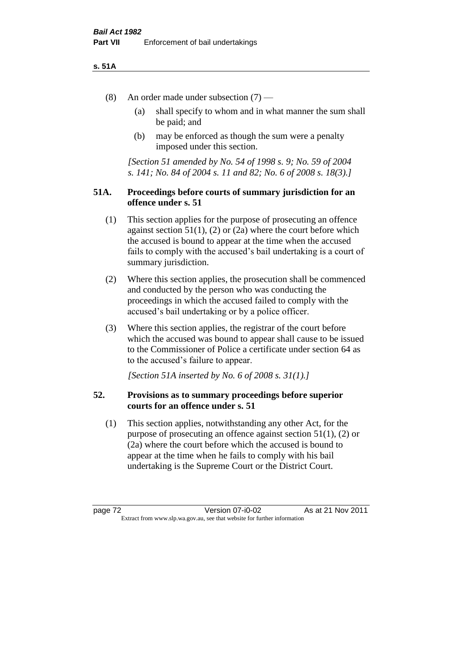#### **s. 51A**

- (8) An order made under subsection (7)
	- (a) shall specify to whom and in what manner the sum shall be paid; and
	- (b) may be enforced as though the sum were a penalty imposed under this section.

*[Section 51 amended by No. 54 of 1998 s. 9; No. 59 of 2004 s. 141; No. 84 of 2004 s. 11 and 82; No. 6 of 2008 s. 18(3).]*

# **51A. Proceedings before courts of summary jurisdiction for an offence under s. 51**

- (1) This section applies for the purpose of prosecuting an offence against section  $51(1)$ ,  $(2)$  or  $(2a)$  where the court before which the accused is bound to appear at the time when the accused fails to comply with the accused's bail undertaking is a court of summary jurisdiction.
- (2) Where this section applies, the prosecution shall be commenced and conducted by the person who was conducting the proceedings in which the accused failed to comply with the accused's bail undertaking or by a police officer.
- (3) Where this section applies, the registrar of the court before which the accused was bound to appear shall cause to be issued to the Commissioner of Police a certificate under section 64 as to the accused's failure to appear.

*[Section 51A inserted by No. 6 of 2008 s. 31(1).]*

# **52. Provisions as to summary proceedings before superior courts for an offence under s. 51**

(1) This section applies, notwithstanding any other Act, for the purpose of prosecuting an offence against section 51(1), (2) or (2a) where the court before which the accused is bound to appear at the time when he fails to comply with his bail undertaking is the Supreme Court or the District Court.

page 72 Version 07-i0-02 As at 21 Nov 2011 Extract from www.slp.wa.gov.au, see that website for further information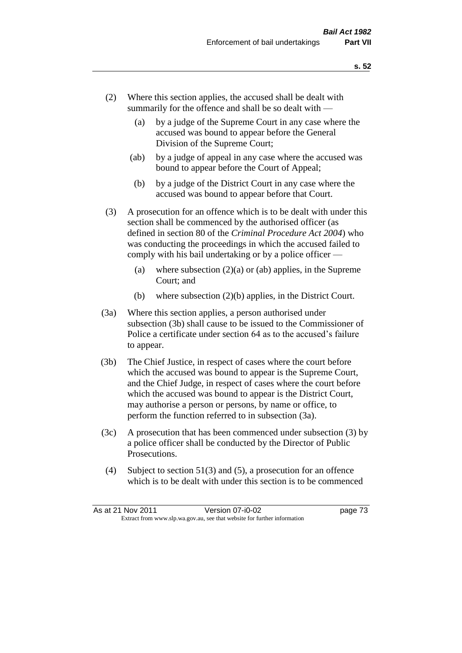- (2) Where this section applies, the accused shall be dealt with summarily for the offence and shall be so dealt with —
	- (a) by a judge of the Supreme Court in any case where the accused was bound to appear before the General Division of the Supreme Court;
	- (ab) by a judge of appeal in any case where the accused was bound to appear before the Court of Appeal;
	- (b) by a judge of the District Court in any case where the accused was bound to appear before that Court.
- (3) A prosecution for an offence which is to be dealt with under this section shall be commenced by the authorised officer (as defined in section 80 of the *Criminal Procedure Act 2004*) who was conducting the proceedings in which the accused failed to comply with his bail undertaking or by a police officer —
	- (a) where subsection  $(2)(a)$  or (ab) applies, in the Supreme Court; and
	- (b) where subsection (2)(b) applies, in the District Court.
- (3a) Where this section applies, a person authorised under subsection (3b) shall cause to be issued to the Commissioner of Police a certificate under section 64 as to the accused's failure to appear.
- (3b) The Chief Justice, in respect of cases where the court before which the accused was bound to appear is the Supreme Court, and the Chief Judge, in respect of cases where the court before which the accused was bound to appear is the District Court, may authorise a person or persons, by name or office, to perform the function referred to in subsection (3a).
- (3c) A prosecution that has been commenced under subsection (3) by a police officer shall be conducted by the Director of Public Prosecutions.
- (4) Subject to section 51(3) and (5), a prosecution for an offence which is to be dealt with under this section is to be commenced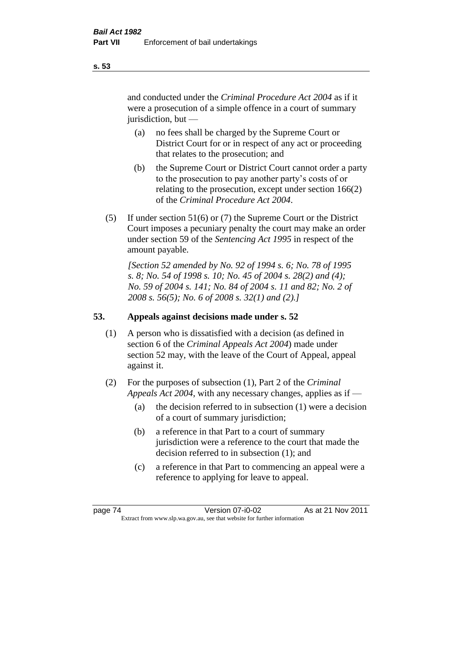and conducted under the *Criminal Procedure Act 2004* as if it were a prosecution of a simple offence in a court of summary jurisdiction, but —

- (a) no fees shall be charged by the Supreme Court or District Court for or in respect of any act or proceeding that relates to the prosecution; and
- (b) the Supreme Court or District Court cannot order a party to the prosecution to pay another party's costs of or relating to the prosecution, except under section 166(2) of the *Criminal Procedure Act 2004*.
- (5) If under section 51(6) or (7) the Supreme Court or the District Court imposes a pecuniary penalty the court may make an order under section 59 of the *Sentencing Act 1995* in respect of the amount payable.

*[Section 52 amended by No. 92 of 1994 s. 6; No. 78 of 1995 s. 8; No. 54 of 1998 s. 10; No. 45 of 2004 s. 28(2) and (4); No. 59 of 2004 s. 141; No. 84 of 2004 s. 11 and 82; No. 2 of 2008 s. 56(5); No. 6 of 2008 s. 32(1) and (2).]* 

# **53. Appeals against decisions made under s. 52**

- (1) A person who is dissatisfied with a decision (as defined in section 6 of the *Criminal Appeals Act 2004*) made under section 52 may, with the leave of the Court of Appeal, appeal against it.
- (2) For the purposes of subsection (1), Part 2 of the *Criminal Appeals Act 2004*, with any necessary changes, applies as if —
	- (a) the decision referred to in subsection (1) were a decision of a court of summary jurisdiction;
	- (b) a reference in that Part to a court of summary jurisdiction were a reference to the court that made the decision referred to in subsection (1); and
	- (c) a reference in that Part to commencing an appeal were a reference to applying for leave to appeal.

**s. 53**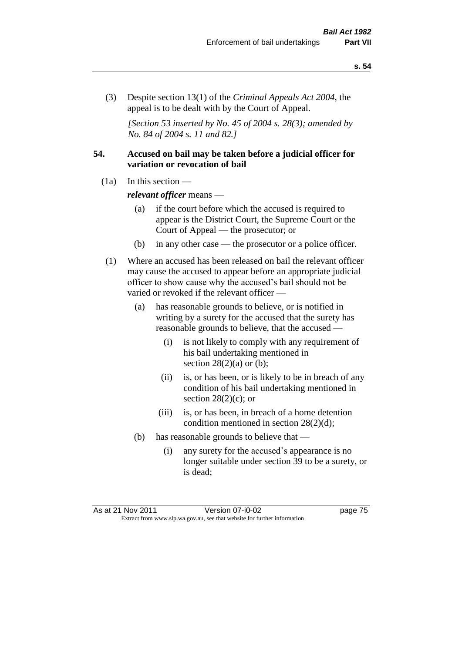(3) Despite section 13(1) of the *Criminal Appeals Act 2004*, the appeal is to be dealt with by the Court of Appeal.

*[Section 53 inserted by No. 45 of 2004 s. 28(3); amended by No. 84 of 2004 s. 11 and 82.]*

# **54. Accused on bail may be taken before a judicial officer for variation or revocation of bail**

(1a) In this section —

*relevant officer* means —

- (a) if the court before which the accused is required to appear is the District Court, the Supreme Court or the Court of Appeal — the prosecutor; or
- (b) in any other case the prosecutor or a police officer.
- (1) Where an accused has been released on bail the relevant officer may cause the accused to appear before an appropriate judicial officer to show cause why the accused's bail should not be varied or revoked if the relevant officer —
	- (a) has reasonable grounds to believe, or is notified in writing by a surety for the accused that the surety has reasonable grounds to believe, that the accused —
		- (i) is not likely to comply with any requirement of his bail undertaking mentioned in section  $28(2)(a)$  or (b);
		- (ii) is, or has been, or is likely to be in breach of any condition of his bail undertaking mentioned in section  $28(2)(c)$ ; or
		- (iii) is, or has been, in breach of a home detention condition mentioned in section 28(2)(d);
	- (b) has reasonable grounds to believe that
		- (i) any surety for the accused's appearance is no longer suitable under section 39 to be a surety, or is dead;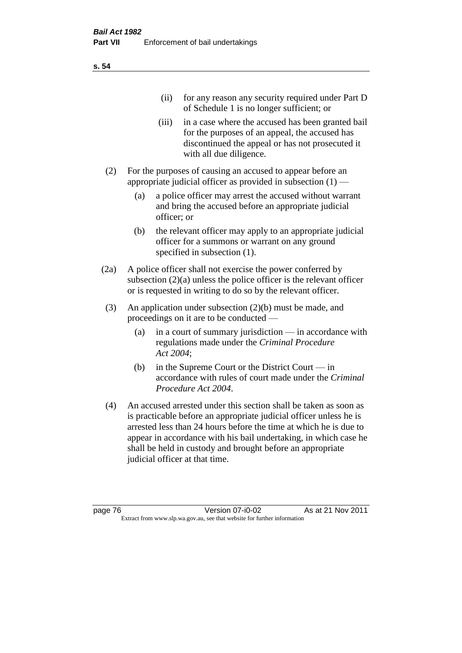| (11)  | for any reason any security required under Part D<br>of Schedule 1 is no longer sufficient; or                                                                                     |
|-------|------------------------------------------------------------------------------------------------------------------------------------------------------------------------------------|
| (111) | in a case where the accused has been granted bail<br>for the purposes of an appeal, the accused has<br>discontinued the appeal or has not prosecuted it<br>with all due diligence. |
|       | For the purposes of causing an accused to appear before an                                                                                                                         |

- appropriate judicial officer as provided in subsection  $(1)$ 
	- (a) a police officer may arrest the accused without warrant and bring the accused before an appropriate judicial officer; or
	- (b) the relevant officer may apply to an appropriate judicial officer for a summons or warrant on any ground specified in subsection  $(1)$ .
- (2a) A police officer shall not exercise the power conferred by subsection (2)(a) unless the police officer is the relevant officer or is requested in writing to do so by the relevant officer.
- (3) An application under subsection (2)(b) must be made, and proceedings on it are to be conducted —
	- (a) in a court of summary jurisdiction in accordance with regulations made under the *Criminal Procedure Act 2004*;
	- (b) in the Supreme Court or the District Court in accordance with rules of court made under the *Criminal Procedure Act 2004*.
- (4) An accused arrested under this section shall be taken as soon as is practicable before an appropriate judicial officer unless he is arrested less than 24 hours before the time at which he is due to appear in accordance with his bail undertaking, in which case he shall be held in custody and brought before an appropriate judicial officer at that time.

**s. 54**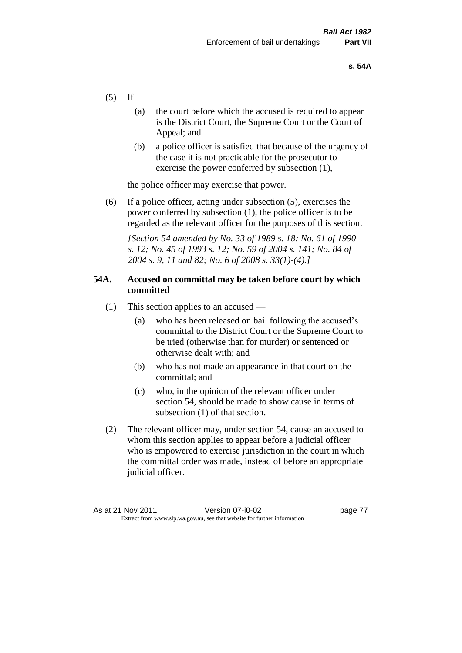- $(5)$  If
	- (a) the court before which the accused is required to appear is the District Court, the Supreme Court or the Court of Appeal; and
	- (b) a police officer is satisfied that because of the urgency of the case it is not practicable for the prosecutor to exercise the power conferred by subsection (1),

the police officer may exercise that power.

(6) If a police officer, acting under subsection (5), exercises the power conferred by subsection (1), the police officer is to be regarded as the relevant officer for the purposes of this section.

*[Section 54 amended by No. 33 of 1989 s. 18; No. 61 of 1990 s. 12; No. 45 of 1993 s. 12; No. 59 of 2004 s. 141; No. 84 of 2004 s. 9, 11 and 82; No. 6 of 2008 s. 33(1)-(4).]* 

# **54A. Accused on committal may be taken before court by which committed**

- (1) This section applies to an accused
	- (a) who has been released on bail following the accused's committal to the District Court or the Supreme Court to be tried (otherwise than for murder) or sentenced or otherwise dealt with; and
	- (b) who has not made an appearance in that court on the committal; and
	- (c) who, in the opinion of the relevant officer under section 54, should be made to show cause in terms of subsection (1) of that section.
- (2) The relevant officer may, under section 54, cause an accused to whom this section applies to appear before a judicial officer who is empowered to exercise jurisdiction in the court in which the committal order was made, instead of before an appropriate judicial officer.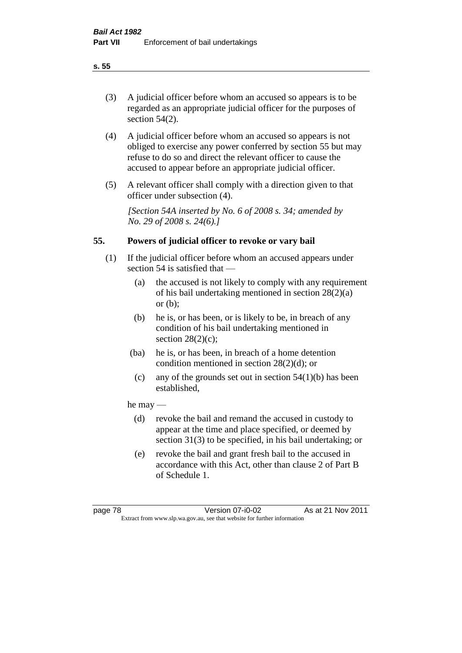# (3) A judicial officer before whom an accused so appears is to be regarded as an appropriate judicial officer for the purposes of section 54(2).

- (4) A judicial officer before whom an accused so appears is not obliged to exercise any power conferred by section 55 but may refuse to do so and direct the relevant officer to cause the accused to appear before an appropriate judicial officer.
- (5) A relevant officer shall comply with a direction given to that officer under subsection (4).

*[Section 54A inserted by No. 6 of 2008 s. 34; amended by No. 29 of 2008 s. 24(6).]*

# **55. Powers of judicial officer to revoke or vary bail**

- (1) If the judicial officer before whom an accused appears under section 54 is satisfied that —
	- (a) the accused is not likely to comply with any requirement of his bail undertaking mentioned in section 28(2)(a) or (b);
	- (b) he is, or has been, or is likely to be, in breach of any condition of his bail undertaking mentioned in section  $28(2)(c)$ ;
	- (ba) he is, or has been, in breach of a home detention condition mentioned in section 28(2)(d); or
		- (c) any of the grounds set out in section  $54(1)(b)$  has been established,

# he may —

- (d) revoke the bail and remand the accused in custody to appear at the time and place specified, or deemed by section 31(3) to be specified, in his bail undertaking; or
- (e) revoke the bail and grant fresh bail to the accused in accordance with this Act, other than clause 2 of Part B of Schedule 1.

#### **s. 55**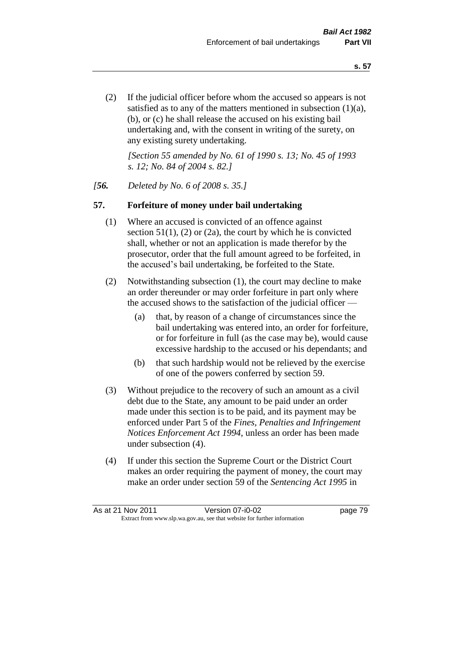(2) If the judicial officer before whom the accused so appears is not satisfied as to any of the matters mentioned in subsection (1)(a), (b), or (c) he shall release the accused on his existing bail undertaking and, with the consent in writing of the surety, on any existing surety undertaking.

*[Section 55 amended by No. 61 of 1990 s. 13; No. 45 of 1993 s. 12; No. 84 of 2004 s. 82.]* 

#### *[56. Deleted by No. 6 of 2008 s. 35.]*

#### **57. Forfeiture of money under bail undertaking**

- (1) Where an accused is convicted of an offence against section  $51(1)$ , (2) or (2a), the court by which he is convicted shall, whether or not an application is made therefor by the prosecutor, order that the full amount agreed to be forfeited, in the accused's bail undertaking, be forfeited to the State.
- (2) Notwithstanding subsection (1), the court may decline to make an order thereunder or may order forfeiture in part only where the accused shows to the satisfaction of the judicial officer —
	- (a) that, by reason of a change of circumstances since the bail undertaking was entered into, an order for forfeiture, or for forfeiture in full (as the case may be), would cause excessive hardship to the accused or his dependants; and
	- (b) that such hardship would not be relieved by the exercise of one of the powers conferred by section 59.
- (3) Without prejudice to the recovery of such an amount as a civil debt due to the State, any amount to be paid under an order made under this section is to be paid, and its payment may be enforced under Part 5 of the *Fines, Penalties and Infringement Notices Enforcement Act 1994*, unless an order has been made under subsection (4).
- (4) If under this section the Supreme Court or the District Court makes an order requiring the payment of money, the court may make an order under section 59 of the *Sentencing Act 1995* in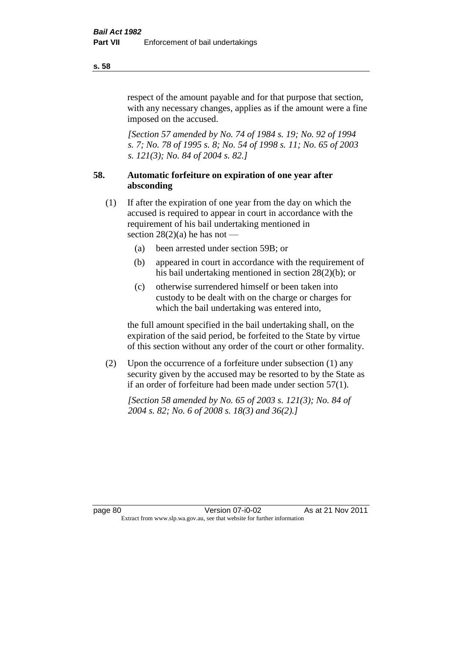respect of the amount payable and for that purpose that section, with any necessary changes, applies as if the amount were a fine imposed on the accused.

*[Section 57 amended by No. 74 of 1984 s. 19; No. 92 of 1994 s. 7; No. 78 of 1995 s. 8; No. 54 of 1998 s. 11; No. 65 of 2003 s. 121(3); No. 84 of 2004 s. 82.]* 

# **58. Automatic forfeiture on expiration of one year after absconding**

- (1) If after the expiration of one year from the day on which the accused is required to appear in court in accordance with the requirement of his bail undertaking mentioned in section  $28(2)(a)$  he has not —
	- (a) been arrested under section 59B; or
	- (b) appeared in court in accordance with the requirement of his bail undertaking mentioned in section 28(2)(b); or
	- (c) otherwise surrendered himself or been taken into custody to be dealt with on the charge or charges for which the bail undertaking was entered into,

the full amount specified in the bail undertaking shall, on the expiration of the said period, be forfeited to the State by virtue of this section without any order of the court or other formality.

(2) Upon the occurrence of a forfeiture under subsection (1) any security given by the accused may be resorted to by the State as if an order of forfeiture had been made under section 57(1).

*[Section 58 amended by No. 65 of 2003 s. 121(3); No. 84 of 2004 s. 82; No. 6 of 2008 s. 18(3) and 36(2).]*

**s. 58**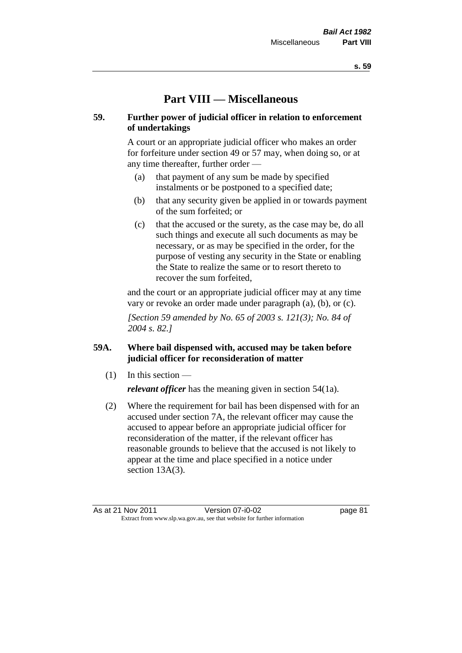# **Part VIII — Miscellaneous**

# **59. Further power of judicial officer in relation to enforcement of undertakings**

A court or an appropriate judicial officer who makes an order for forfeiture under section 49 or 57 may, when doing so, or at any time thereafter, further order —

- (a) that payment of any sum be made by specified instalments or be postponed to a specified date;
- (b) that any security given be applied in or towards payment of the sum forfeited; or
- (c) that the accused or the surety, as the case may be, do all such things and execute all such documents as may be necessary, or as may be specified in the order, for the purpose of vesting any security in the State or enabling the State to realize the same or to resort thereto to recover the sum forfeited,

and the court or an appropriate judicial officer may at any time vary or revoke an order made under paragraph (a), (b), or (c).

*[Section 59 amended by No. 65 of 2003 s. 121(3); No. 84 of 2004 s. 82.]*

# **59A. Where bail dispensed with, accused may be taken before judicial officer for reconsideration of matter**

- $(1)$  In this section *relevant officer* has the meaning given in section 54(1a).
- (2) Where the requirement for bail has been dispensed with for an accused under section 7A, the relevant officer may cause the accused to appear before an appropriate judicial officer for reconsideration of the matter, if the relevant officer has reasonable grounds to believe that the accused is not likely to appear at the time and place specified in a notice under section 13A(3).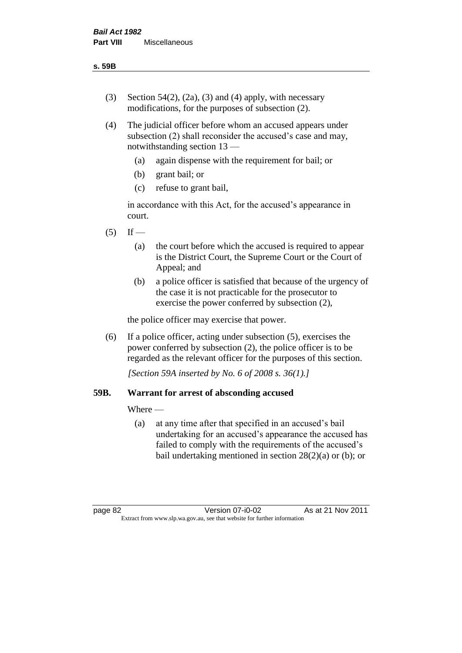- (3) Section 54(2), (2a), (3) and (4) apply, with necessary modifications, for the purposes of subsection (2).
- (4) The judicial officer before whom an accused appears under subsection (2) shall reconsider the accused's case and may, notwithstanding section 13 —
	- (a) again dispense with the requirement for bail; or
	- (b) grant bail; or
	- (c) refuse to grant bail,

in accordance with this Act, for the accused's appearance in court.

- $(5)$  If
	- (a) the court before which the accused is required to appear is the District Court, the Supreme Court or the Court of Appeal; and
	- (b) a police officer is satisfied that because of the urgency of the case it is not practicable for the prosecutor to exercise the power conferred by subsection (2),

the police officer may exercise that power.

(6) If a police officer, acting under subsection (5), exercises the power conferred by subsection (2), the police officer is to be regarded as the relevant officer for the purposes of this section.

*[Section 59A inserted by No. 6 of 2008 s. 36(1).]*

# **59B. Warrant for arrest of absconding accused**

Where —

(a) at any time after that specified in an accused's bail undertaking for an accused's appearance the accused has failed to comply with the requirements of the accused's bail undertaking mentioned in section  $28(2)(a)$  or (b); or

page 82 Version 07-i0-02 As at 21 Nov 2011 Extract from www.slp.wa.gov.au, see that website for further information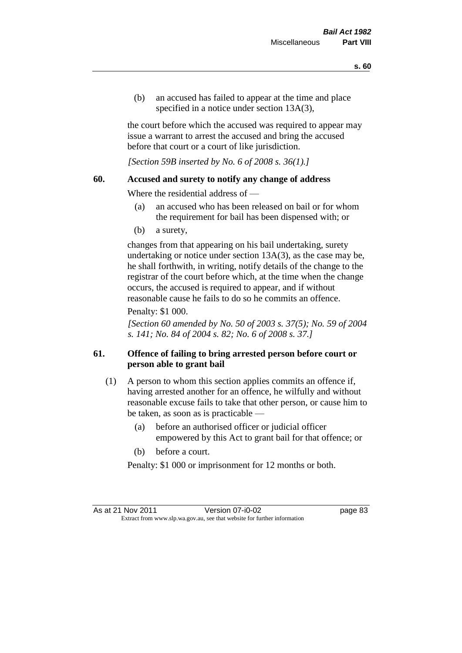(b) an accused has failed to appear at the time and place specified in a notice under section 13A(3).

the court before which the accused was required to appear may issue a warrant to arrest the accused and bring the accused before that court or a court of like jurisdiction.

*[Section 59B inserted by No. 6 of 2008 s. 36(1).]*

#### **60. Accused and surety to notify any change of address**

Where the residential address of —

- (a) an accused who has been released on bail or for whom the requirement for bail has been dispensed with; or
- (b) a surety,

changes from that appearing on his bail undertaking, surety undertaking or notice under section 13A(3), as the case may be, he shall forthwith, in writing, notify details of the change to the registrar of the court before which, at the time when the change occurs, the accused is required to appear, and if without reasonable cause he fails to do so he commits an offence.

#### Penalty: \$1 000.

*[Section 60 amended by No. 50 of 2003 s. 37(5); No. 59 of 2004 s. 141; No. 84 of 2004 s. 82; No. 6 of 2008 s. 37.]*

# **61. Offence of failing to bring arrested person before court or person able to grant bail**

- (1) A person to whom this section applies commits an offence if, having arrested another for an offence, he wilfully and without reasonable excuse fails to take that other person, or cause him to be taken, as soon as is practicable —
	- (a) before an authorised officer or judicial officer empowered by this Act to grant bail for that offence; or
	- (b) before a court.

Penalty: \$1 000 or imprisonment for 12 months or both.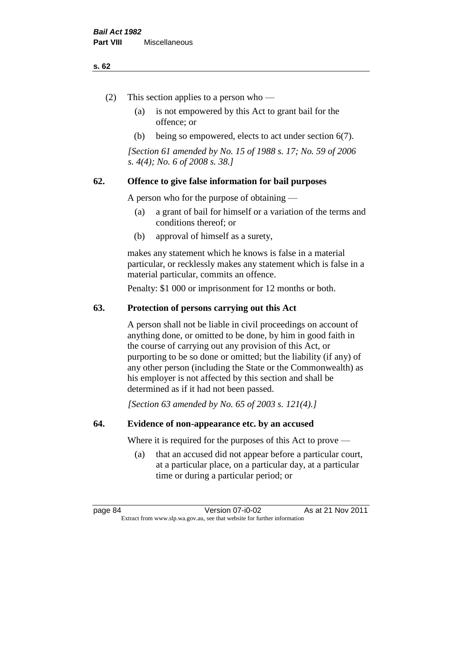#### **s. 62**

- (2) This section applies to a person who
	- (a) is not empowered by this Act to grant bail for the offence; or
	- (b) being so empowered, elects to act under section 6(7).

*[Section 61 amended by No. 15 of 1988 s. 17; No. 59 of 2006 s. 4(4); No. 6 of 2008 s. 38.]* 

# **62. Offence to give false information for bail purposes**

A person who for the purpose of obtaining —

- (a) a grant of bail for himself or a variation of the terms and conditions thereof; or
- (b) approval of himself as a surety,

makes any statement which he knows is false in a material particular, or recklessly makes any statement which is false in a material particular, commits an offence.

Penalty: \$1 000 or imprisonment for 12 months or both.

#### **63. Protection of persons carrying out this Act**

A person shall not be liable in civil proceedings on account of anything done, or omitted to be done, by him in good faith in the course of carrying out any provision of this Act, or purporting to be so done or omitted; but the liability (if any) of any other person (including the State or the Commonwealth) as his employer is not affected by this section and shall be determined as if it had not been passed.

*[Section 63 amended by No. 65 of 2003 s. 121(4).]*

#### **64. Evidence of non-appearance etc. by an accused**

Where it is required for the purposes of this Act to prove —

(a) that an accused did not appear before a particular court, at a particular place, on a particular day, at a particular time or during a particular period; or

page 84 Version 07-i0-02 As at 21 Nov 2011 Extract from www.slp.wa.gov.au, see that website for further information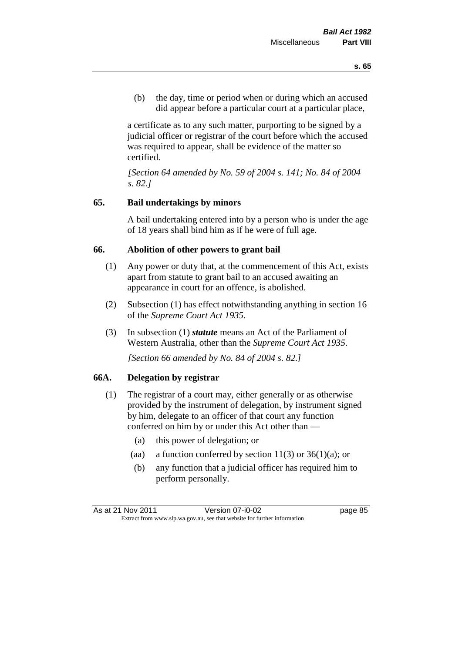(b) the day, time or period when or during which an accused did appear before a particular court at a particular place,

a certificate as to any such matter, purporting to be signed by a judicial officer or registrar of the court before which the accused was required to appear, shall be evidence of the matter so certified.

*[Section 64 amended by No. 59 of 2004 s. 141; No. 84 of 2004 s. 82.]* 

# **65. Bail undertakings by minors**

A bail undertaking entered into by a person who is under the age of 18 years shall bind him as if he were of full age.

#### **66. Abolition of other powers to grant bail**

- (1) Any power or duty that, at the commencement of this Act, exists apart from statute to grant bail to an accused awaiting an appearance in court for an offence, is abolished.
- (2) Subsection (1) has effect notwithstanding anything in section 16 of the *Supreme Court Act 1935*.
- (3) In subsection (1) *statute* means an Act of the Parliament of Western Australia, other than the *Supreme Court Act 1935*.

*[Section 66 amended by No. 84 of 2004 s. 82.]*

# **66A. Delegation by registrar**

- (1) The registrar of a court may, either generally or as otherwise provided by the instrument of delegation, by instrument signed by him, delegate to an officer of that court any function conferred on him by or under this Act other than —
	- (a) this power of delegation; or
	- (aa) a function conferred by section  $11(3)$  or  $36(1)(a)$ ; or
	- (b) any function that a judicial officer has required him to perform personally.

As at 21 Nov 2011 Version 07-i0-02 page 85 Extract from www.slp.wa.gov.au, see that website for further information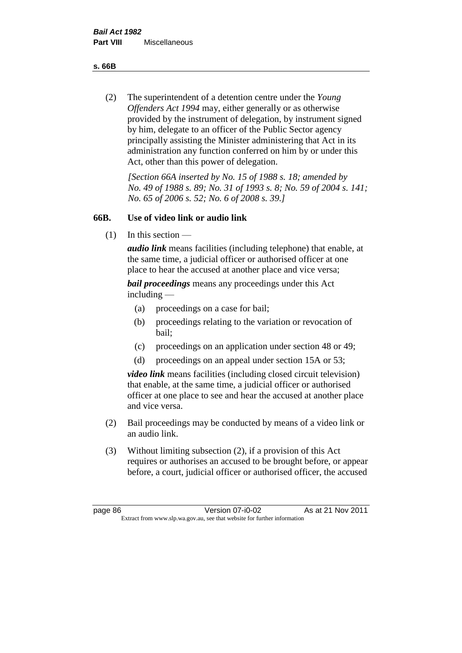**s. 66B**

(2) The superintendent of a detention centre under the *Young Offenders Act 1994* may, either generally or as otherwise provided by the instrument of delegation, by instrument signed by him, delegate to an officer of the Public Sector agency principally assisting the Minister administering that Act in its administration any function conferred on him by or under this Act, other than this power of delegation.

*[Section 66A inserted by No. 15 of 1988 s. 18; amended by No. 49 of 1988 s. 89; No. 31 of 1993 s. 8; No. 59 of 2004 s. 141; No. 65 of 2006 s. 52; No. 6 of 2008 s. 39.]* 

# **66B. Use of video link or audio link**

(1) In this section —

*audio link* means facilities (including telephone) that enable, at the same time, a judicial officer or authorised officer at one place to hear the accused at another place and vice versa;

*bail proceedings* means any proceedings under this Act including —

- (a) proceedings on a case for bail;
- (b) proceedings relating to the variation or revocation of bail;
- (c) proceedings on an application under section 48 or 49;
- (d) proceedings on an appeal under section 15A or 53;

*video link* means facilities (including closed circuit television) that enable, at the same time, a judicial officer or authorised officer at one place to see and hear the accused at another place and vice versa.

- (2) Bail proceedings may be conducted by means of a video link or an audio link.
- (3) Without limiting subsection (2), if a provision of this Act requires or authorises an accused to be brought before, or appear before, a court, judicial officer or authorised officer, the accused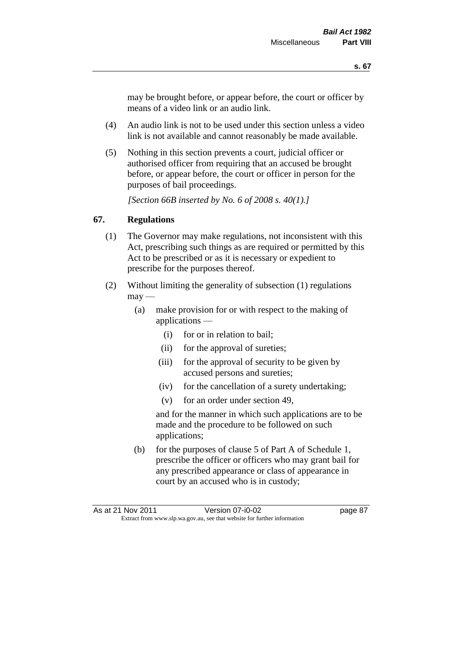may be brought before, or appear before, the court or officer by means of a video link or an audio link.

- (4) An audio link is not to be used under this section unless a video link is not available and cannot reasonably be made available.
- (5) Nothing in this section prevents a court, judicial officer or authorised officer from requiring that an accused be brought before, or appear before, the court or officer in person for the purposes of bail proceedings.

*[Section 66B inserted by No. 6 of 2008 s. 40(1).]*

### **67. Regulations**

- (1) The Governor may make regulations, not inconsistent with this Act, prescribing such things as are required or permitted by this Act to be prescribed or as it is necessary or expedient to prescribe for the purposes thereof.
- (2) Without limiting the generality of subsection (1) regulations  $\text{max}$  —
	- (a) make provision for or with respect to the making of applications —
		- (i) for or in relation to bail;
		- (ii) for the approval of sureties;
		- (iii) for the approval of security to be given by accused persons and sureties;
		- (iv) for the cancellation of a surety undertaking;
		- (v) for an order under section 49,

and for the manner in which such applications are to be made and the procedure to be followed on such applications;

(b) for the purposes of clause 5 of Part A of Schedule 1, prescribe the officer or officers who may grant bail for any prescribed appearance or class of appearance in court by an accused who is in custody;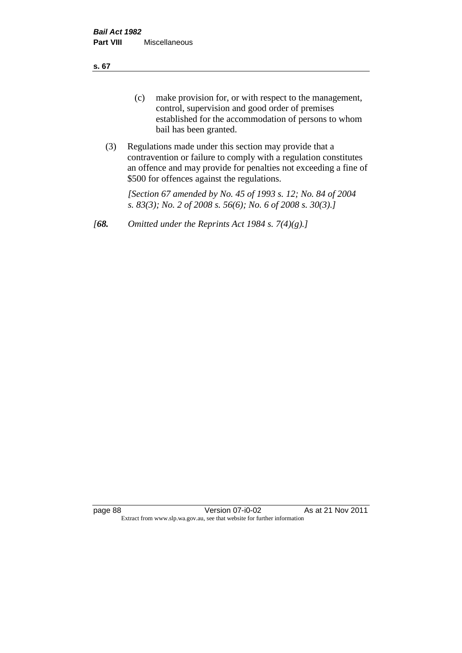**s. 67**

- (c) make provision for, or with respect to the management, control, supervision and good order of premises established for the accommodation of persons to whom bail has been granted.
- (3) Regulations made under this section may provide that a contravention or failure to comply with a regulation constitutes an offence and may provide for penalties not exceeding a fine of \$500 for offences against the regulations.

*[Section 67 amended by No. 45 of 1993 s. 12; No. 84 of 2004 s. 83(3); No. 2 of 2008 s. 56(6); No. 6 of 2008 s. 30(3).]* 

*[68. Omitted under the Reprints Act 1984 s. 7(4)(g).]*

page 88 Version 07-i0-02 As at 21 Nov 2011 Extract from www.slp.wa.gov.au, see that website for further information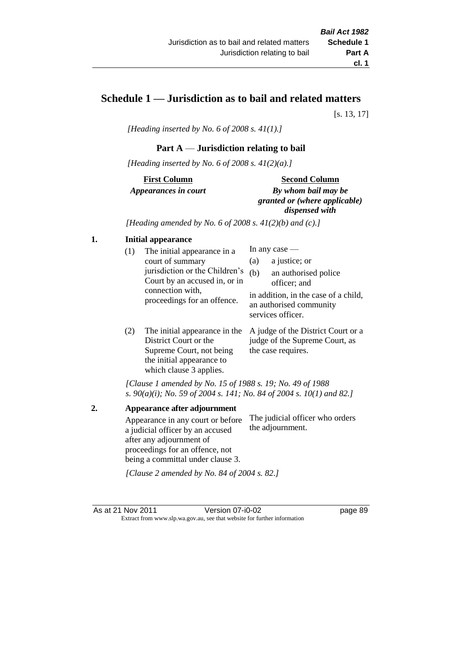# **Schedule 1 — Jurisdiction as to bail and related matters**

[s. 13, 17]

*[Heading inserted by No. 6 of 2008 s. 41(1).]*

# **Part A** — **Jurisdiction relating to bail**

*[Heading inserted by No. 6 of 2008 s. 41(2)(a).]*

**First Column** *Appearances in court* 

#### **Second Column**

*By whom bail may be granted or (where applicable) dispensed with*

*[Heading amended by No. 6 of 2008 s. 41(2)(b) and (c).]*

### **1. Initial appearance**

| (1) | The initial appearance in a<br>court of summary<br>jurisdiction or the Children's | (a)<br>(b) | In any case $-$<br>a justice; or<br>an authorised police                                             |
|-----|-----------------------------------------------------------------------------------|------------|------------------------------------------------------------------------------------------------------|
|     | Court by an accused in, or in<br>connection with,<br>proceedings for an offence.  |            | officer; and<br>in addition, in the case of a child,<br>an authorised community<br>services officer. |
|     |                                                                                   |            |                                                                                                      |

(2) The initial appearance in the A judge of the District Court or a District Court or the Supreme Court, not being the initial appearance to which clause 3 applies. judge of the Supreme Court, as the case requires.

*[Clause 1 amended by No. 15 of 1988 s. 19; No. 49 of 1988 s. 90(a)(i); No. 59 of 2004 s. 141; No. 84 of 2004 s. 10(1) and 82.]*

**2. Appearance after adjournment** Appearance in any court or before a judicial officer by an accused after any adjournment of proceedings for an offence, not being a committal under clause 3. The judicial officer who orders the adjournment.

*[Clause 2 amended by No. 84 of 2004 s. 82.]*

As at 21 Nov 2011 Version 07-i0-02 page 89 Extract from www.slp.wa.gov.au, see that website for further information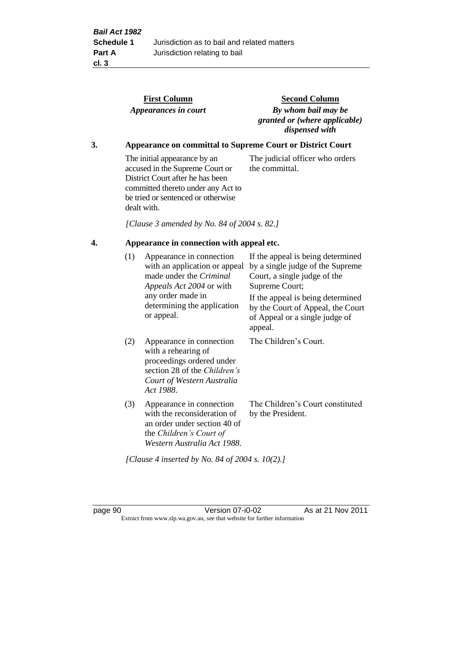|                                                 |     | <b>First Column</b><br>Appearances in court                                                                                                                                                    | <b>Second Column</b><br>By whom bail may be<br>granted or (where applicable)<br>dispensed with                                                                                                                                                 |
|-------------------------------------------------|-----|------------------------------------------------------------------------------------------------------------------------------------------------------------------------------------------------|------------------------------------------------------------------------------------------------------------------------------------------------------------------------------------------------------------------------------------------------|
| 3.                                              |     |                                                                                                                                                                                                | <b>Appearance on committal to Supreme Court or District Court</b>                                                                                                                                                                              |
|                                                 |     | The initial appearance by an<br>accused in the Supreme Court or<br>District Court after he has been<br>committed thereto under any Act to<br>be tried or sentenced or otherwise<br>dealt with. | The judicial officer who orders<br>the committal.                                                                                                                                                                                              |
|                                                 |     | [Clause 3 amended by No. 84 of 2004 s. 82.]                                                                                                                                                    |                                                                                                                                                                                                                                                |
| 4.<br>Appearance in connection with appeal etc. |     |                                                                                                                                                                                                |                                                                                                                                                                                                                                                |
|                                                 | (1) | Appearance in connection<br>with an application or appeal<br>made under the Criminal<br>Appeals Act 2004 or with<br>any order made in<br>determining the application<br>or appeal.             | If the appeal is being determined<br>by a single judge of the Supreme<br>Court, a single judge of the<br>Supreme Court;<br>If the appeal is being determined<br>by the Court of Appeal, the Court<br>of Appeal or a single judge of<br>appeal. |
|                                                 | (2) | Appearance in connection<br>with a rehearing of<br>proceedings ordered under<br>section 28 of the Children's<br>Court of Western Australia<br>Act 1988.                                        | The Children's Court.                                                                                                                                                                                                                          |
|                                                 | (3) | Appearance in connection<br>with the reconsideration of<br>an order under section 40 of<br>the Children's Court of<br>Western Australia Act 1988.                                              | The Children's Court constituted<br>by the President.                                                                                                                                                                                          |

*[Clause 4 inserted by No. 84 of 2004 s. 10(2).]*

page 90 Version 07-i0-02 As at 21 Nov 2011 Extract from www.slp.wa.gov.au, see that website for further information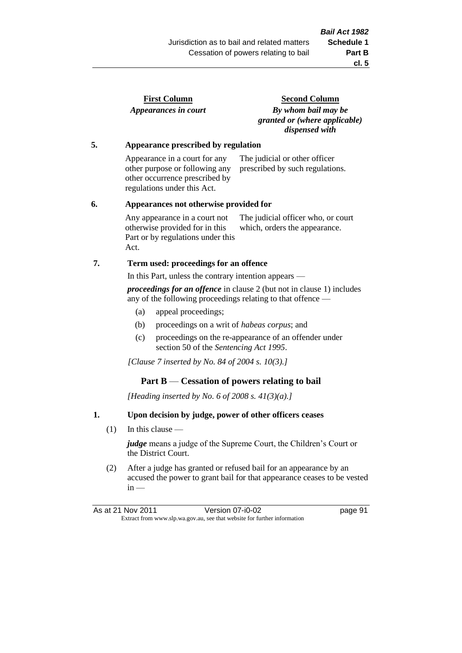| <b>First Column</b>  |  |
|----------------------|--|
| Appearances in court |  |

**Second Column** *By whom bail may be granted or (where applicable) dispensed with*

#### **5. Appearance prescribed by regulation**

Appearance in a court for any other purpose or following any other occurrence prescribed by regulations under this Act. The judicial or other officer prescribed by such regulations.

#### **6. Appearances not otherwise provided for**

Any appearance in a court not otherwise provided for in this Part or by regulations under this Act. The judicial officer who, or court which, orders the appearance.

# **7. Term used: proceedings for an offence**

In this Part, unless the contrary intention appears —

*proceedings for an offence* in clause 2 (but not in clause 1) includes any of the following proceedings relating to that offence —

- (a) appeal proceedings;
- (b) proceedings on a writ of *habeas corpus*; and
- (c) proceedings on the re-appearance of an offender under section 50 of the *Sentencing Act 1995*.

*[Clause 7 inserted by No. 84 of 2004 s. 10(3).]*

# **Part B** — **Cessation of powers relating to bail**

*[Heading inserted by No. 6 of 2008 s. 41(3)(a).]*

# **1. Upon decision by judge, power of other officers ceases**

(1) In this clause —

*judge* means a judge of the Supreme Court, the Children's Court or the District Court.

(2) After a judge has granted or refused bail for an appearance by an accused the power to grant bail for that appearance ceases to be vested  $in -$ 

As at 21 Nov 2011 Version 07-i0-02 Page 91 Extract from www.slp.wa.gov.au, see that website for further information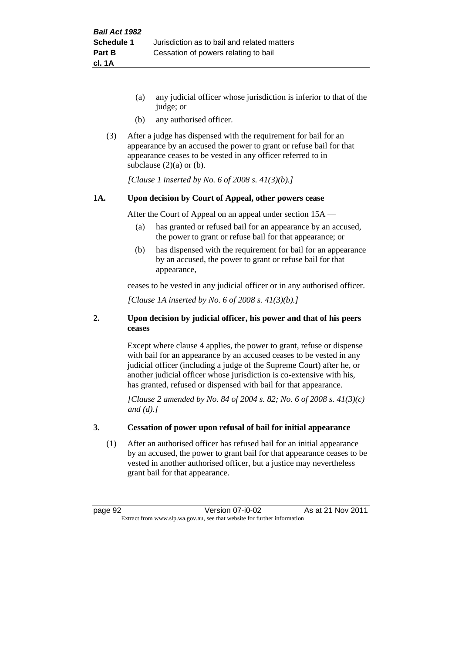- (a) any judicial officer whose jurisdiction is inferior to that of the judge; or
- (b) any authorised officer.
- (3) After a judge has dispensed with the requirement for bail for an appearance by an accused the power to grant or refuse bail for that appearance ceases to be vested in any officer referred to in subclause  $(2)(a)$  or  $(b)$ .

*[Clause 1 inserted by No. 6 of 2008 s. 41(3)(b).]*

#### **1A. Upon decision by Court of Appeal, other powers cease**

After the Court of Appeal on an appeal under section 15A —

- (a) has granted or refused bail for an appearance by an accused, the power to grant or refuse bail for that appearance; or
- (b) has dispensed with the requirement for bail for an appearance by an accused, the power to grant or refuse bail for that appearance,

ceases to be vested in any judicial officer or in any authorised officer.

*[Clause 1A inserted by No. 6 of 2008 s. 41(3)(b).]*

#### **2. Upon decision by judicial officer, his power and that of his peers ceases**

Except where clause 4 applies, the power to grant, refuse or dispense with bail for an appearance by an accused ceases to be vested in any judicial officer (including a judge of the Supreme Court) after he, or another judicial officer whose jurisdiction is co-extensive with his, has granted, refused or dispensed with bail for that appearance.

*[Clause 2 amended by No. 84 of 2004 s. 82; No. 6 of 2008 s. 41(3)(c) and (d).]*

#### **3. Cessation of power upon refusal of bail for initial appearance**

(1) After an authorised officer has refused bail for an initial appearance by an accused, the power to grant bail for that appearance ceases to be vested in another authorised officer, but a justice may nevertheless grant bail for that appearance.

page 92 Version 07-i0-02 As at 21 Nov 2011 Extract from www.slp.wa.gov.au, see that website for further information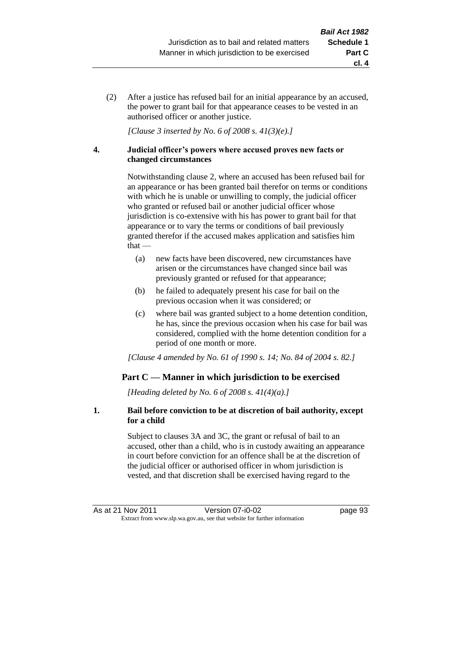(2) After a justice has refused bail for an initial appearance by an accused, the power to grant bail for that appearance ceases to be vested in an authorised officer or another justice.

*[Clause 3 inserted by No. 6 of 2008 s. 41(3)(e).]*

#### **4. Judicial officer's powers where accused proves new facts or changed circumstances**

Notwithstanding clause 2, where an accused has been refused bail for an appearance or has been granted bail therefor on terms or conditions with which he is unable or unwilling to comply, the judicial officer who granted or refused bail or another judicial officer whose jurisdiction is co-extensive with his has power to grant bail for that appearance or to vary the terms or conditions of bail previously granted therefor if the accused makes application and satisfies him  $that -$ 

- (a) new facts have been discovered, new circumstances have arisen or the circumstances have changed since bail was previously granted or refused for that appearance;
- (b) he failed to adequately present his case for bail on the previous occasion when it was considered; or
- (c) where bail was granted subject to a home detention condition, he has, since the previous occasion when his case for bail was considered, complied with the home detention condition for a period of one month or more.

*[Clause 4 amended by No. 61 of 1990 s. 14; No. 84 of 2004 s. 82.]*

# **Part C — Manner in which jurisdiction to be exercised**

*[Heading deleted by No. 6 of 2008 s. 41(4)(a).]*

#### **1. Bail before conviction to be at discretion of bail authority, except for a child**

Subject to clauses 3A and 3C, the grant or refusal of bail to an accused, other than a child, who is in custody awaiting an appearance in court before conviction for an offence shall be at the discretion of the judicial officer or authorised officer in whom jurisdiction is vested, and that discretion shall be exercised having regard to the

**cl. 4**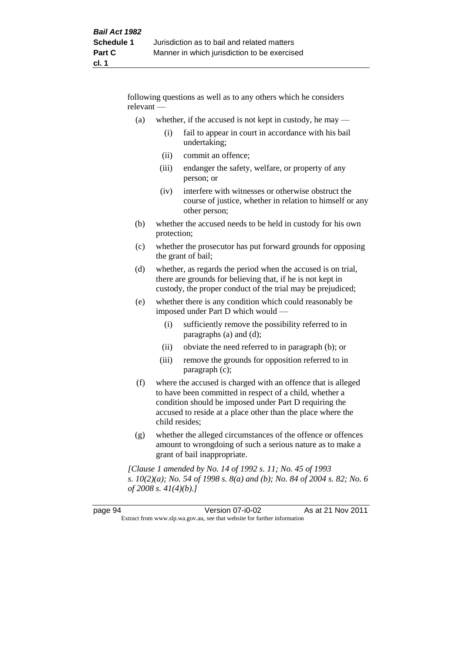following questions as well as to any others which he considers relevant —

- (a) whether, if the accused is not kept in custody, he may  $-$ 
	- (i) fail to appear in court in accordance with his bail undertaking;
	- (ii) commit an offence;
	- (iii) endanger the safety, welfare, or property of any person; or
	- (iv) interfere with witnesses or otherwise obstruct the course of justice, whether in relation to himself or any other person;
- (b) whether the accused needs to be held in custody for his own protection;
- (c) whether the prosecutor has put forward grounds for opposing the grant of bail;
- (d) whether, as regards the period when the accused is on trial, there are grounds for believing that, if he is not kept in custody, the proper conduct of the trial may be prejudiced;
- (e) whether there is any condition which could reasonably be imposed under Part D which would —
	- (i) sufficiently remove the possibility referred to in paragraphs (a) and (d);
	- (ii) obviate the need referred to in paragraph (b); or
	- (iii) remove the grounds for opposition referred to in paragraph (c);
- (f) where the accused is charged with an offence that is alleged to have been committed in respect of a child, whether a condition should be imposed under Part D requiring the accused to reside at a place other than the place where the child resides;
- (g) whether the alleged circumstances of the offence or offences amount to wrongdoing of such a serious nature as to make a grant of bail inappropriate.

*[Clause 1 amended by No. 14 of 1992 s. 11; No. 45 of 1993 s. 10(2)(a); No. 54 of 1998 s. 8(a) and (b); No. 84 of 2004 s. 82; No. 6 of 2008 s. 41(4)(b).]*

| page 94                                                                  | Version 07-i0-02 | As at 21 Nov 2011 |
|--------------------------------------------------------------------------|------------------|-------------------|
| Extract from www.slp.wa.gov.au, see that website for further information |                  |                   |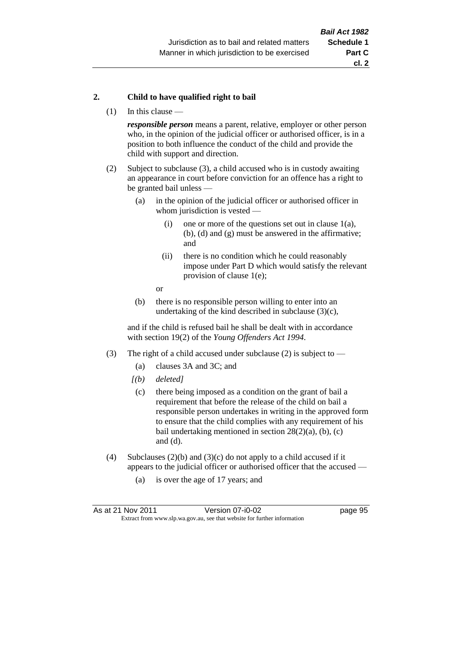#### **2. Child to have qualified right to bail**

(1) In this clause —

*responsible person* means a parent, relative, employer or other person who, in the opinion of the judicial officer or authorised officer, is in a position to both influence the conduct of the child and provide the child with support and direction.

- (2) Subject to subclause (3), a child accused who is in custody awaiting an appearance in court before conviction for an offence has a right to be granted bail unless —
	- (a) in the opinion of the judicial officer or authorised officer in whom jurisdiction is vested —
		- (i) one or more of the questions set out in clause  $1(a)$ , (b), (d) and (g) must be answered in the affirmative; and
		- (ii) there is no condition which he could reasonably impose under Part D which would satisfy the relevant provision of clause 1(e);
		- or
	- (b) there is no responsible person willing to enter into an undertaking of the kind described in subclause  $(3)(c)$ ,

and if the child is refused bail he shall be dealt with in accordance with section 19(2) of the *Young Offenders Act 1994*.

- (3) The right of a child accused under subclause (2) is subject to
	- (a) clauses 3A and 3C; and
	- *[(b) deleted]*
	- (c) there being imposed as a condition on the grant of bail a requirement that before the release of the child on bail a responsible person undertakes in writing in the approved form to ensure that the child complies with any requirement of his bail undertaking mentioned in section  $28(2)(a)$ , (b), (c) and (d).
- (4) Subclauses (2)(b) and (3)(c) do not apply to a child accused if it appears to the judicial officer or authorised officer that the accused —
	- (a) is over the age of 17 years; and

| As at 21 Nov 2011                                                        | Version 07-i0-02 | page 95 |
|--------------------------------------------------------------------------|------------------|---------|
| Extract from www.slp.wa.gov.au, see that website for further information |                  |         |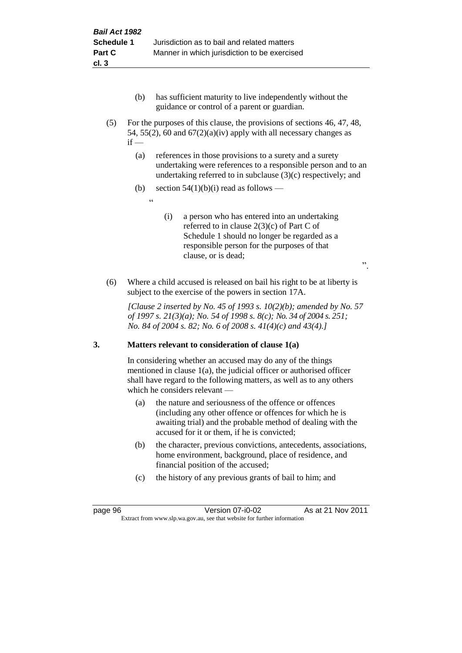- (b) has sufficient maturity to live independently without the guidance or control of a parent or guardian.
- (5) For the purposes of this clause, the provisions of sections 46, 47, 48, 54, 55(2), 60 and  $67(2)(a)(iv)$  apply with all necessary changes as  $if -$ 
	- (a) references in those provisions to a surety and a surety undertaking were references to a responsible person and to an undertaking referred to in subclause (3)(c) respectively; and
	- (b) section  $54(1)(b)(i)$  read as follows
		- <u>، د</u>
- (i) a person who has entered into an undertaking referred to in clause 2(3)(c) of Part C of Schedule 1 should no longer be regarded as a responsible person for the purposes of that clause, or is dead;

".

(6) Where a child accused is released on bail his right to be at liberty is subject to the exercise of the powers in section 17A.

*[Clause 2 inserted by No. 45 of 1993 s. 10(2)(b); amended by No. 57 of 1997 s. 21(3)(a); No. 54 of 1998 s. 8(c); No. 34 of 2004 s. 251; No. 84 of 2004 s. 82; No. 6 of 2008 s. 41(4)(c) and 43(4).]*

# **3. Matters relevant to consideration of clause 1(a)**

In considering whether an accused may do any of the things mentioned in clause 1(a), the judicial officer or authorised officer shall have regard to the following matters, as well as to any others which he considers relevant —

- (a) the nature and seriousness of the offence or offences (including any other offence or offences for which he is awaiting trial) and the probable method of dealing with the accused for it or them, if he is convicted;
- (b) the character, previous convictions, antecedents, associations, home environment, background, place of residence, and financial position of the accused;
- (c) the history of any previous grants of bail to him; and

page 96 Version 07-i0-02 As at 21 Nov 2011 Extract from www.slp.wa.gov.au, see that website for further information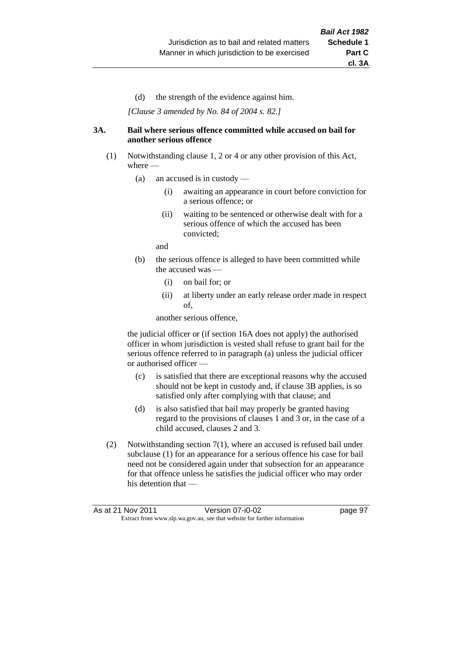(d) the strength of the evidence against him.

*[Clause 3 amended by No. 84 of 2004 s. 82.]*

#### **3A. Bail where serious offence committed while accused on bail for another serious offence**

- (1) Notwithstanding clause 1, 2 or 4 or any other provision of this Act, where —
	- (a) an accused is in custody
		- (i) awaiting an appearance in court before conviction for a serious offence; or
		- (ii) waiting to be sentenced or otherwise dealt with for a serious offence of which the accused has been convicted;

and

- (b) the serious offence is alleged to have been committed while the accused was
	- (i) on bail for; or
	- (ii) at liberty under an early release order made in respect of,

another serious offence,

the judicial officer or (if section 16A does not apply) the authorised officer in whom jurisdiction is vested shall refuse to grant bail for the serious offence referred to in paragraph (a) unless the judicial officer or authorised officer —

- (c) is satisfied that there are exceptional reasons why the accused should not be kept in custody and, if clause 3B applies, is so satisfied only after complying with that clause; and
- (d) is also satisfied that bail may properly be granted having regard to the provisions of clauses 1 and 3 or, in the case of a child accused, clauses 2 and 3.
- (2) Notwithstanding section 7(1), where an accused is refused bail under subclause (1) for an appearance for a serious offence his case for bail need not be considered again under that subsection for an appearance for that offence unless he satisfies the judicial officer who may order his detention that —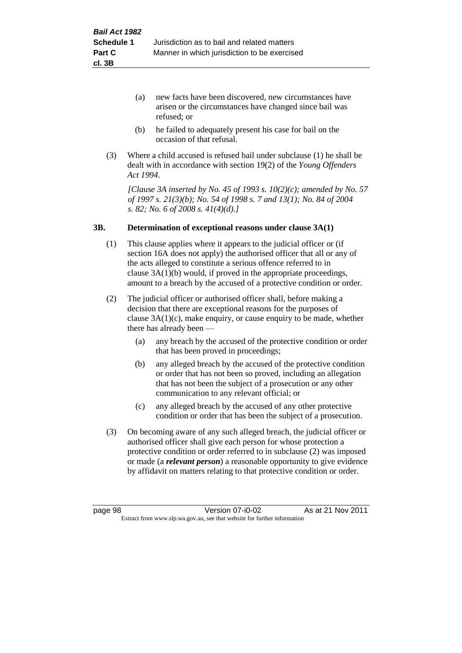- (a) new facts have been discovered, new circumstances have arisen or the circumstances have changed since bail was refused; or
- (b) he failed to adequately present his case for bail on the occasion of that refusal.
- (3) Where a child accused is refused bail under subclause (1) he shall be dealt with in accordance with section 19(2) of the *Young Offenders Act 1994*.

*[Clause 3A inserted by No. 45 of 1993 s. 10(2)(c); amended by No. 57 of 1997 s. 21(3)(b); No. 54 of 1998 s. 7 and 13(1); No. 84 of 2004 s. 82; No. 6 of 2008 s. 41(4)(d).]*

#### **3B. Determination of exceptional reasons under clause 3A(1)**

- (1) This clause applies where it appears to the judicial officer or (if section 16A does not apply) the authorised officer that all or any of the acts alleged to constitute a serious offence referred to in clause 3A(1)(b) would, if proved in the appropriate proceedings, amount to a breach by the accused of a protective condition or order.
- (2) The judicial officer or authorised officer shall, before making a decision that there are exceptional reasons for the purposes of clause  $3A(1)(c)$ , make enquiry, or cause enquiry to be made, whether there has already been —
	- (a) any breach by the accused of the protective condition or order that has been proved in proceedings;
	- (b) any alleged breach by the accused of the protective condition or order that has not been so proved, including an allegation that has not been the subject of a prosecution or any other communication to any relevant official; or
	- (c) any alleged breach by the accused of any other protective condition or order that has been the subject of a prosecution.
- (3) On becoming aware of any such alleged breach, the judicial officer or authorised officer shall give each person for whose protection a protective condition or order referred to in subclause (2) was imposed or made (a *relevant person*) a reasonable opportunity to give evidence by affidavit on matters relating to that protective condition or order.

page 98 Version 07-i0-02 As at 21 Nov 2011 Extract from www.slp.wa.gov.au, see that website for further information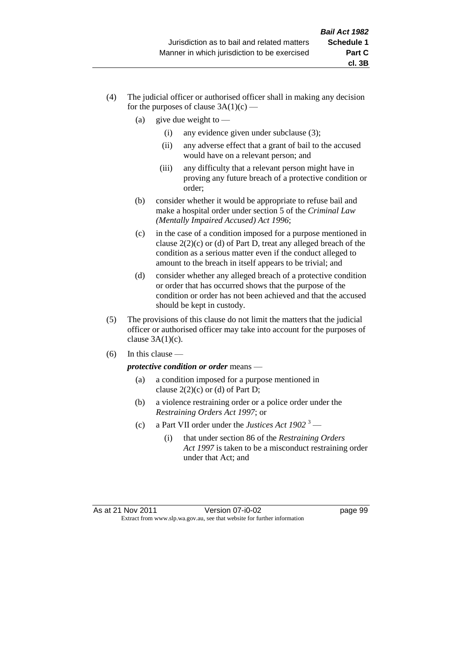- (4) The judicial officer or authorised officer shall in making any decision for the purposes of clause  $3A(1)(c)$  —
	- (a) give due weight to  $-$ 
		- (i) any evidence given under subclause (3);
		- (ii) any adverse effect that a grant of bail to the accused would have on a relevant person; and
		- (iii) any difficulty that a relevant person might have in proving any future breach of a protective condition or order;
	- (b) consider whether it would be appropriate to refuse bail and make a hospital order under section 5 of the *Criminal Law (Mentally Impaired Accused) Act 1996*;
	- (c) in the case of a condition imposed for a purpose mentioned in clause 2(2)(c) or (d) of Part D, treat any alleged breach of the condition as a serious matter even if the conduct alleged to amount to the breach in itself appears to be trivial; and
	- (d) consider whether any alleged breach of a protective condition or order that has occurred shows that the purpose of the condition or order has not been achieved and that the accused should be kept in custody.
- (5) The provisions of this clause do not limit the matters that the judicial officer or authorised officer may take into account for the purposes of clause  $3A(1)(c)$ .
- $(6)$  In this clause —

*protective condition or order* means —

- (a) a condition imposed for a purpose mentioned in clause  $2(2)(c)$  or (d) of Part D;
- (b) a violence restraining order or a police order under the *Restraining Orders Act 1997*; or
- (c) a Part VII order under the *Justices Act 1902* <sup>3</sup>
	- (i) that under section 86 of the *Restraining Orders Act 1997* is taken to be a misconduct restraining order under that Act; and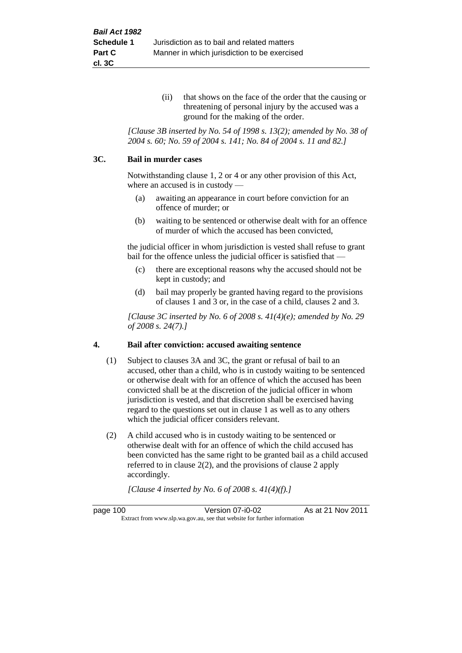(ii) that shows on the face of the order that the causing or threatening of personal injury by the accused was a ground for the making of the order.

*[Clause 3B inserted by No. 54 of 1998 s. 13(2); amended by No. 38 of 2004 s. 60; No. 59 of 2004 s. 141; No. 84 of 2004 s. 11 and 82.]*

#### **3C. Bail in murder cases**

Notwithstanding clause 1, 2 or 4 or any other provision of this Act, where an accused is in custody —

- (a) awaiting an appearance in court before conviction for an offence of murder; or
- (b) waiting to be sentenced or otherwise dealt with for an offence of murder of which the accused has been convicted,

the judicial officer in whom jurisdiction is vested shall refuse to grant bail for the offence unless the judicial officer is satisfied that —

- (c) there are exceptional reasons why the accused should not be kept in custody; and
- (d) bail may properly be granted having regard to the provisions of clauses 1 and 3 or, in the case of a child, clauses 2 and 3.

*[Clause 3C inserted by No. 6 of 2008 s. 41(4)(e); amended by No. 29 of 2008 s. 24(7).]*

#### **4. Bail after conviction: accused awaiting sentence**

- (1) Subject to clauses 3A and 3C, the grant or refusal of bail to an accused, other than a child, who is in custody waiting to be sentenced or otherwise dealt with for an offence of which the accused has been convicted shall be at the discretion of the judicial officer in whom jurisdiction is vested, and that discretion shall be exercised having regard to the questions set out in clause 1 as well as to any others which the judicial officer considers relevant.
- (2) A child accused who is in custody waiting to be sentenced or otherwise dealt with for an offence of which the child accused has been convicted has the same right to be granted bail as a child accused referred to in clause 2(2), and the provisions of clause 2 apply accordingly.

*[Clause 4 inserted by No. 6 of 2008 s. 41(4)(f).]*

page 100 Version 07-i0-02 As at 21 Nov 2011 Extract from www.slp.wa.gov.au, see that website for further information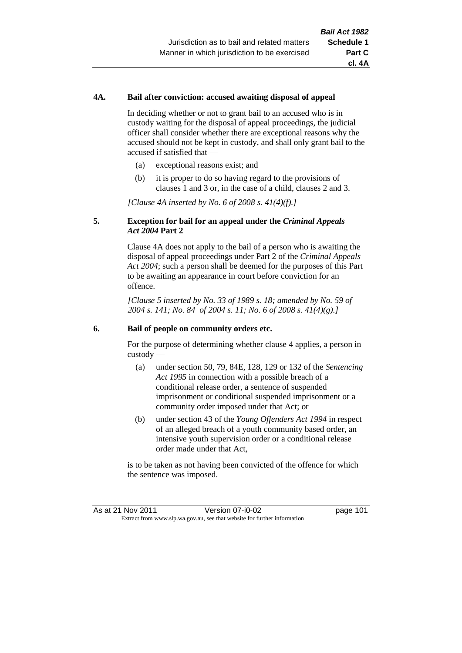# **4A. Bail after conviction: accused awaiting disposal of appeal**

In deciding whether or not to grant bail to an accused who is in custody waiting for the disposal of appeal proceedings, the judicial officer shall consider whether there are exceptional reasons why the accused should not be kept in custody, and shall only grant bail to the accused if satisfied that —

- (a) exceptional reasons exist; and
- (b) it is proper to do so having regard to the provisions of clauses 1 and 3 or, in the case of a child, clauses 2 and 3.

*[Clause 4A inserted by No. 6 of 2008 s. 41(4)(f).]*

# **5. Exception for bail for an appeal under the** *Criminal Appeals Act 2004* **Part 2**

Clause 4A does not apply to the bail of a person who is awaiting the disposal of appeal proceedings under Part 2 of the *Criminal Appeals Act 2004*; such a person shall be deemed for the purposes of this Part to be awaiting an appearance in court before conviction for an offence.

*[Clause 5 inserted by No. 33 of 1989 s. 18; amended by No. 59 of 2004 s. 141; No. 84 of 2004 s. 11; No. 6 of 2008 s. 41(4)(g).]*

#### **6. Bail of people on community orders etc.**

For the purpose of determining whether clause 4 applies, a person in custody —

- (a) under section 50, 79, 84E, 128, 129 or 132 of the *Sentencing Act 1995* in connection with a possible breach of a conditional release order, a sentence of suspended imprisonment or conditional suspended imprisonment or a community order imposed under that Act; or
- (b) under section 43 of the *Young Offenders Act 1994* in respect of an alleged breach of a youth community based order, an intensive youth supervision order or a conditional release order made under that Act,

is to be taken as not having been convicted of the offence for which the sentence was imposed.

As at 21 Nov 2011 Version 07-i0-02 had page 101 Extract from www.slp.wa.gov.au, see that website for further information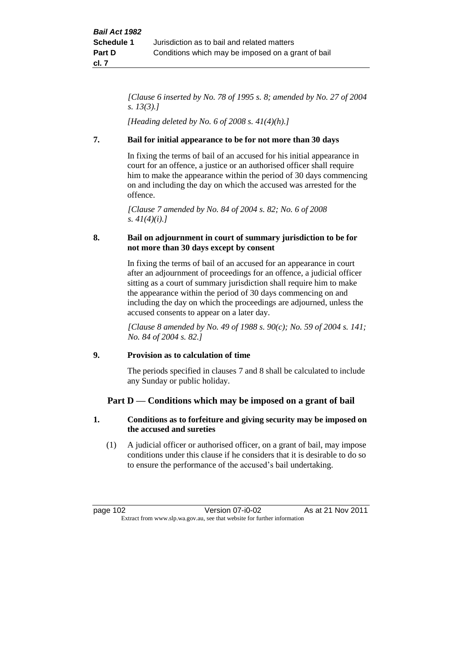*[Clause 6 inserted by No. 78 of 1995 s. 8; amended by No. 27 of 2004 s. 13(3).]*

*[Heading deleted by No. 6 of 2008 s. 41(4)(h).]*

# **7. Bail for initial appearance to be for not more than 30 days**

In fixing the terms of bail of an accused for his initial appearance in court for an offence, a justice or an authorised officer shall require him to make the appearance within the period of 30 days commencing on and including the day on which the accused was arrested for the offence.

*[Clause 7 amended by No. 84 of 2004 s. 82; No. 6 of 2008 s. 41(4)(i).]*

# **8. Bail on adjournment in court of summary jurisdiction to be for not more than 30 days except by consent**

In fixing the terms of bail of an accused for an appearance in court after an adjournment of proceedings for an offence, a judicial officer sitting as a court of summary jurisdiction shall require him to make the appearance within the period of 30 days commencing on and including the day on which the proceedings are adjourned, unless the accused consents to appear on a later day.

*[Clause 8 amended by No. 49 of 1988 s. 90(c); No. 59 of 2004 s. 141; No. 84 of 2004 s. 82.]*

# **9. Provision as to calculation of time**

The periods specified in clauses 7 and 8 shall be calculated to include any Sunday or public holiday.

# **Part D — Conditions which may be imposed on a grant of bail**

# **1. Conditions as to forfeiture and giving security may be imposed on the accused and sureties**

(1) A judicial officer or authorised officer, on a grant of bail, may impose conditions under this clause if he considers that it is desirable to do so to ensure the performance of the accused's bail undertaking.

page 102 Version 07-i0-02 As at 21 Nov 2011 Extract from www.slp.wa.gov.au, see that website for further information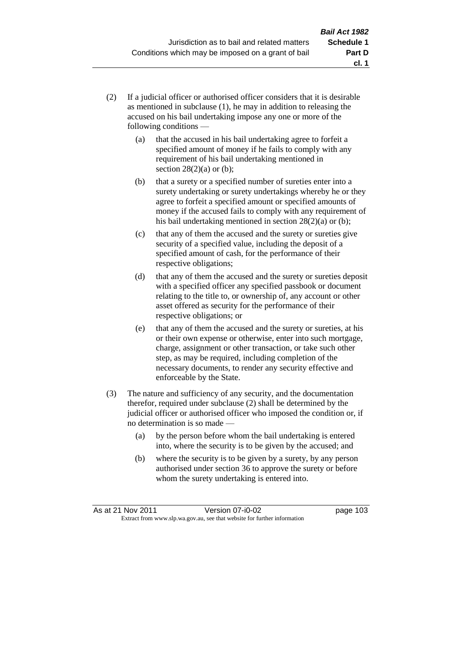- (2) If a judicial officer or authorised officer considers that it is desirable as mentioned in subclause (1), he may in addition to releasing the accused on his bail undertaking impose any one or more of the following conditions —
	- (a) that the accused in his bail undertaking agree to forfeit a specified amount of money if he fails to comply with any requirement of his bail undertaking mentioned in section  $28(2)(a)$  or (b);
	- (b) that a surety or a specified number of sureties enter into a surety undertaking or surety undertakings whereby he or they agree to forfeit a specified amount or specified amounts of money if the accused fails to comply with any requirement of his bail undertaking mentioned in section 28(2)(a) or (b);
	- (c) that any of them the accused and the surety or sureties give security of a specified value, including the deposit of a specified amount of cash, for the performance of their respective obligations;
	- (d) that any of them the accused and the surety or sureties deposit with a specified officer any specified passbook or document relating to the title to, or ownership of, any account or other asset offered as security for the performance of their respective obligations; or
	- (e) that any of them the accused and the surety or sureties, at his or their own expense or otherwise, enter into such mortgage, charge, assignment or other transaction, or take such other step, as may be required, including completion of the necessary documents, to render any security effective and enforceable by the State.
- (3) The nature and sufficiency of any security, and the documentation therefor, required under subclause (2) shall be determined by the judicial officer or authorised officer who imposed the condition or, if no determination is so made —
	- (a) by the person before whom the bail undertaking is entered into, where the security is to be given by the accused; and
	- (b) where the security is to be given by a surety, by any person authorised under section 36 to approve the surety or before whom the surety undertaking is entered into.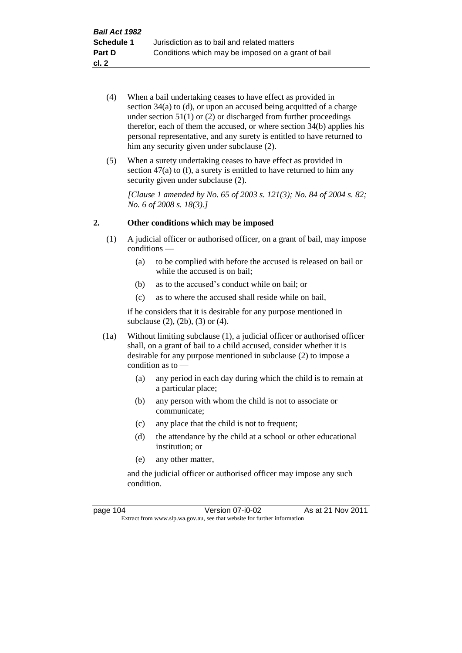- (4) When a bail undertaking ceases to have effect as provided in section 34(a) to (d), or upon an accused being acquitted of a charge under section  $51(1)$  or (2) or discharged from further proceedings therefor, each of them the accused, or where section 34(b) applies his personal representative, and any surety is entitled to have returned to him any security given under subclause  $(2)$ .
- (5) When a surety undertaking ceases to have effect as provided in section 47(a) to (f), a surety is entitled to have returned to him any security given under subclause  $(2)$ .

*[Clause 1 amended by No. 65 of 2003 s. 121(3); No. 84 of 2004 s. 82; No. 6 of 2008 s. 18(3).]*

## **2. Other conditions which may be imposed**

- (1) A judicial officer or authorised officer, on a grant of bail, may impose conditions —
	- (a) to be complied with before the accused is released on bail or while the accused is on bail;
	- (b) as to the accused's conduct while on bail; or
	- (c) as to where the accused shall reside while on bail,

if he considers that it is desirable for any purpose mentioned in subclause (2), (2b), (3) or (4).

- (1a) Without limiting subclause (1), a judicial officer or authorised officer shall, on a grant of bail to a child accused, consider whether it is desirable for any purpose mentioned in subclause (2) to impose a condition as to —
	- (a) any period in each day during which the child is to remain at a particular place;
	- (b) any person with whom the child is not to associate or communicate;
	- (c) any place that the child is not to frequent;
	- (d) the attendance by the child at a school or other educational institution; or
	- (e) any other matter,

and the judicial officer or authorised officer may impose any such condition.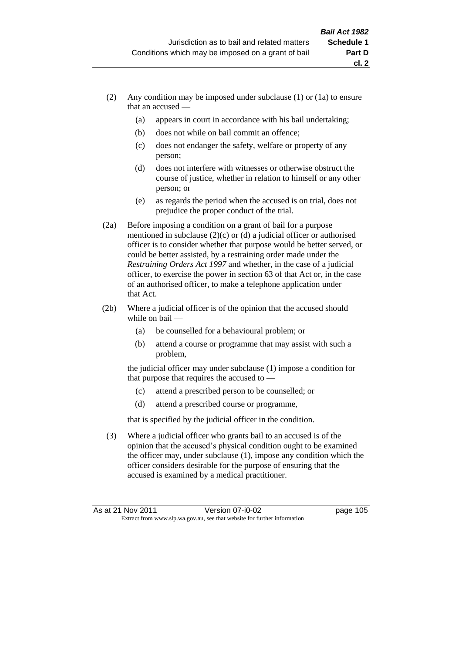- (2) Any condition may be imposed under subclause (1) or (1a) to ensure that an accused —
	- (a) appears in court in accordance with his bail undertaking;
	- (b) does not while on bail commit an offence;
	- (c) does not endanger the safety, welfare or property of any person;
	- (d) does not interfere with witnesses or otherwise obstruct the course of justice, whether in relation to himself or any other person; or
	- (e) as regards the period when the accused is on trial, does not prejudice the proper conduct of the trial.
- (2a) Before imposing a condition on a grant of bail for a purpose mentioned in subclause (2)(c) or (d) a judicial officer or authorised officer is to consider whether that purpose would be better served, or could be better assisted, by a restraining order made under the *Restraining Orders Act 1997* and whether, in the case of a judicial officer, to exercise the power in section 63 of that Act or, in the case of an authorised officer, to make a telephone application under that Act.
- (2b) Where a judicial officer is of the opinion that the accused should while on bail —
	- (a) be counselled for a behavioural problem; or
	- (b) attend a course or programme that may assist with such a problem,

the judicial officer may under subclause (1) impose a condition for that purpose that requires the accused to —

- (c) attend a prescribed person to be counselled; or
- (d) attend a prescribed course or programme,

that is specified by the judicial officer in the condition.

(3) Where a judicial officer who grants bail to an accused is of the opinion that the accused's physical condition ought to be examined the officer may, under subclause (1), impose any condition which the officer considers desirable for the purpose of ensuring that the accused is examined by a medical practitioner.

**cl. 2**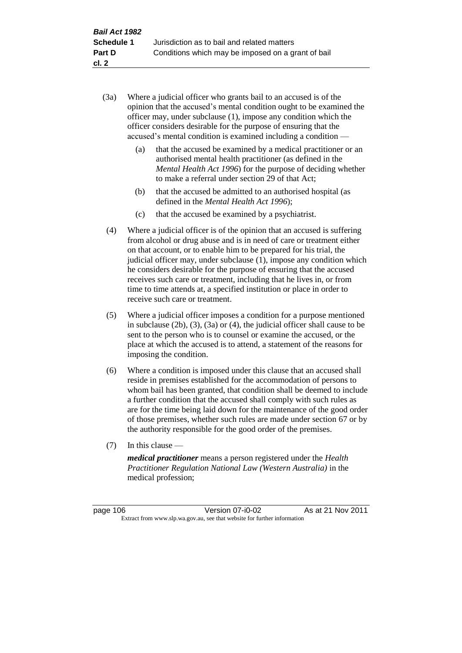- (3a) Where a judicial officer who grants bail to an accused is of the opinion that the accused's mental condition ought to be examined the officer may, under subclause (1), impose any condition which the officer considers desirable for the purpose of ensuring that the accused's mental condition is examined including a condition —
	- (a) that the accused be examined by a medical practitioner or an authorised mental health practitioner (as defined in the *Mental Health Act 1996*) for the purpose of deciding whether to make a referral under section 29 of that Act;
	- (b) that the accused be admitted to an authorised hospital (as defined in the *Mental Health Act 1996*);
	- (c) that the accused be examined by a psychiatrist.
- (4) Where a judicial officer is of the opinion that an accused is suffering from alcohol or drug abuse and is in need of care or treatment either on that account, or to enable him to be prepared for his trial, the judicial officer may, under subclause (1), impose any condition which he considers desirable for the purpose of ensuring that the accused receives such care or treatment, including that he lives in, or from time to time attends at, a specified institution or place in order to receive such care or treatment.
- (5) Where a judicial officer imposes a condition for a purpose mentioned in subclause (2b), (3), (3a) or (4), the judicial officer shall cause to be sent to the person who is to counsel or examine the accused, or the place at which the accused is to attend, a statement of the reasons for imposing the condition.
- (6) Where a condition is imposed under this clause that an accused shall reside in premises established for the accommodation of persons to whom bail has been granted, that condition shall be deemed to include a further condition that the accused shall comply with such rules as are for the time being laid down for the maintenance of the good order of those premises, whether such rules are made under section 67 or by the authority responsible for the good order of the premises.
- (7) In this clause —

*medical practitioner* means a person registered under the *Health Practitioner Regulation National Law (Western Australia)* in the medical profession;

page 106 Version 07-i0-02 As at 21 Nov 2011 Extract from www.slp.wa.gov.au, see that website for further information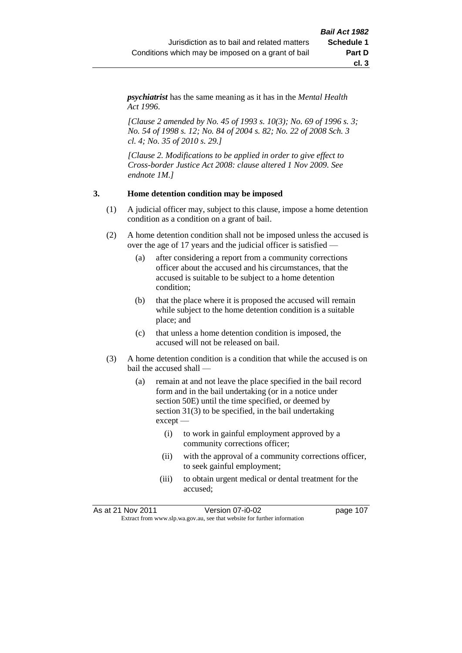*psychiatrist* has the same meaning as it has in the *Mental Health Act 1996*.

*[Clause 2 amended by No. 45 of 1993 s. 10(3); No. 69 of 1996 s. 3; No. 54 of 1998 s. 12; No. 84 of 2004 s. 82; No. 22 of 2008 Sch. 3 cl. 4; No. 35 of 2010 s. 29.]*

*[Clause 2. Modifications to be applied in order to give effect to Cross-border Justice Act 2008: clause altered 1 Nov 2009. See endnote 1M.]*

#### **3. Home detention condition may be imposed**

- (1) A judicial officer may, subject to this clause, impose a home detention condition as a condition on a grant of bail.
- (2) A home detention condition shall not be imposed unless the accused is over the age of 17 years and the judicial officer is satisfied —
	- (a) after considering a report from a community corrections officer about the accused and his circumstances, that the accused is suitable to be subject to a home detention condition;
	- (b) that the place where it is proposed the accused will remain while subject to the home detention condition is a suitable place; and
	- (c) that unless a home detention condition is imposed, the accused will not be released on bail.
- (3) A home detention condition is a condition that while the accused is on bail the accused shall —
	- (a) remain at and not leave the place specified in the bail record form and in the bail undertaking (or in a notice under section 50E) until the time specified, or deemed by section 31(3) to be specified, in the bail undertaking except —
		- (i) to work in gainful employment approved by a community corrections officer;
		- (ii) with the approval of a community corrections officer, to seek gainful employment;
		- (iii) to obtain urgent medical or dental treatment for the accused;

As at 21 Nov 2011 Version 07-i0-02 page 107 Extract from www.slp.wa.gov.au, see that website for further information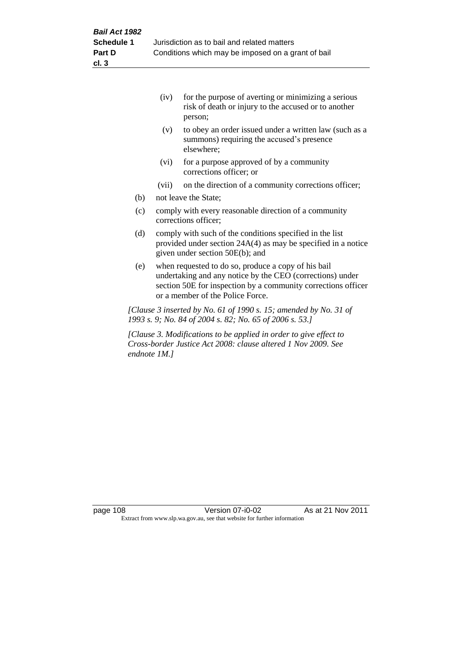|     | (iv)  | for the purpose of averting or minimizing a serious<br>risk of death or injury to the accused or to another<br>person; |
|-----|-------|------------------------------------------------------------------------------------------------------------------------|
|     | (v)   | to obey an order issued under a written law (such as a<br>summons) requiring the accused's presence<br>elsewhere;      |
|     | (vi)  | for a purpose approved of by a community<br>corrections officer; or                                                    |
|     | (vii) | on the direction of a community corrections officer;                                                                   |
| (h) |       | not logya the States                                                                                                   |

- (b) not leave the State;
- (c) comply with every reasonable direction of a community corrections officer;
- (d) comply with such of the conditions specified in the list provided under section 24A(4) as may be specified in a notice given under section 50E(b); and
- (e) when requested to do so, produce a copy of his bail undertaking and any notice by the CEO (corrections) under section 50E for inspection by a community corrections officer or a member of the Police Force.

*[Clause 3 inserted by No. 61 of 1990 s. 15; amended by No. 31 of 1993 s. 9; No. 84 of 2004 s. 82; No. 65 of 2006 s. 53.]*

*[Clause 3. Modifications to be applied in order to give effect to Cross-border Justice Act 2008: clause altered 1 Nov 2009. See endnote 1M.]*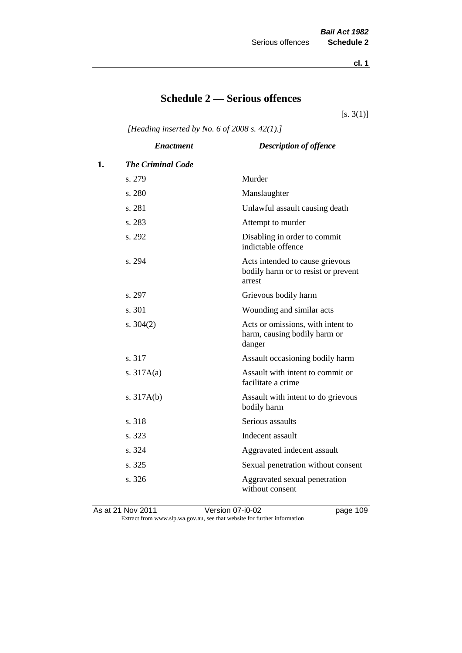**cl. 1**

# **Schedule 2 — Serious offences**

 $[s. 3(1)]$ 

*[Heading inserted by No. 6 of 2008 s. 42(1).]*

|    | <b>Enactment</b>         | <b>Description of offence</b>                                                    |
|----|--------------------------|----------------------------------------------------------------------------------|
| 1. | <b>The Criminal Code</b> |                                                                                  |
|    | s. 279                   | Murder                                                                           |
|    | s. 280                   | Manslaughter                                                                     |
|    | s. 281                   | Unlawful assault causing death                                                   |
|    | s. 283                   | Attempt to murder                                                                |
|    | s. 292                   | Disabling in order to commit<br>indictable offence                               |
|    | s. 294                   | Acts intended to cause grievous<br>bodily harm or to resist or prevent<br>arrest |
|    | s. 297                   | Grievous bodily harm                                                             |
|    | s. 301                   | Wounding and similar acts                                                        |
|    | s. $304(2)$              | Acts or omissions, with intent to<br>harm, causing bodily harm or<br>danger      |
|    | s. 317                   | Assault occasioning bodily harm                                                  |
|    | s. $317A(a)$             | Assault with intent to commit or<br>facilitate a crime                           |
|    | s. $317A(b)$             | Assault with intent to do grievous<br>bodily harm                                |
|    | s. 318                   | Serious assaults                                                                 |
|    | s. 323                   | Indecent assault                                                                 |
|    | s. 324                   | Aggravated indecent assault                                                      |
|    | s. 325                   | Sexual penetration without consent                                               |
|    | s. 326                   | Aggravated sexual penetration<br>without consent                                 |
|    |                          |                                                                                  |

As at 21 Nov 2011 Version 07-i0-02 page 109 Extract from www.slp.wa.gov.au, see that website for further information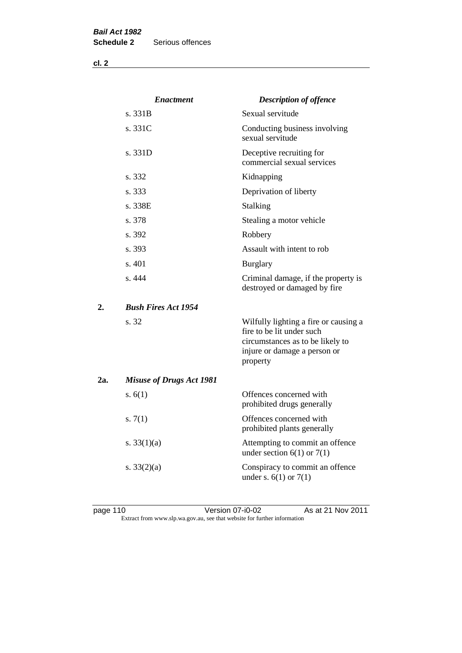**cl. 2**

|     | <b>Enactment</b>                | <b>Description of offence</b>                                                                                                                      |
|-----|---------------------------------|----------------------------------------------------------------------------------------------------------------------------------------------------|
|     | s. 331B                         | Sexual servitude                                                                                                                                   |
|     | s. 331C                         | Conducting business involving<br>sexual servitude                                                                                                  |
|     | s. 331D                         | Deceptive recruiting for<br>commercial sexual services                                                                                             |
|     | s. 332                          | Kidnapping                                                                                                                                         |
|     | s. 333                          | Deprivation of liberty                                                                                                                             |
|     | s. 338E                         | Stalking                                                                                                                                           |
|     | s. 378                          | Stealing a motor vehicle                                                                                                                           |
|     | s. 392                          | Robbery                                                                                                                                            |
|     | s. 393                          | Assault with intent to rob                                                                                                                         |
|     | s. 401                          | <b>Burglary</b>                                                                                                                                    |
|     | s.444                           | Criminal damage, if the property is<br>destroyed or damaged by fire                                                                                |
| 2.  | <b>Bush Fires Act 1954</b>      |                                                                                                                                                    |
|     | s. 32                           | Wilfully lighting a fire or causing a<br>fire to be lit under such<br>circumstances as to be likely to<br>injure or damage a person or<br>property |
| 2a. | <b>Misuse of Drugs Act 1981</b> |                                                                                                                                                    |
|     | s. $6(1)$                       | Offences concerned with<br>prohibited drugs generally                                                                                              |
|     | s. $7(1)$                       | Offences concerned with<br>prohibited plants generally                                                                                             |
|     | s. $33(1)(a)$                   | Attempting to commit an offence<br>under section $6(1)$ or $7(1)$                                                                                  |
|     | s. $33(2)(a)$                   | Conspiracy to commit an offence<br>under s. $6(1)$ or $7(1)$                                                                                       |

page 110 Version 07-i0-02 As at 21 Nov 2011 Extract from www.slp.wa.gov.au, see that website for further information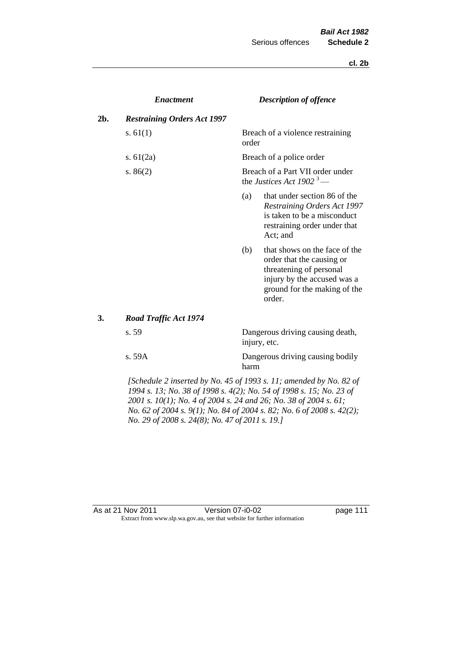**cl. 2b**

|     | <b>Enactment</b>                   |       | <b>Description of offence</b>                                                                                                                                  |
|-----|------------------------------------|-------|----------------------------------------------------------------------------------------------------------------------------------------------------------------|
| 2b. | <b>Restraining Orders Act 1997</b> |       |                                                                                                                                                                |
|     | s. $61(1)$                         | order | Breach of a violence restraining                                                                                                                               |
|     | s. $61(2a)$                        |       | Breach of a police order                                                                                                                                       |
|     | s. $86(2)$                         |       | Breach of a Part VII order under<br>the Justices Act 1902 <sup>3</sup> —                                                                                       |
|     |                                    | (a)   | that under section 86 of the<br><b>Restraining Orders Act 1997</b><br>is taken to be a misconduct<br>restraining order under that<br>Act; and                  |
|     |                                    | (b)   | that shows on the face of the<br>order that the causing or<br>threatening of personal<br>injury by the accused was a<br>ground for the making of the<br>order. |
| 3.  | Road Traffic Act 1974              |       |                                                                                                                                                                |
|     | s. 59                              |       | Dangerous driving causing death,<br>injury, etc.                                                                                                               |
|     | s. 59A                             |       | Dangerous driving causing bodily                                                                                                                               |

*[Schedule 2 inserted by No. 45 of 1993 s. 11; amended by No. 82 of 1994 s. 13; No. 38 of 1998 s. 4(2); No. 54 of 1998 s. 15; No. 23 of 2001 s. 10(1); No. 4 of 2004 s. 24 and 26; No. 38 of 2004 s. 61; No. 62 of 2004 s. 9(1); No. 84 of 2004 s. 82; No. 6 of 2008 s. 42(2); No. 29 of 2008 s. 24(8); No. 47 of 2011 s. 19.]* 

harm

#### As at 21 Nov 2011 Version 07-i0-02 Page 111 Extract from www.slp.wa.gov.au, see that website for further information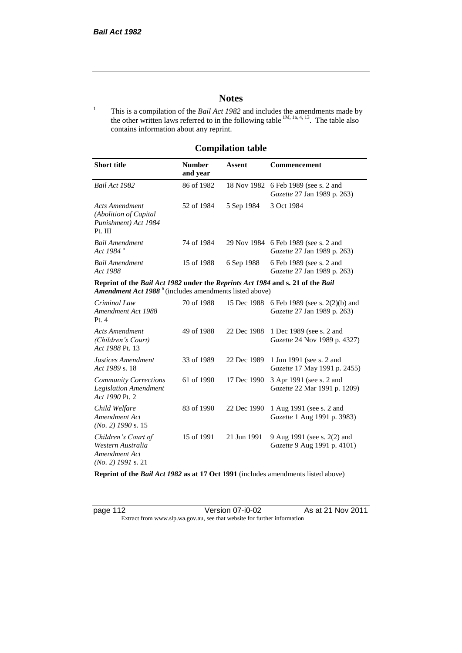# **Notes**

<sup>1</sup> This is a compilation of the *Bail Act 1982* and includes the amendments made by the other written laws referred to in the following table  $1M$ ,  $1a$ ,  $4$ ,  $13$ . The table also contains information about any reprint.

# **Compilation table**

| <b>Short title</b>                                                                                                                                          | <b>Number</b><br>and year | Assent     | Commencement                                                               |
|-------------------------------------------------------------------------------------------------------------------------------------------------------------|---------------------------|------------|----------------------------------------------------------------------------|
| Bail Act 1982                                                                                                                                               | 86 of 1982                |            | 18 Nov 1982 6 Feb 1989 (see s. 2 and<br><i>Gazette</i> 27 Jan 1989 p. 263) |
| Acts Amendment<br>(Abolition of Capital)<br>Punishment) Act 1984<br>Pt. III                                                                                 | 52 of 1984                | 5 Sep 1984 | 3 Oct 1984                                                                 |
| Bail Amendment<br>Act 1984 <sup>5</sup>                                                                                                                     | 74 of 1984                |            | 29 Nov 1984 6 Feb 1989 (see s. 2 and<br><i>Gazette</i> 27 Jan 1989 p. 263) |
| <b>Bail Amendment</b><br>Act 1988                                                                                                                           | 15 of 1988                | 6 Sep 1988 | 6 Feb 1989 (see s. 2 and<br><i>Gazette</i> 27 Jan 1989 p. 263)             |
| Reprint of the Bail Act 1982 under the Reprints Act 1984 and s. 21 of the Bail<br><b>Amendment Act 1988</b> <sup>6</sup> (includes amendments listed above) |                           |            |                                                                            |
| $C$ riminal Law                                                                                                                                             |                           |            | 70 of 1988 15 Dec 1988 6 Feb 1989 (see s. $2(2)(h)$ and                    |

| Criminal Law<br>Amendment Act 1988<br>Pt. $4$                                     | 70 of 1988 | 15 Dec 1988 | 6 Feb 1989 (see s. 2(2)(b) and<br><i>Gazette</i> 27 Jan 1989 p. 263) |
|-----------------------------------------------------------------------------------|------------|-------------|----------------------------------------------------------------------|
| <b>Acts Amendment</b><br>(Children's Court)<br>Act 1988 Pt. 13                    | 49 of 1988 | 22 Dec 1988 | 1 Dec 1989 (see s. 2 and<br><i>Gazette</i> 24 Nov 1989 p. 4327)      |
| Justices Amendment<br>Act 1989 s. 18                                              | 33 of 1989 | 22 Dec 1989 | 1 Jun 1991 (see s. 2 and<br><i>Gazette</i> 17 May 1991 p. 2455)      |
| <b>Community Corrections</b><br><b>Legislation Amendment</b><br>Act 1990 Pt. 2    | 61 of 1990 | 17 Dec 1990 | 3 Apr 1991 (see s. 2 and<br>Gazette 22 Mar 1991 p. 1209)             |
| Child Welfare<br>Amendment Act<br>$(No. 2)$ 1990 s. 15                            | 83 of 1990 | 22 Dec 1990 | 1 Aug 1991 (see s. 2 and<br><i>Gazette</i> 1 Aug 1991 p. 3983)       |
| Children's Court of<br>Western Australia<br>Amendment Act<br>$(No. 2)$ 1991 s. 21 | 15 of 1991 | 21 Jun 1991 | 9 Aug 1991 (see s. 2(2) and<br><i>Gazette</i> 9 Aug 1991 p. 4101)    |

**Reprint of the** *Bail Act 1982* **as at 17 Oct 1991** (includes amendments listed above)

page 112 Version 07-i0-02 As at 21 Nov 2011 Extract from www.slp.wa.gov.au, see that website for further information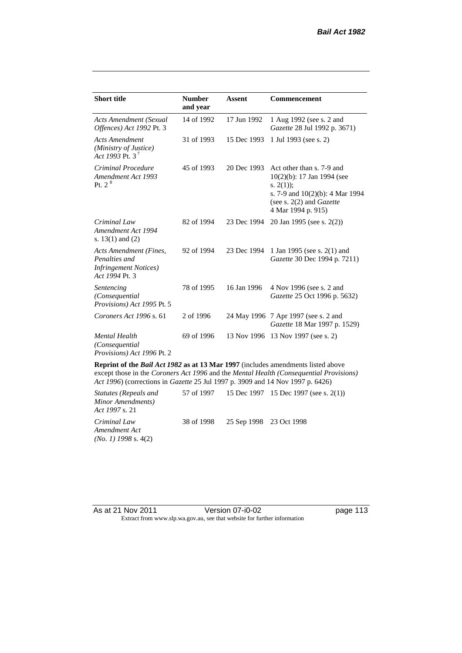| <b>Short title</b>                                                                         | <b>Number</b><br>and year | Assent      | <b>Commencement</b>                                                                                                                                                        |
|--------------------------------------------------------------------------------------------|---------------------------|-------------|----------------------------------------------------------------------------------------------------------------------------------------------------------------------------|
| <b>Acts Amendment (Sexual</b><br>Offences) Act 1992 Pt. 3                                  | 14 of 1992                | 17 Jun 1992 | 1 Aug 1992 (see s. 2 and<br><i>Gazette</i> 28 Jul 1992 p. 3671)                                                                                                            |
| <b>Acts Amendment</b><br>(Ministry of Justice)<br>Act 1993 Pt. 3 <sup>7</sup>              | 31 of 1993                | 15 Dec 1993 | 1 Jul 1993 (see s. 2)                                                                                                                                                      |
| Criminal Procedure<br>Amendment Act 1993<br>Pt. $2^8$                                      | 45 of 1993                | 20 Dec 1993 | Act other than s. 7-9 and<br>$10(2)(b)$ : 17 Jan 1994 (see<br>s. $2(1)$ ;<br>s. 7-9 and $10(2)(b)$ : 4 Mar 1994<br>(see s. $2(2)$ and <i>Gazette</i><br>4 Mar 1994 p. 915) |
| Criminal Law<br>Amendment Act 1994<br>s. $13(1)$ and $(2)$                                 | 82 of 1994                | 23 Dec 1994 | 20 Jan 1995 (see s. 2(2))                                                                                                                                                  |
| Acts Amendment (Fines,<br>Penalties and<br><b>Infringement Notices</b> )<br>Act 1994 Pt. 3 | 92 of 1994                | 23 Dec 1994 | 1 Jan 1995 (see s. 2(1) and<br>Gazette 30 Dec 1994 p. 7211)                                                                                                                |
| Sentencing<br>(Consequential<br>Provisions) Act 1995 Pt. 5                                 | 78 of 1995                | 16 Jan 1996 | 4 Nov 1996 (see s. 2 and<br>Gazette 25 Oct 1996 p. 5632)                                                                                                                   |
| Coroners Act 1996 s. 61                                                                    | 2 of 1996                 |             | 24 May 1996 7 Apr 1997 (see s. 2 and<br>Gazette 18 Mar 1997 p. 1529)                                                                                                       |
| <b>Mental Health</b><br>(Consequential)<br><i>Provisions</i> ) Act 1996 Pt. 2              | 69 of 1996                | 13 Nov 1996 | 13 Nov 1997 (see s. 2)                                                                                                                                                     |

**Reprint of the** *Bail Act 1982* **as at 13 Mar 1997** (includes amendments listed above except those in the *Coroners Act 1996* and the *Mental Health (Consequential Provisions) Act 1996*) (corrections in *Gazette* 25 Jul 1997 p. 3909 and 14 Nov 1997 p. 6426)

*Statutes (Repeals and Minor Amendments) Act 1997* s. 21 57 of 1997 15 Dec 1997 15 Dec 1997 (see s. 2(1)) *Criminal Law Amendment Act (No. 1) 1998* s. 4(2) 38 of 1998 25 Sep 1998 23 Oct 1998

As at 21 Nov 2011 Version 07-i0-02 Page 113 Extract from www.slp.wa.gov.au, see that website for further information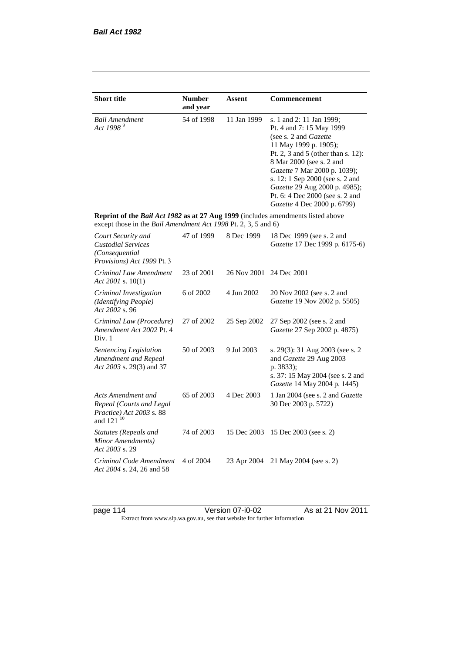| <b>Short title</b>                                                                                                                                 | <b>Number</b><br>and year | Assent      | Commencement                                                                                                                                                                                                                                                                                                                                            |
|----------------------------------------------------------------------------------------------------------------------------------------------------|---------------------------|-------------|---------------------------------------------------------------------------------------------------------------------------------------------------------------------------------------------------------------------------------------------------------------------------------------------------------------------------------------------------------|
| <b>Bail Amendment</b><br>Act 1998 <sup>9</sup>                                                                                                     | 54 of 1998                | 11 Jan 1999 | s. 1 and 2: 11 Jan 1999;<br>Pt. 4 and 7: 15 May 1999<br>(see s. 2 and <i>Gazette</i> )<br>11 May 1999 p. 1905);<br>Pt. 2, 3 and 5 (other than s. 12):<br>8 Mar 2000 (see s. 2 and<br>Gazette 7 Mar 2000 p. 1039);<br>s. 12: 1 Sep 2000 (see s. 2 and<br>Gazette 29 Aug 2000 p. 4985);<br>Pt. 6: 4 Dec 2000 (see s. 2 and<br>Gazette 4 Dec 2000 p. 6799) |
| Reprint of the Bail Act 1982 as at 27 Aug 1999 (includes amendments listed above<br>except those in the Bail Amendment Act 1998 Pt. 2, 3, 5 and 6) |                           |             |                                                                                                                                                                                                                                                                                                                                                         |
| Court Security and<br><b>Custodial Services</b><br>(Consequential<br>Provisions) Act 1999 Pt. 3                                                    | 47 of 1999                | 8 Dec 1999  | 18 Dec 1999 (see s. 2 and<br>Gazette 17 Dec 1999 p. 6175-6)                                                                                                                                                                                                                                                                                             |
| Criminal Law Amendment<br>Act 2001 s. $10(1)$                                                                                                      | 23 of 2001                | 26 Nov 2001 | 24 Dec 2001                                                                                                                                                                                                                                                                                                                                             |
| Criminal Investigation<br>(Identifying People)<br>Act 2002 s. 96                                                                                   | 6 of 2002                 | 4 Jun 2002  | 20 Nov 2002 (see s. 2 and<br>Gazette 19 Nov 2002 p. 5505)                                                                                                                                                                                                                                                                                               |
| Criminal Law (Procedure)<br>Amendment Act 2002 Pt. 4<br>Div. 1                                                                                     | 27 of 2002                | 25 Sep 2002 | 27 Sep 2002 (see s. 2 and<br>Gazette 27 Sep 2002 p. 4875)                                                                                                                                                                                                                                                                                               |
| Sentencing Legislation<br>Amendment and Repeal<br>Act 2003 s. 29(3) and 37                                                                         | 50 of 2003                | 9 Jul 2003  | s. 29(3): 31 Aug 2003 (see s. 2)<br>and Gazette 29 Aug 2003<br>p. 3833);<br>s. 37: 15 May 2004 (see s. 2 and<br>Gazette 14 May 2004 p. 1445)                                                                                                                                                                                                            |
| Acts Amendment and<br>Repeal (Courts and Legal<br>Practice) Act 2003 s. 88<br>and 121 <sup>10</sup>                                                | 65 of 2003                | 4 Dec 2003  | 1 Jan 2004 (see s. 2 and Gazette<br>30 Dec 2003 p. 5722)                                                                                                                                                                                                                                                                                                |
| <b>Statutes (Repeals and</b><br>Minor Amendments)<br>Act 2003 s. 29                                                                                | 74 of 2003                | 15 Dec 2003 | 15 Dec 2003 (see s. 2)                                                                                                                                                                                                                                                                                                                                  |
| Criminal Code Amendment<br>Act 2004 s. 24, 26 and 58                                                                                               | 4 of 2004                 | 23 Apr 2004 | 21 May 2004 (see s. 2)                                                                                                                                                                                                                                                                                                                                  |

page 114 Version 07-i0-02 As at 21 Nov 2011 Extract from www.slp.wa.gov.au, see that website for further information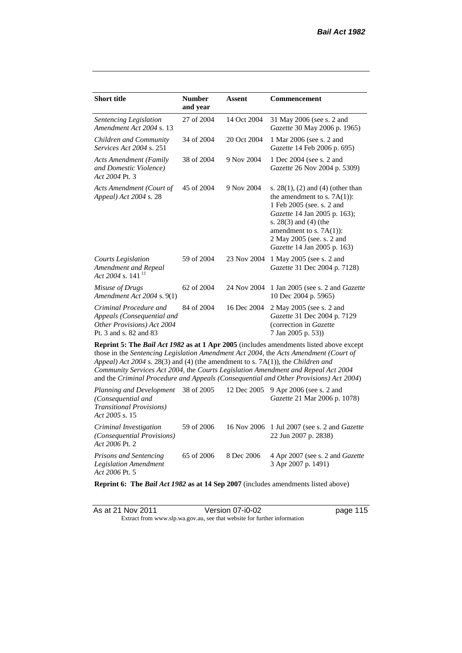| <b>Short title</b>                                                                                           | <b>Number</b><br>and year                                                                                                                                                                                                                                                                                                                                                                                                                              | <b>Assent</b> | <b>Commencement</b>                                                                                                                                                                                                                                      |  |  |
|--------------------------------------------------------------------------------------------------------------|--------------------------------------------------------------------------------------------------------------------------------------------------------------------------------------------------------------------------------------------------------------------------------------------------------------------------------------------------------------------------------------------------------------------------------------------------------|---------------|----------------------------------------------------------------------------------------------------------------------------------------------------------------------------------------------------------------------------------------------------------|--|--|
| Sentencing Legislation<br>Amendment Act 2004 s. 13                                                           | 27 of 2004                                                                                                                                                                                                                                                                                                                                                                                                                                             | 14 Oct 2004   | 31 May 2006 (see s. 2 and<br>Gazette 30 May 2006 p. 1965)                                                                                                                                                                                                |  |  |
| Children and Community<br>Services Act 2004 s. 251                                                           | 34 of 2004                                                                                                                                                                                                                                                                                                                                                                                                                                             | 20 Oct 2004   | 1 Mar 2006 (see s. 2 and<br>Gazette 14 Feb 2006 p. 695)                                                                                                                                                                                                  |  |  |
| <b>Acts Amendment (Family</b><br>and Domestic Violence)<br>Act 2004 Pt. 3                                    | 38 of 2004                                                                                                                                                                                                                                                                                                                                                                                                                                             | 9 Nov 2004    | 1 Dec 2004 (see s. 2 and<br>Gazette 26 Nov 2004 p. 5309)                                                                                                                                                                                                 |  |  |
| Acts Amendment (Court of<br>Appeal) Act 2004 s. 28                                                           | 45 of 2004                                                                                                                                                                                                                                                                                                                                                                                                                                             | 9 Nov 2004    | s. $28(1)$ , (2) and (4) (other than<br>the amendment to s. $7A(1)$ :<br>1 Feb 2005 (see. s. 2 and<br>Gazette 14 Jan 2005 p. 163);<br>s. $28(3)$ and $(4)$ (the<br>amendment to s. $7A(1)$ :<br>2 May 2005 (see. s. 2 and<br>Gazette 14 Jan 2005 p. 163) |  |  |
| <b>Courts Legislation</b><br>Amendment and Repeal<br>Act 2004 s. 141 $^{11}$                                 | 59 of 2004                                                                                                                                                                                                                                                                                                                                                                                                                                             | 23 Nov 2004   | 1 May 2005 (see s. 2 and<br>Gazette 31 Dec 2004 p. 7128)                                                                                                                                                                                                 |  |  |
| Misuse of Drugs<br>Amendment Act 2004 s. 9(1)                                                                | 62 of 2004                                                                                                                                                                                                                                                                                                                                                                                                                                             | 24 Nov 2004   | 1 Jan 2005 (see s. 2 and <i>Gazette</i><br>10 Dec 2004 p. 5965)                                                                                                                                                                                          |  |  |
| Criminal Procedure and<br>Appeals (Consequential and<br>Other Provisions) Act 2004<br>Pt. 3 and s. 82 and 83 | 84 of 2004                                                                                                                                                                                                                                                                                                                                                                                                                                             | 16 Dec 2004   | 2 May 2005 (see s. 2 and<br>Gazette 31 Dec 2004 p. 7129<br>(correction in Gazette<br>7 Jan 2005 p. 53))                                                                                                                                                  |  |  |
| $Planning and Dayelonment = 38 of 2005 = 12 Dec 2005 = 0 Arr 2006 (see 2 and 12006)$                         | <b>Reprint 5: The Bail Act 1982 as at 1 Apr 2005</b> (includes amendments listed above except<br>those in the Sentencing Legislation Amendment Act 2004, the Acts Amendment (Court of<br>Appeal) Act 2004 s. 28(3) and (4) (the amendment to s. 7A(1)), the Children and<br>Community Services Act 2004, the Courts Legislation Amendment and Repeal Act 2004<br>and the Criminal Procedure and Appeals (Consequential and Other Provisions) Act 2004) |               |                                                                                                                                                                                                                                                          |  |  |

| <i>Planning and Development</i> 38 of 2005 12 Dec 2005 9 Apr 2006 (see s. 2 and<br>(Consequential and<br><b>Transitional Provisions</b> )<br>Act 2005 s. 15 |            |            | <i>Gazette</i> 21 Mar 2006 p. 1078)                                         |
|-------------------------------------------------------------------------------------------------------------------------------------------------------------|------------|------------|-----------------------------------------------------------------------------|
| Criminal Investigation<br>(Consequential Provisions)<br>Act 2006 Pt. 2                                                                                      | 59 of 2006 |            | 16 Nov 2006 1 Jul 2007 (see s. 2 and <i>Gazette</i><br>22 Jun 2007 p. 2838) |
| <b>Prisons and Sentencing</b><br>Legislation Amendment<br>Act 2006 Pt. 5                                                                                    | 65 of 2006 | 8 Dec 2006 | 4 Apr 2007 (see s. 2 and <i>Gazette</i><br>3 Apr 2007 p. 1491)              |

**Reprint 6: The** *Bail Act 1982* **as at 14 Sep 2007** (includes amendments listed above)

| As at 21 Nov 2011 | Version 07-i0-02                                                         | page 115 |
|-------------------|--------------------------------------------------------------------------|----------|
|                   | Extract from www.slp.wa.gov.au, see that website for further information |          |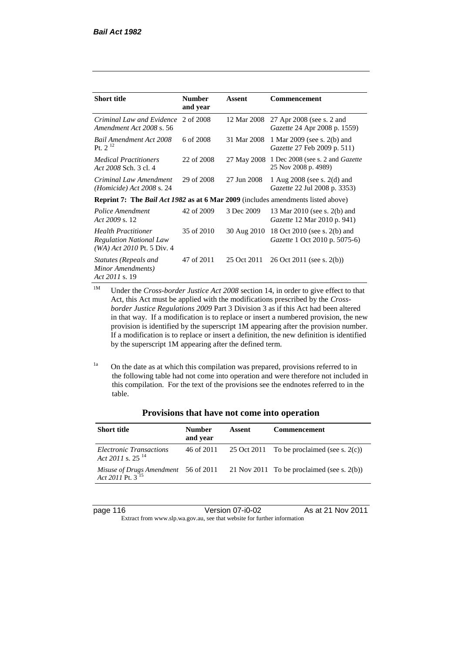| <b>Short title</b>                                                                             | <b>Number</b><br>and year | Assent      | Commencement                                                           |
|------------------------------------------------------------------------------------------------|---------------------------|-------------|------------------------------------------------------------------------|
| Criminal Law and Evidence<br>Amendment Act 2008 s. 56                                          | 2 of 2008                 | 12 Mar 2008 | 27 Apr 2008 (see s. 2 and<br><i>Gazette</i> 24 Apr 2008 p. 1559)       |
| Bail Amendment Act 2008<br>Pt. $2^{12}$                                                        | 6 of 2008                 | 31 Mar 2008 | 1 Mar 2009 (see s. 2(b) and<br><i>Gazette</i> 27 Feb 2009 p. 511)      |
| <b>Medical Practitioners</b><br>Act 2008 Sch. 3 cl. 4                                          | 22 of 2008                | 27 May 2008 | 1 Dec 2008 (see s. 2 and <i>Gazette</i><br>25 Nov 2008 p. 4989)        |
| Criminal Law Amendment<br>$(Homicide)$ Act 2008 s. 24                                          | 29 of 2008                | 27 Jun 2008 | 1 Aug $2008$ (see s. $2(d)$ and<br><i>Gazette</i> 22 Jul 2008 p. 3353) |
| <b>Reprint 7:</b> The <i>Bail Act 1982</i> as at 6 Mar 2009 (includes amendments listed above) |                           |             |                                                                        |
| Police Amendment<br>Act 2009 s. 12                                                             | 42 of 2009                | 3 Dec 2009  | 13 Mar 2010 (see s. 2(b) and<br>Gazette 12 Mar 2010 p. 941)            |
| <b>Health Practitioner</b><br><b>Regulation National Law</b><br>(WA) Act 2010 Pt. 5 Div. 4     | 35 of 2010                | 30 Aug 2010 | 18 Oct 2010 (see s. 2(b) and<br><i>Gazette</i> 1 Oct 2010 p. 5075-6)   |
| Statutes (Repeals and<br>Minor Amendments)<br>Act 2011 s. 19                                   | 47 of 2011                | 25 Oct 2011 | $26$ Oct $2011$ (see s. $2(b)$ )                                       |

<sup>1M</sup> Under the *Cross-border Justice Act 2008* section 14, in order to give effect to that Act, this Act must be applied with the modifications prescribed by the *Crossborder Justice Regulations 2009* Part 3 Division 3 as if this Act had been altered in that way. If a modification is to replace or insert a numbered provision, the new provision is identified by the superscript 1M appearing after the provision number. If a modification is to replace or insert a definition, the new definition is identified by the superscript 1M appearing after the defined term.

<sup>1a</sup> On the date as at which this compilation was prepared, provisions referred to in the following table had not come into operation and were therefore not included in this compilation. For the text of the provisions see the endnotes referred to in the table.

| <b>Short title</b>                                      | <b>Number</b><br>and year | Assent | <b>Commencement</b>                                                                                          |
|---------------------------------------------------------|---------------------------|--------|--------------------------------------------------------------------------------------------------------------|
| Electronic Transactions<br>Act 2011 s. 25 <sup>14</sup> | 46 of 2011                |        | 25 Oct 2011 To be proclaimed (see s. 2(c))                                                                   |
|                                                         |                           |        | Misuse of Drugs Amendment 56 of 2011 21 Nov 2011 To be proclaimed (see s. 2(b)) Act 2011 Pt. 3 <sup>15</sup> |

### **Provisions that have not come into operation**

page 116 Version 07-i0-02 As at 21 Nov 2011 Extract from www.slp.wa.gov.au, see that website for further information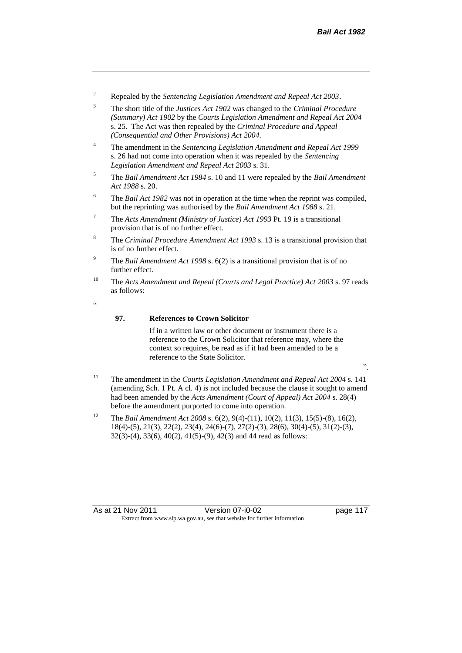- <sup>2</sup> Repealed by the *Sentencing Legislation Amendment and Repeal Act 2003*.
- <sup>3</sup> The short title of the *Justices Act 1902* was changed to the *Criminal Procedure (Summary) Act 1902* by the *Courts Legislation Amendment and Repeal Act 2004*  s. 25. The Act was then repealed by the *Criminal Procedure and Appeal (Consequential and Other Provisions) Act 2004.*
- <sup>4</sup> The amendment in the *Sentencing Legislation Amendment and Repeal Act 1999* s. 26 had not come into operation when it was repealed by the *Sentencing Legislation Amendment and Repeal Act 2003* s. 31.
- <sup>5</sup> The *Bail Amendment Act 1984* s. 10 and 11 were repealed by the *Bail Amendment Act 1988* s. 20.
- <sup>6</sup> The *Bail Act 1982* was not in operation at the time when the reprint was compiled, but the reprinting was authorised by the *Bail Amendment Act 1988* s. 21.
- <sup>7</sup> The *Acts Amendment (Ministry of Justice) Act 1993* Pt. 19 is a transitional provision that is of no further effect.
- <sup>8</sup> The *Criminal Procedure Amendment Act 1993* s. 13 is a transitional provision that is of no further effect.
- <sup>9</sup> The *Bail Amendment Act 1998* s. 6(2) is a transitional provision that is of no further effect.
- <sup>10</sup> The *Acts Amendment and Repeal (Courts and Legal Practice) Act 2003* s. 97 reads as follows:
- <u>،</u>

### **97. References to Crown Solicitor**

If in a written law or other document or instrument there is a reference to the Crown Solicitor that reference may, where the context so requires, be read as if it had been amended to be a reference to the State Solicitor.

- ".
- <sup>11</sup> The amendment in the *Courts Legislation Amendment and Repeal Act 2004* s. 141 (amending Sch. 1 Pt. A cl. 4) is not included because the clause it sought to amend had been amended by the *Acts Amendment (Court of Appeal) Act 2004* s. 28(4) before the amendment purported to come into operation.
- <sup>12</sup> The *Bail Amendment Act 2008* s. 6(2), 9(4)-(11), 10(2), 11(3), 15(5)-(8), 16(2), 18(4)-(5), 21(3), 22(2), 23(4), 24(6)-(7), 27(2)-(3), 28(6), 30(4)-(5), 31(2)-(3), 32(3)-(4), 33(6), 40(2), 41(5)-(9), 42(3) and 44 read as follows:

As at 21 Nov 2011 Version 07-i0-02 had page 117 Extract from www.slp.wa.gov.au, see that website for further information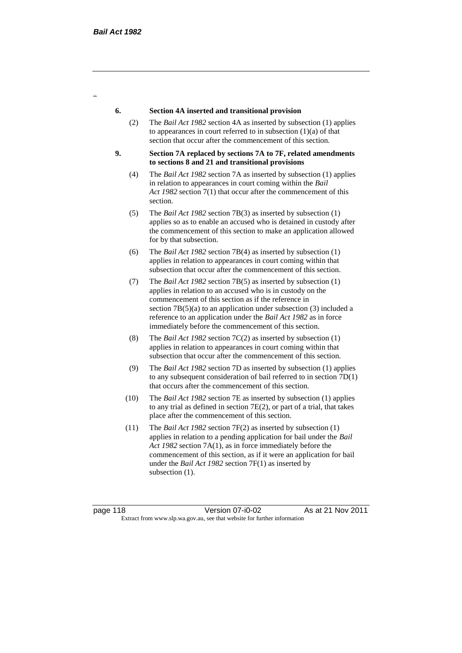$\alpha$ 

#### **6. Section 4A inserted and transitional provision**

- (2) The *Bail Act 1982* section 4A as inserted by subsection (1) applies to appearances in court referred to in subsection  $(1)(a)$  of that section that occur after the commencement of this section.
- **9. Section 7A replaced by sections 7A to 7F, related amendments to sections 8 and 21 and transitional provisions**
	- (4) The *Bail Act 1982* section 7A as inserted by subsection (1) applies in relation to appearances in court coming within the *Bail Act 1982* section 7(1) that occur after the commencement of this section.
	- (5) The *Bail Act 1982* section 7B(3) as inserted by subsection (1) applies so as to enable an accused who is detained in custody after the commencement of this section to make an application allowed for by that subsection.
	- (6) The *Bail Act 1982* section 7B(4) as inserted by subsection (1) applies in relation to appearances in court coming within that subsection that occur after the commencement of this section.
	- (7) The *Bail Act 1982* section 7B(5) as inserted by subsection (1) applies in relation to an accused who is in custody on the commencement of this section as if the reference in section 7B(5)(a) to an application under subsection (3) included a reference to an application under the *Bail Act 1982* as in force immediately before the commencement of this section.
	- (8) The *Bail Act 1982* section 7C(2) as inserted by subsection (1) applies in relation to appearances in court coming within that subsection that occur after the commencement of this section.
	- (9) The *Bail Act 1982* section 7D as inserted by subsection (1) applies to any subsequent consideration of bail referred to in section 7D(1) that occurs after the commencement of this section.
	- (10) The *Bail Act 1982* section 7E as inserted by subsection (1) applies to any trial as defined in section 7E(2), or part of a trial, that takes place after the commencement of this section.
	- (11) The *Bail Act 1982* section 7F(2) as inserted by subsection (1) applies in relation to a pending application for bail under the *Bail Act 1982* section 7A(1), as in force immediately before the commencement of this section, as if it were an application for bail under the *Bail Act 1982* section 7F(1) as inserted by subsection  $(1)$ .

page 118 Version 07-i0-02 As at 21 Nov 2011 Extract from www.slp.wa.gov.au, see that website for further information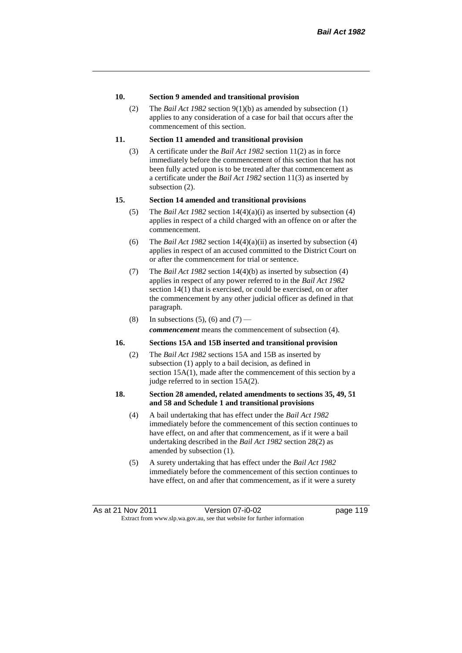#### **10. Section 9 amended and transitional provision**

(2) The *Bail Act 1982* section 9(1)(b) as amended by subsection (1) applies to any consideration of a case for bail that occurs after the commencement of this section.

#### **11. Section 11 amended and transitional provision**

(3) A certificate under the *Bail Act 1982* section 11(2) as in force immediately before the commencement of this section that has not been fully acted upon is to be treated after that commencement as a certificate under the *Bail Act 1982* section 11(3) as inserted by subsection (2).

#### **15. Section 14 amended and transitional provisions**

- (5) The *Bail Act 1982* section 14(4)(a)(i) as inserted by subsection (4) applies in respect of a child charged with an offence on or after the commencement.
- (6) The *Bail Act 1982* section 14(4)(a)(ii) as inserted by subsection (4) applies in respect of an accused committed to the District Court on or after the commencement for trial or sentence.
- (7) The *Bail Act 1982* section 14(4)(b) as inserted by subsection (4) applies in respect of any power referred to in the *Bail Act 1982* section 14(1) that is exercised, or could be exercised, on or after the commencement by any other judicial officer as defined in that paragraph.
- (8) In subsections (5), (6) and (7) *commencement* means the commencement of subsection (4).

#### **16. Sections 15A and 15B inserted and transitional provision**

(2) The *Bail Act 1982* sections 15A and 15B as inserted by subsection (1) apply to a bail decision, as defined in section 15A(1), made after the commencement of this section by a judge referred to in section 15A(2).

#### **18. Section 28 amended, related amendments to sections 35, 49, 51 and 58 and Schedule 1 and transitional provisions**

- (4) A bail undertaking that has effect under the *Bail Act 1982* immediately before the commencement of this section continues to have effect, on and after that commencement, as if it were a bail undertaking described in the *Bail Act 1982* section 28(2) as amended by subsection (1).
- (5) A surety undertaking that has effect under the *Bail Act 1982* immediately before the commencement of this section continues to have effect, on and after that commencement, as if it were a surety

As at 21 Nov 2011 Version 07-i0-02 had page 119 Extract from www.slp.wa.gov.au, see that website for further information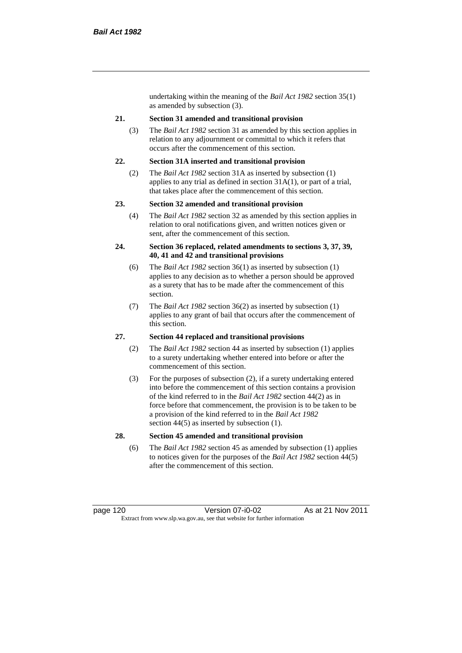undertaking within the meaning of the *Bail Act 1982* section 35(1) as amended by subsection (3).

#### **21. Section 31 amended and transitional provision**

(3) The *Bail Act 1982* section 31 as amended by this section applies in relation to any adjournment or committal to which it refers that occurs after the commencement of this section.

#### **22. Section 31A inserted and transitional provision**

(2) The *Bail Act 1982* section 31A as inserted by subsection (1) applies to any trial as defined in section 31A(1), or part of a trial, that takes place after the commencement of this section.

#### **23. Section 32 amended and transitional provision**

(4) The *Bail Act 1982* section 32 as amended by this section applies in relation to oral notifications given, and written notices given or sent, after the commencement of this section.

#### **24. Section 36 replaced, related amendments to sections 3, 37, 39, 40, 41 and 42 and transitional provisions**

- (6) The *Bail Act 1982* section 36(1) as inserted by subsection (1) applies to any decision as to whether a person should be approved as a surety that has to be made after the commencement of this section.
- (7) The *Bail Act 1982* section 36(2) as inserted by subsection (1) applies to any grant of bail that occurs after the commencement of this section.

#### **27. Section 44 replaced and transitional provisions**

- (2) The *Bail Act 1982* section 44 as inserted by subsection (1) applies to a surety undertaking whether entered into before or after the commencement of this section.
- (3) For the purposes of subsection (2), if a surety undertaking entered into before the commencement of this section contains a provision of the kind referred to in the *Bail Act 1982* section 44(2) as in force before that commencement, the provision is to be taken to be a provision of the kind referred to in the *Bail Act 1982*  section 44(5) as inserted by subsection (1).

#### **28. Section 45 amended and transitional provision**

(6) The *Bail Act 1982* section 45 as amended by subsection (1) applies to notices given for the purposes of the *Bail Act 1982* section 44(5) after the commencement of this section.

page 120 Version 07-i0-02 As at 21 Nov 2011 Extract from www.slp.wa.gov.au, see that website for further information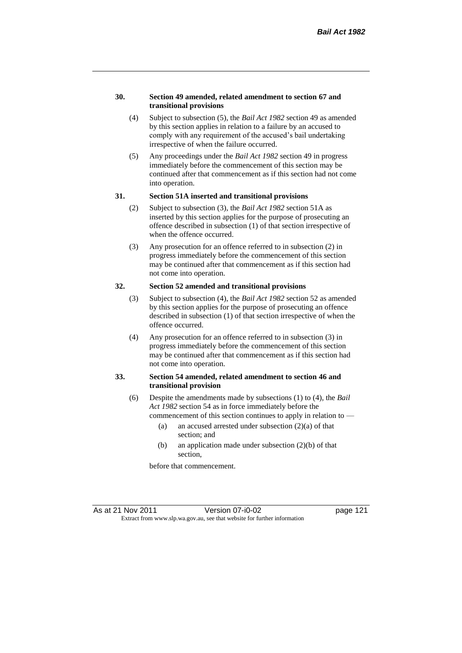#### **30. Section 49 amended, related amendment to section 67 and transitional provisions**

- (4) Subject to subsection (5), the *Bail Act 1982* section 49 as amended by this section applies in relation to a failure by an accused to comply with any requirement of the accused's bail undertaking irrespective of when the failure occurred.
- (5) Any proceedings under the *Bail Act 1982* section 49 in progress immediately before the commencement of this section may be continued after that commencement as if this section had not come into operation.

#### **31. Section 51A inserted and transitional provisions**

- (2) Subject to subsection (3), the *Bail Act 1982* section 51A as inserted by this section applies for the purpose of prosecuting an offence described in subsection (1) of that section irrespective of when the offence occurred.
- (3) Any prosecution for an offence referred to in subsection (2) in progress immediately before the commencement of this section may be continued after that commencement as if this section had not come into operation.

# **32. Section 52 amended and transitional provisions**

- (3) Subject to subsection (4), the *Bail Act 1982* section 52 as amended by this section applies for the purpose of prosecuting an offence described in subsection (1) of that section irrespective of when the offence occurred.
- (4) Any prosecution for an offence referred to in subsection (3) in progress immediately before the commencement of this section may be continued after that commencement as if this section had not come into operation.

#### **33. Section 54 amended, related amendment to section 46 and transitional provision**

- (6) Despite the amendments made by subsections (1) to (4), the *Bail Act 1982* section 54 as in force immediately before the
	- commencement of this section continues to apply in relation to
		- (a) an accused arrested under subsection  $(2)(a)$  of that section; and
		- (b) an application made under subsection (2)(b) of that section,

before that commencement.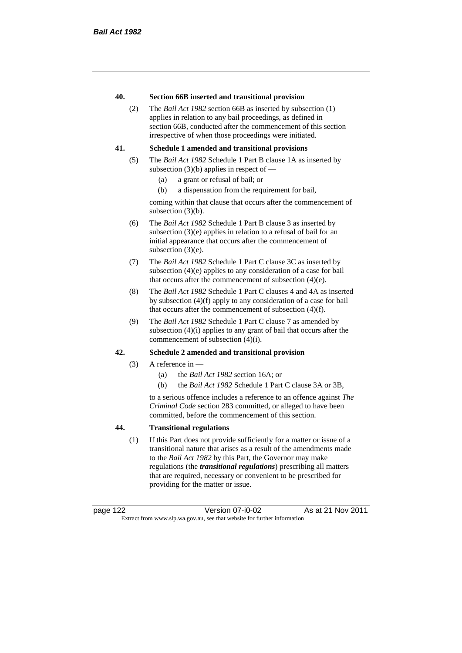#### **40. Section 66B inserted and transitional provision**

(2) The *Bail Act 1982* section 66B as inserted by subsection (1) applies in relation to any bail proceedings, as defined in section 66B, conducted after the commencement of this section irrespective of when those proceedings were initiated.

#### **41. Schedule 1 amended and transitional provisions**

- (5) The *Bail Act 1982* Schedule 1 Part B clause 1A as inserted by subsection  $(3)(b)$  applies in respect of  $-$ 
	- (a) a grant or refusal of bail; or
	- (b) a dispensation from the requirement for bail,

coming within that clause that occurs after the commencement of subsection (3)(b).

- (6) The *Bail Act 1982* Schedule 1 Part B clause 3 as inserted by subsection (3)(e) applies in relation to a refusal of bail for an initial appearance that occurs after the commencement of subsection (3)(e).
- (7) The *Bail Act 1982* Schedule 1 Part C clause 3C as inserted by subsection (4)(e) applies to any consideration of a case for bail that occurs after the commencement of subsection (4)(e).
- (8) The *Bail Act 1982* Schedule 1 Part C clauses 4 and 4A as inserted by subsection (4)(f) apply to any consideration of a case for bail that occurs after the commencement of subsection (4)(f).
- (9) The *Bail Act 1982* Schedule 1 Part C clause 7 as amended by subsection (4)(i) applies to any grant of bail that occurs after the commencement of subsection (4)(i).

#### **42. Schedule 2 amended and transitional provision**

- $(3)$  A reference in
	- (a) the *Bail Act 1982* section 16A; or
	- (b) the *Bail Act 1982* Schedule 1 Part C clause 3A or 3B,

to a serious offence includes a reference to an offence against *The Criminal Code* section 283 committed, or alleged to have been committed, before the commencement of this section.

#### **44. Transitional regulations**

(1) If this Part does not provide sufficiently for a matter or issue of a transitional nature that arises as a result of the amendments made to the *Bail Act 1982* by this Part, the Governor may make regulations (the *transitional regulations*) prescribing all matters that are required, necessary or convenient to be prescribed for providing for the matter or issue.

page 122 Version 07-i0-02 As at 21 Nov 2011 Extract from www.slp.wa.gov.au, see that website for further information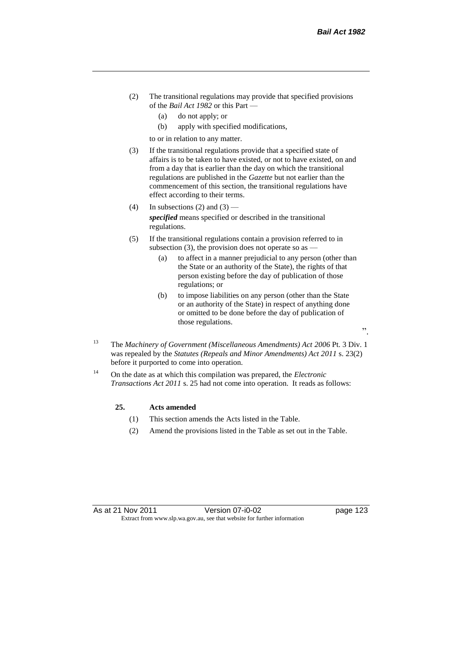- (2) The transitional regulations may provide that specified provisions of the *Bail Act 1982* or this Part —
	- (a) do not apply; or
	- (b) apply with specified modifications,

to or in relation to any matter.

- (3) If the transitional regulations provide that a specified state of affairs is to be taken to have existed, or not to have existed, on and from a day that is earlier than the day on which the transitional regulations are published in the *Gazette* but not earlier than the commencement of this section, the transitional regulations have effect according to their terms.
- (4) In subsections (2) and (3) *specified* means specified or described in the transitional regulations.
- (5) If the transitional regulations contain a provision referred to in subsection (3), the provision does not operate so as  $-$ 
	- (a) to affect in a manner prejudicial to any person (other than the State or an authority of the State), the rights of that person existing before the day of publication of those regulations; or
	- (b) to impose liabilities on any person (other than the State or an authority of the State) in respect of anything done or omitted to be done before the day of publication of those regulations.
- <sup>13</sup> The *Machinery of Government (Miscellaneous Amendments) Act 2006* Pt. 3 Div. 1 was repealed by the *Statutes (Repeals and Minor Amendments) Act 2011* s. 23(2) before it purported to come into operation.
- <sup>14</sup> On the date as at which this compilation was prepared, the *Electronic Transactions Act 2011* s. 25 had not come into operation. It reads as follows:

#### **25. Acts amended**

- (1) This section amends the Acts listed in the Table.
- (2) Amend the provisions listed in the Table as set out in the Table.

".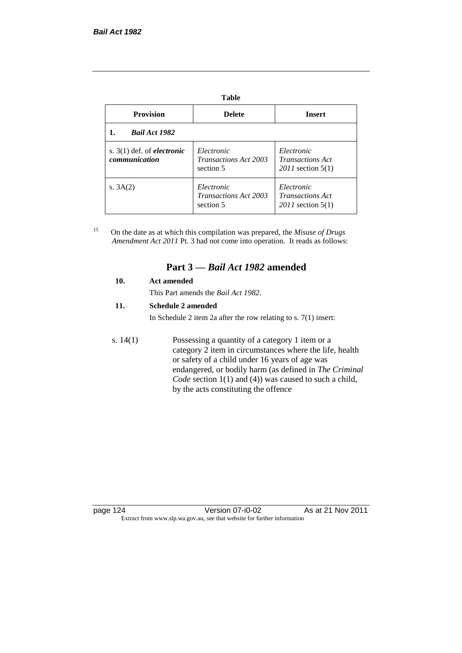| v<br>٠ | v | ×<br>۰. |
|--------|---|---------|

| <b>Provision</b>                                     | <b>Delete</b>                                           | <b>Insert</b>                                                  |
|------------------------------------------------------|---------------------------------------------------------|----------------------------------------------------------------|
| <b>Bail Act 1982</b>                                 |                                                         |                                                                |
| s. $3(1)$ def. of <i>electronic</i><br>communication | Electronic<br><b>Transactions Act 2003</b><br>section 5 | Electronic<br><i>Transactions Act</i><br>$2011$ section $5(1)$ |
| s. $3A(2)$                                           | Electronic<br><b>Transactions Act 2003</b><br>section 5 | Electronic<br><i>Transactions Act</i><br>$2011$ section $5(1)$ |

<sup>15</sup> On the date as at which this compilation was prepared, the *Misuse of Drugs Amendment Act 2011* Pt. 3 had not come into operation. It reads as follows:

# **Part 3 —** *Bail Act 1982* **amended**

#### **10. Act amended**

This Part amends the *Bail Act 1982*.

#### **11. Schedule 2 amended**

In Schedule 2 item 2a after the row relating to s. 7(1) insert:

s. 14(1) Possessing a quantity of a category 1 item or a category 2 item in circumstances where the life, health or safety of a child under 16 years of age was endangered, or bodily harm (as defined in *The Criminal Code* section 1(1) and (4)) was caused to such a child, by the acts constituting the offence

page 124 Version 07-i0-02 As at 21 Nov 2011 Extract from www.slp.wa.gov.au, see that website for further information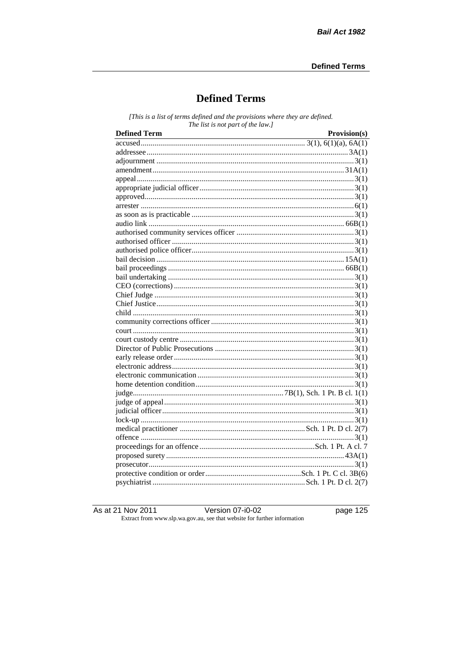# **Defined Terms**

[This is a list of terms defined and the provisions where they are defined. The list is not part of the law.]

| <b>Defined Term</b> | Provision(s) |
|---------------------|--------------|
|                     |              |
|                     |              |
|                     |              |
|                     |              |
|                     |              |
|                     |              |
|                     |              |
|                     |              |
|                     |              |
|                     |              |
|                     |              |
|                     |              |
|                     |              |
|                     |              |
|                     |              |
|                     |              |
|                     |              |
|                     |              |
|                     |              |
|                     |              |
|                     |              |
|                     |              |
|                     |              |
|                     |              |
|                     |              |
|                     |              |
|                     |              |
|                     |              |
|                     |              |
|                     |              |
|                     |              |
|                     |              |
|                     |              |
|                     |              |
|                     |              |
|                     |              |
|                     |              |
|                     |              |
|                     |              |

As at 21 Nov 2011 Version 07-i0-02 Extract from www.slp.wa.gov.au, see that website for further information page  $125$